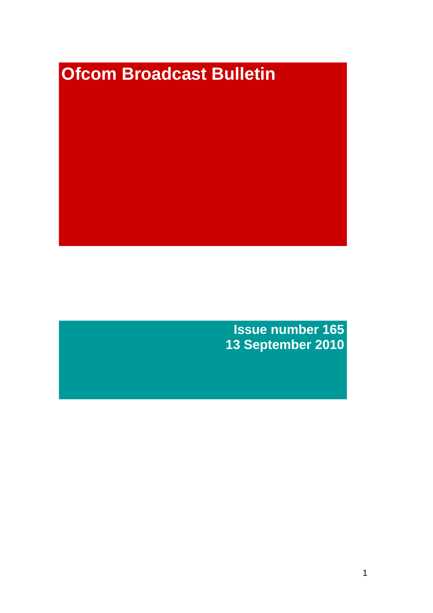# **Ofcom Broadcast Bulletin**

**Issue number 165 13 September 2010**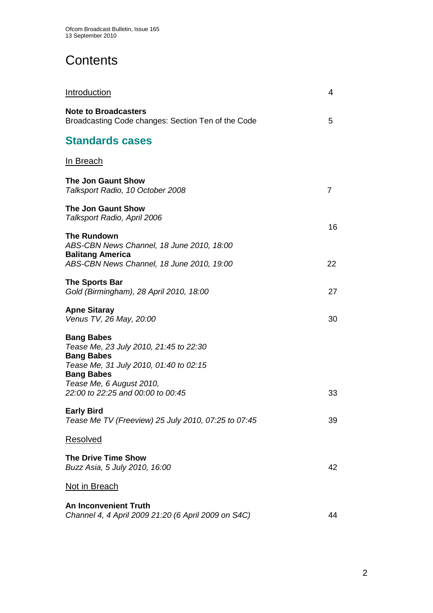# **Contents**

| <b>Introduction</b>                                                                                                                             | 4  |
|-------------------------------------------------------------------------------------------------------------------------------------------------|----|
| <b>Note to Broadcasters</b><br>Broadcasting Code changes: Section Ten of the Code                                                               | 5  |
| <b>Standards cases</b>                                                                                                                          |    |
| In Breach                                                                                                                                       |    |
| <b>The Jon Gaunt Show</b><br>Talksport Radio, 10 October 2008                                                                                   | 7  |
| <b>The Jon Gaunt Show</b><br>Talksport Radio, April 2006                                                                                        | 16 |
| <b>The Rundown</b><br>ABS-CBN News Channel, 18 June 2010, 18:00<br><b>Balitang America</b>                                                      |    |
| ABS-CBN News Channel, 18 June 2010, 19:00                                                                                                       | 22 |
| <b>The Sports Bar</b><br>Gold (Birmingham), 28 April 2010, 18:00                                                                                | 27 |
| <b>Apne Sitaray</b><br>Venus TV, 26 May, 20:00                                                                                                  | 30 |
| <b>Bang Babes</b><br>Tease Me, 23 July 2010, 21:45 to 22:30<br><b>Bang Babes</b><br>Tease Me, 31 July 2010, 01:40 to 02:15<br><b>Bang Babes</b> |    |
| Tease Me, 6 August 2010,<br>22:00 to 22:25 and 00:00 to 00:45                                                                                   | 33 |
| <b>Early Bird</b><br>Tease Me TV (Freeview) 25 July 2010, 07:25 to 07:45                                                                        | 39 |
| Resolved                                                                                                                                        |    |
| <b>The Drive Time Show</b><br>Buzz Asia, 5 July 2010, 16:00                                                                                     | 42 |
| Not in Breach                                                                                                                                   |    |
| <b>An Inconvenient Truth</b><br>Channel 4, 4 April 2009 21:20 (6 April 2009 on S4C)                                                             | 44 |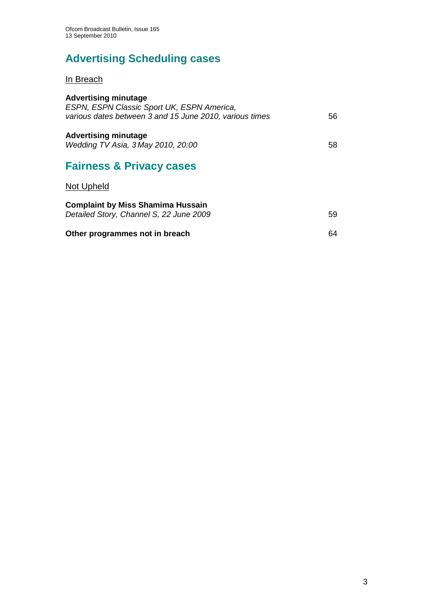# **Advertising Scheduling cases**

In Breach

| <b>Advertising minutage</b><br>ESPN, ESPN Classic Sport UK, ESPN America,<br>various dates between 3 and 15 June 2010, various times | 56 |
|--------------------------------------------------------------------------------------------------------------------------------------|----|
| <b>Advertising minutage</b><br>Wedding TV Asia, 3 May 2010, 20:00                                                                    | 58 |
| <b>Fairness &amp; Privacy cases</b>                                                                                                  |    |
| <b>Not Upheld</b>                                                                                                                    |    |
| <b>Complaint by Miss Shamima Hussain</b><br>Detailed Story, Channel S, 22 June 2009                                                  | 59 |
| Other programmes not in breach                                                                                                       | 64 |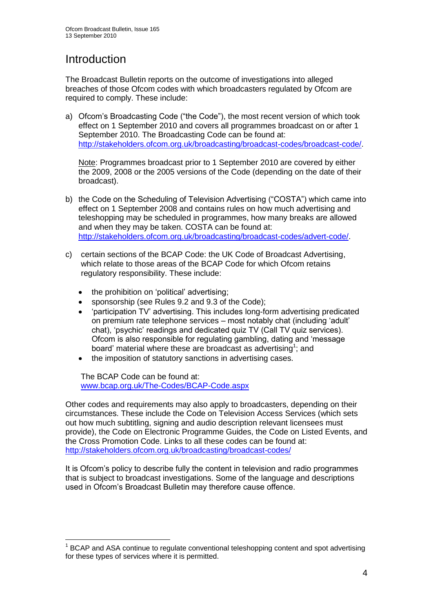# **Introduction**

1

The Broadcast Bulletin reports on the outcome of investigations into alleged breaches of those Ofcom codes with which broadcasters regulated by Ofcom are required to comply. These include:

a) Ofcom"s Broadcasting Code ("the Code"), the most recent version of which took effect on 1 September 2010 and covers all programmes broadcast on or after 1 September 2010. The Broadcasting Code can be found at: [http://stakeholders.ofcom.org.uk/broadcasting/broadcast-codes/broadcast-code/.](http://stakeholders.ofcom.org.uk/broadcasting/broadcast-codes/broadcast-code/)

Note: Programmes broadcast prior to 1 September 2010 are covered by either the 2009, 2008 or the 2005 versions of the Code (depending on the date of their broadcast).

- b) the Code on the Scheduling of Television Advertising ("COSTA") which came into effect on 1 September 2008 and contains rules on how much advertising and teleshopping may be scheduled in programmes, how many breaks are allowed and when they may be taken. COSTA can be found at: [http://stakeholders.ofcom.org.uk/broadcasting/broadcast-codes/advert-code/.](http://stakeholders.ofcom.org.uk/broadcasting/broadcast-codes/advert-code/)
- c) certain sections of the BCAP Code: the UK Code of Broadcast Advertising, which relate to those areas of the BCAP Code for which Ofcom retains regulatory responsibility. These include:
	- the prohibition on "political" advertising;
	- sponsorship (see Rules 9.2 and 9.3 of the Code);
	- 'participation TV' advertising. This includes long-form advertising predicated on premium rate telephone services – most notably chat (including "adult" chat), "psychic" readings and dedicated quiz TV (Call TV quiz services). Ofcom is also responsible for regulating gambling, dating and "message board' material where these are broadcast as advertising<sup>1</sup>; and
	- the imposition of statutory sanctions in advertising cases.

The BCAP Code can be found at: [www.bcap.org.uk/The-Codes/BCAP-Code.aspx](http://www.bcap.org.uk/The-Codes/BCAP-Code.aspx)

Other codes and requirements may also apply to broadcasters, depending on their circumstances. These include the Code on Television Access Services (which sets out how much subtitling, signing and audio description relevant licensees must provide), the Code on Electronic Programme Guides, the Code on Listed Events, and the Cross Promotion Code. Links to all these codes can be found at: <http://stakeholders.ofcom.org.uk/broadcasting/broadcast-codes/>

It is Ofcom"s policy to describe fully the content in television and radio programmes that is subject to broadcast investigations. Some of the language and descriptions used in Ofcom"s Broadcast Bulletin may therefore cause offence.

<sup>&</sup>lt;sup>1</sup> BCAP and ASA continue to regulate conventional teleshopping content and spot advertising for these types of services where it is permitted.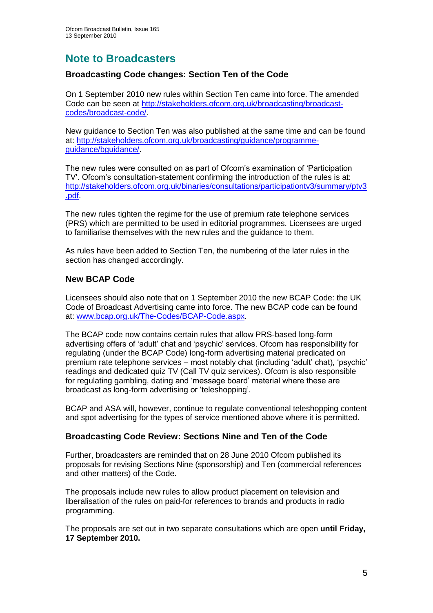## **Note to Broadcasters**

## **Broadcasting Code changes: Section Ten of the Code**

On 1 September 2010 new rules within Section Ten came into force. The amended Code can be seen at [http://stakeholders.ofcom.org.uk/broadcasting/broadcast](http://stakeholders.ofcom.org.uk/broadcasting/broadcast-codes/broadcast-code/)[codes/broadcast-code/.](http://stakeholders.ofcom.org.uk/broadcasting/broadcast-codes/broadcast-code/)

New guidance to Section Ten was also published at the same time and can be found at: [http://stakeholders.ofcom.org.uk/broadcasting/guidance/programme](http://stakeholders.ofcom.org.uk/broadcasting/guidance/programme-guidance/bguidance/)[guidance/bguidance/.](http://stakeholders.ofcom.org.uk/broadcasting/guidance/programme-guidance/bguidance/)

The new rules were consulted on as part of Ofcom"s examination of "Participation TV". Ofcom"s consultation-statement confirming the introduction of the rules is at: [http://stakeholders.ofcom.org.uk/binaries/consultations/participationtv3/summary/ptv3](http://stakeholders.ofcom.org.uk/binaries/consultations/participationtv3/summary/ptv3.pdf) [.pdf.](http://stakeholders.ofcom.org.uk/binaries/consultations/participationtv3/summary/ptv3.pdf)

The new rules tighten the regime for the use of premium rate telephone services (PRS) which are permitted to be used in editorial programmes. Licensees are urged to familiarise themselves with the new rules and the guidance to them.

As rules have been added to Section Ten, the numbering of the later rules in the section has changed accordingly.

#### **New BCAP Code**

Licensees should also note that on 1 September 2010 the new BCAP Code: the UK Code of Broadcast Advertising came into force. The new BCAP code can be found at: [www.bcap.org.uk/The-Codes/BCAP-Code.aspx.](http://www.bcap.org.uk/The-Codes/BCAP-Code.aspx)

The BCAP code now contains certain rules that allow PRS-based long-form advertising offers of "adult" chat and "psychic" services. Ofcom has responsibility for regulating (under the BCAP Code) long-form advertising material predicated on premium rate telephone services – most notably chat (including "adult" chat), "psychic" readings and dedicated quiz TV (Call TV quiz services). Ofcom is also responsible for regulating gambling, dating and "message board" material where these are broadcast as long-form advertising or "teleshopping".

BCAP and ASA will, however, continue to regulate conventional teleshopping content and spot advertising for the types of service mentioned above where it is permitted.

#### **Broadcasting Code Review: Sections Nine and Ten of the Code**

Further, broadcasters are reminded that on 28 June 2010 Ofcom published its proposals for revising Sections Nine (sponsorship) and Ten (commercial references and other matters) of the Code.

The proposals include new rules to allow product placement on television and liberalisation of the rules on paid-for references to brands and products in radio programming.

The proposals are set out in two separate consultations which are open **until Friday, 17 September 2010.**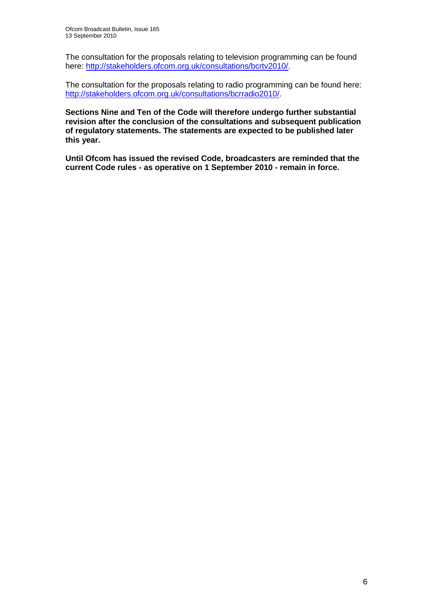The consultation for the proposals relating to television programming can be found here: [http://stakeholders.ofcom.org.uk/consultations/bcrtv2010/.](http://stakeholders.ofcom.org.uk/consultations/bcrtv2010/)

The consultation for the proposals relating to radio programming can be found here: [http://stakeholders.ofcom.org.uk/consultations/bcrradio2010/.](http://stakeholders.ofcom.org.uk/consultations/bcrradio2010/)

**Sections Nine and Ten of the Code will therefore undergo further substantial revision after the conclusion of the consultations and subsequent publication of regulatory statements. The statements are expected to be published later this year.** 

**Until Ofcom has issued the revised Code, broadcasters are reminded that the current Code rules - as operative on 1 September 2010 - remain in force.**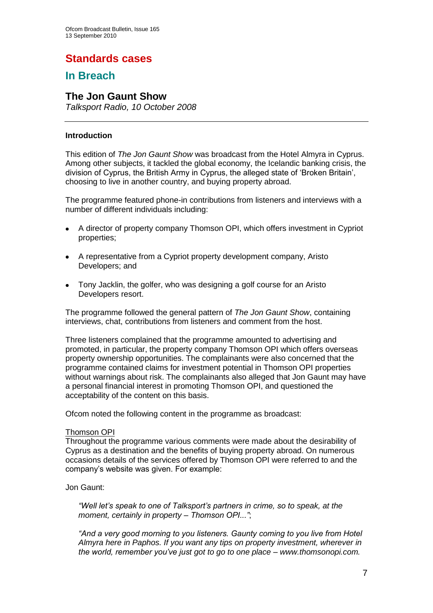## **Standards cases**

## **In Breach**

## **The Jon Gaunt Show**

*Talksport Radio, 10 October 2008* 

#### **Introduction**

This edition of *The Jon Gaunt Show* was broadcast from the Hotel Almyra in Cyprus. Among other subjects, it tackled the global economy, the Icelandic banking crisis, the division of Cyprus, the British Army in Cyprus, the alleged state of "Broken Britain", choosing to live in another country, and buying property abroad.

The programme featured phone-in contributions from listeners and interviews with a number of different individuals including:

- A director of property company Thomson OPI, which offers investment in Cypriot properties;
- A representative from a Cypriot property development company, Aristo Developers; and
- Tony Jacklin, the golfer, who was designing a golf course for an Aristo Developers resort.

The programme followed the general pattern of *The Jon Gaunt Show*, containing interviews, chat, contributions from listeners and comment from the host.

Three listeners complained that the programme amounted to advertising and promoted, in particular, the property company Thomson OPI which offers overseas property ownership opportunities. The complainants were also concerned that the programme contained claims for investment potential in Thomson OPI properties without warnings about risk. The complainants also alleged that Jon Gaunt may have a personal financial interest in promoting Thomson OPI, and questioned the acceptability of the content on this basis.

Ofcom noted the following content in the programme as broadcast:

#### Thomson OPI

Throughout the programme various comments were made about the desirability of Cyprus as a destination and the benefits of buying property abroad. On numerous occasions details of the services offered by Thomson OPI were referred to and the company"s website was given. For example:

Jon Gaunt:

*"Well let"s speak to one of Talksport"s partners in crime, so to speak, at the moment, certainly in property – Thomson OPI..."*;

*"And a very good morning to you listeners. Gaunty coming to you live from Hotel Almyra here in Paphos. If you want any tips on property investment, wherever in the world, remember you"ve just got to go to one place – www.thomsonopi.com.*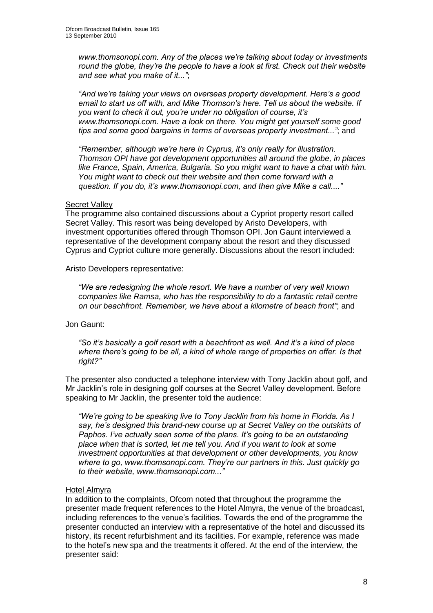*www.thomsonopi.com. Any of the places we"re talking about today or investments round the globe, they"re the people to have a look at first. Check out their website and see what you make of it..."*;

*"And we"re taking your views on overseas property development. Here"s a good email to start us off with, and Mike Thomson"s here. Tell us about the website. If you want to check it out, you"re under no obligation of course, it"s www.thomsonopi.com. Have a look on there. You might get yourself some good tips and some good bargains in terms of overseas property investment..."*; and

*"Remember, although we"re here in Cyprus, it"s only really for illustration. Thomson OPI have got development opportunities all around the globe, in places like France, Spain, America, Bulgaria. So you might want to have a chat with him. You might want to check out their website and then come forward with a question. If you do, it"s www.thomsonopi.com, and then give Mike a call...."*

#### **Secret Vallev**

The programme also contained discussions about a Cypriot property resort called Secret Valley. This resort was being developed by Aristo Developers, with investment opportunities offered through Thomson OPI. Jon Gaunt interviewed a representative of the development company about the resort and they discussed Cyprus and Cypriot culture more generally. Discussions about the resort included:

Aristo Developers representative:

*"We are redesigning the whole resort. We have a number of very well known companies like Ramsa, who has the responsibility to do a fantastic retail centre on our beachfront. Remember, we have about a kilometre of beach front"*; and

#### Jon Gaunt:

*"So it"s basically a golf resort with a beachfront as well. And it"s a kind of place where there"s going to be all, a kind of whole range of properties on offer. Is that right?"*

The presenter also conducted a telephone interview with Tony Jacklin about golf, and Mr Jacklin"s role in designing golf courses at the Secret Valley development. Before speaking to Mr Jacklin, the presenter told the audience:

*"We"re going to be speaking live to Tony Jacklin from his home in Florida. As I say, he"s designed this brand-new course up at Secret Valley on the outskirts of Paphos. I"ve actually seen some of the plans. It"s going to be an outstanding place when that is sorted, let me tell you. And if you want to look at some investment opportunities at that development or other developments, you know where to go, www.thomsonopi.com. They"re our partners in this. Just quickly go to their website, www.thomsonopi.com..."*

#### Hotel Almyra

In addition to the complaints, Ofcom noted that throughout the programme the presenter made frequent references to the Hotel Almyra, the venue of the broadcast, including references to the venue's facilities. Towards the end of the programme the presenter conducted an interview with a representative of the hotel and discussed its history, its recent refurbishment and its facilities. For example, reference was made to the hotel"s new spa and the treatments it offered. At the end of the interview, the presenter said: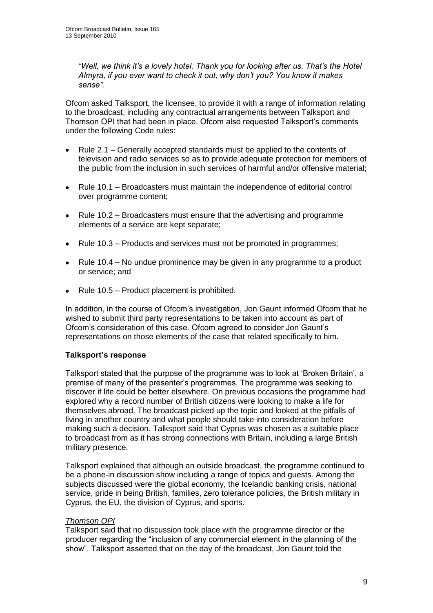*"Well, we think it"s a lovely hotel. Thank you for looking after us. That"s the Hotel Almyra, if you ever want to check it out, why don"t you? You know it makes sense".* 

Ofcom asked Talksport, the licensee, to provide it with a range of information relating to the broadcast, including any contractual arrangements between Talksport and Thomson OPI that had been in place. Ofcom also requested Talksport's comments under the following Code rules:

- Rule 2.1 Generally accepted standards must be applied to the contents of  $\bullet$ television and radio services so as to provide adequate protection for members of the public from the inclusion in such services of harmful and/or offensive material;
- $\bullet$ Rule 10.1 – Broadcasters must maintain the independence of editorial control over programme content;
- Rule 10.2 Broadcasters must ensure that the advertising and programme  $\bullet$ elements of a service are kept separate;
- $\bullet$ Rule 10.3 – Products and services must not be promoted in programmes;
- Rule 10.4 No undue prominence may be given in any programme to a product  $\bullet$ or service; and
- Rule 10.5 Product placement is prohibited.

In addition, in the course of Ofcom"s investigation, Jon Gaunt informed Ofcom that he wished to submit third party representations to be taken into account as part of Ofcom"s consideration of this case. Ofcom agreed to consider Jon Gaunt"s representations on those elements of the case that related specifically to him.

#### **Talksport's response**

Talksport stated that the purpose of the programme was to look at "Broken Britain", a premise of many of the presenter"s programmes. The programme was seeking to discover if life could be better elsewhere. On previous occasions the programme had explored why a record number of British citizens were looking to make a life for themselves abroad. The broadcast picked up the topic and looked at the pitfalls of living in another country and what people should take into consideration before making such a decision. Talksport said that Cyprus was chosen as a suitable place to broadcast from as it has strong connections with Britain, including a large British military presence.

Talksport explained that although an outside broadcast, the programme continued to be a phone-in discussion show including a range of topics and guests. Among the subjects discussed were the global economy, the Icelandic banking crisis, national service, pride in being British, families, zero tolerance policies, the British military in Cyprus, the EU, the division of Cyprus, and sports.

#### *Thomson OPI*

Talksport said that no discussion took place with the programme director or the producer regarding the "inclusion of any commercial element in the planning of the show". Talksport asserted that on the day of the broadcast, Jon Gaunt told the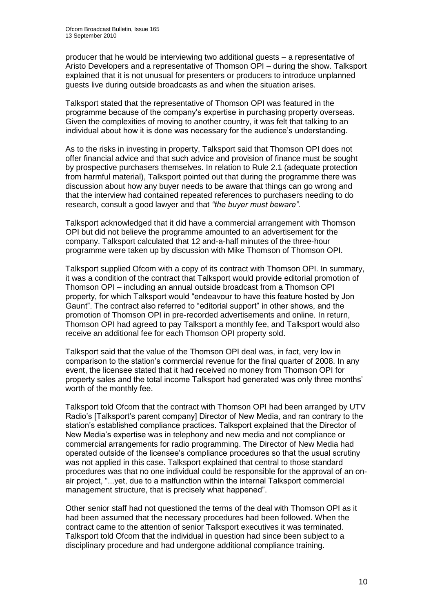producer that he would be interviewing two additional guests – a representative of Aristo Developers and a representative of Thomson OPI – during the show. Talksport explained that it is not unusual for presenters or producers to introduce unplanned guests live during outside broadcasts as and when the situation arises.

Talksport stated that the representative of Thomson OPI was featured in the programme because of the company"s expertise in purchasing property overseas. Given the complexities of moving to another country, it was felt that talking to an individual about how it is done was necessary for the audience"s understanding.

As to the risks in investing in property, Talksport said that Thomson OPI does not offer financial advice and that such advice and provision of finance must be sought by prospective purchasers themselves. In relation to Rule 2.1 (adequate protection from harmful material), Talksport pointed out that during the programme there was discussion about how any buyer needs to be aware that things can go wrong and that the interview had contained repeated references to purchasers needing to do research, consult a good lawyer and that *"the buyer must beware".*

Talksport acknowledged that it did have a commercial arrangement with Thomson OPI but did not believe the programme amounted to an advertisement for the company. Talksport calculated that 12 and-a-half minutes of the three-hour programme were taken up by discussion with Mike Thomson of Thomson OPI.

Talksport supplied Ofcom with a copy of its contract with Thomson OPI. In summary, it was a condition of the contract that Talksport would provide editorial promotion of Thomson OPI – including an annual outside broadcast from a Thomson OPI property, for which Talksport would "endeavour to have this feature hosted by Jon Gaunt". The contract also referred to "editorial support" in other shows, and the promotion of Thomson OPI in pre-recorded advertisements and online. In return, Thomson OPI had agreed to pay Talksport a monthly fee, and Talksport would also receive an additional fee for each Thomson OPI property sold.

Talksport said that the value of the Thomson OPI deal was, in fact, very low in comparison to the station"s commercial revenue for the final quarter of 2008. In any event, the licensee stated that it had received no money from Thomson OPI for property sales and the total income Talksport had generated was only three months" worth of the monthly fee.

Talksport told Ofcom that the contract with Thomson OPI had been arranged by UTV Radio"s [Talksport"s parent company] Director of New Media, and ran contrary to the station"s established compliance practices. Talksport explained that the Director of New Media"s expertise was in telephony and new media and not compliance or commercial arrangements for radio programming. The Director of New Media had operated outside of the licensee"s compliance procedures so that the usual scrutiny was not applied in this case. Talksport explained that central to those standard procedures was that no one individual could be responsible for the approval of an onair project, "...yet, due to a malfunction within the internal Talksport commercial management structure, that is precisely what happened".

Other senior staff had not questioned the terms of the deal with Thomson OPI as it had been assumed that the necessary procedures had been followed. When the contract came to the attention of senior Talksport executives it was terminated. Talksport told Ofcom that the individual in question had since been subject to a disciplinary procedure and had undergone additional compliance training.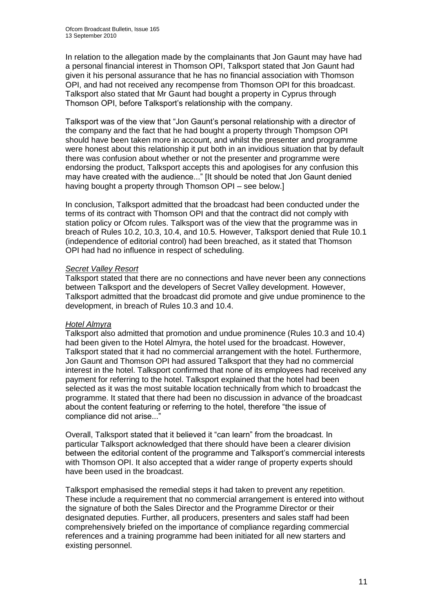In relation to the allegation made by the complainants that Jon Gaunt may have had a personal financial interest in Thomson OPI, Talksport stated that Jon Gaunt had given it his personal assurance that he has no financial association with Thomson OPI, and had not received any recompense from Thomson OPI for this broadcast. Talksport also stated that Mr Gaunt had bought a property in Cyprus through Thomson OPI, before Talksport"s relationship with the company.

Talksport was of the view that "Jon Gaunt"s personal relationship with a director of the company and the fact that he had bought a property through Thompson OPI should have been taken more in account, and whilst the presenter and programme were honest about this relationship it put both in an invidious situation that by default there was confusion about whether or not the presenter and programme were endorsing the product, Talksport accepts this and apologises for any confusion this may have created with the audience..." [It should be noted that Jon Gaunt denied having bought a property through Thomson OPI – see below.]

In conclusion, Talksport admitted that the broadcast had been conducted under the terms of its contract with Thomson OPI and that the contract did not comply with station policy or Ofcom rules. Talksport was of the view that the programme was in breach of Rules 10.2, 10.3, 10.4, and 10.5. However, Talksport denied that Rule 10.1 (independence of editorial control) had been breached, as it stated that Thomson OPI had had no influence in respect of scheduling.

#### *Secret Valley Resort*

Talksport stated that there are no connections and have never been any connections between Talksport and the developers of Secret Valley development. However, Talksport admitted that the broadcast did promote and give undue prominence to the development, in breach of Rules 10.3 and 10.4.

#### *Hotel Almyra*

Talksport also admitted that promotion and undue prominence (Rules 10.3 and 10.4) had been given to the Hotel Almyra, the hotel used for the broadcast. However, Talksport stated that it had no commercial arrangement with the hotel. Furthermore, Jon Gaunt and Thomson OPI had assured Talksport that they had no commercial interest in the hotel. Talksport confirmed that none of its employees had received any payment for referring to the hotel. Talksport explained that the hotel had been selected as it was the most suitable location technically from which to broadcast the programme. It stated that there had been no discussion in advance of the broadcast about the content featuring or referring to the hotel, therefore "the issue of compliance did not arise..."

Overall, Talksport stated that it believed it "can learn" from the broadcast. In particular Talksport acknowledged that there should have been a clearer division between the editorial content of the programme and Talksport"s commercial interests with Thomson OPI. It also accepted that a wider range of property experts should have been used in the broadcast.

Talksport emphasised the remedial steps it had taken to prevent any repetition. These include a requirement that no commercial arrangement is entered into without the signature of both the Sales Director and the Programme Director or their designated deputies. Further, all producers, presenters and sales staff had been comprehensively briefed on the importance of compliance regarding commercial references and a training programme had been initiated for all new starters and existing personnel.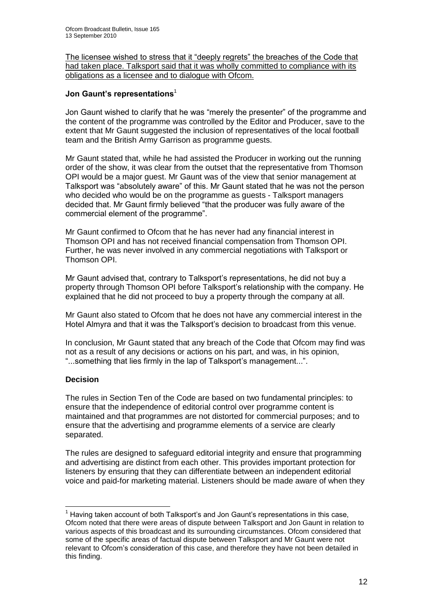The licensee wished to stress that it "deeply regrets" the breaches of the Code that had taken place. Talksport said that it was wholly committed to compliance with its obligations as a licensee and to dialogue with Ofcom.

#### **Jon Gaunt's representations**<sup>1</sup>

Jon Gaunt wished to clarify that he was "merely the presenter" of the programme and the content of the programme was controlled by the Editor and Producer, save to the extent that Mr Gaunt suggested the inclusion of representatives of the local football team and the British Army Garrison as programme guests.

Mr Gaunt stated that, while he had assisted the Producer in working out the running order of the show, it was clear from the outset that the representative from Thomson OPI would be a major guest. Mr Gaunt was of the view that senior management at Talksport was "absolutely aware" of this. Mr Gaunt stated that he was not the person who decided who would be on the programme as guests - Talksport managers decided that. Mr Gaunt firmly believed "that the producer was fully aware of the commercial element of the programme".

Mr Gaunt confirmed to Ofcom that he has never had any financial interest in Thomson OPI and has not received financial compensation from Thomson OPI. Further, he was never involved in any commercial negotiations with Talksport or Thomson OPI.

Mr Gaunt advised that, contrary to Talksport"s representations, he did not buy a property through Thomson OPI before Talksport"s relationship with the company. He explained that he did not proceed to buy a property through the company at all.

Mr Gaunt also stated to Ofcom that he does not have any commercial interest in the Hotel Almyra and that it was the Talksport"s decision to broadcast from this venue.

In conclusion, Mr Gaunt stated that any breach of the Code that Ofcom may find was not as a result of any decisions or actions on his part, and was, in his opinion, "...something that lies firmly in the lap of Talksport's management...".

#### **Decision**

1

The rules in Section Ten of the Code are based on two fundamental principles: to ensure that the independence of editorial control over programme content is maintained and that programmes are not distorted for commercial purposes; and to ensure that the advertising and programme elements of a service are clearly separated.

The rules are designed to safeguard editorial integrity and ensure that programming and advertising are distinct from each other. This provides important protection for listeners by ensuring that they can differentiate between an independent editorial voice and paid-for marketing material. Listeners should be made aware of when they

 $<sup>1</sup>$  Having taken account of both Talksport's and Jon Gaunt's representations in this case.</sup> Ofcom noted that there were areas of dispute between Talksport and Jon Gaunt in relation to various aspects of this broadcast and its surrounding circumstances. Ofcom considered that some of the specific areas of factual dispute between Talksport and Mr Gaunt were not relevant to Ofcom"s consideration of this case, and therefore they have not been detailed in this finding.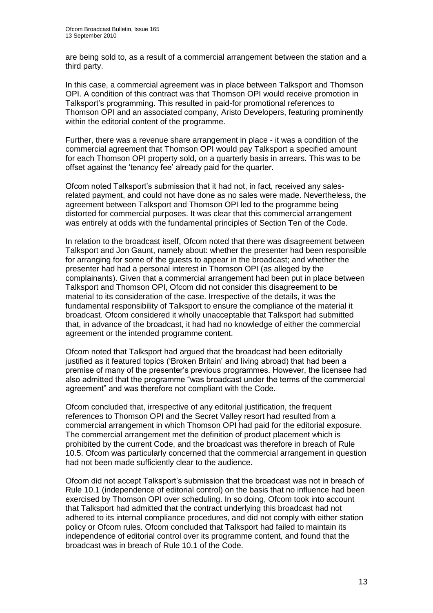are being sold to, as a result of a commercial arrangement between the station and a third party.

In this case, a commercial agreement was in place between Talksport and Thomson OPI. A condition of this contract was that Thomson OPI would receive promotion in Talksport"s programming. This resulted in paid-for promotional references to Thomson OPI and an associated company, Aristo Developers, featuring prominently within the editorial content of the programme.

Further, there was a revenue share arrangement in place - it was a condition of the commercial agreement that Thomson OPI would pay Talksport a specified amount for each Thomson OPI property sold, on a quarterly basis in arrears. This was to be offset against the "tenancy fee" already paid for the quarter.

Ofcom noted Talksport"s submission that it had not, in fact, received any salesrelated payment, and could not have done as no sales were made. Nevertheless, the agreement between Talksport and Thomson OPI led to the programme being distorted for commercial purposes. It was clear that this commercial arrangement was entirely at odds with the fundamental principles of Section Ten of the Code.

In relation to the broadcast itself, Ofcom noted that there was disagreement between Talksport and Jon Gaunt, namely about: whether the presenter had been responsible for arranging for some of the guests to appear in the broadcast; and whether the presenter had had a personal interest in Thomson OPI (as alleged by the complainants). Given that a commercial arrangement had been put in place between Talksport and Thomson OPI, Ofcom did not consider this disagreement to be material to its consideration of the case. Irrespective of the details, it was the fundamental responsibility of Talksport to ensure the compliance of the material it broadcast. Ofcom considered it wholly unacceptable that Talksport had submitted that, in advance of the broadcast, it had had no knowledge of either the commercial agreement or the intended programme content.

Ofcom noted that Talksport had argued that the broadcast had been editorially justified as it featured topics ('Broken Britain' and living abroad) that had been a premise of many of the presenter"s previous programmes. However, the licensee had also admitted that the programme "was broadcast under the terms of the commercial agreement" and was therefore not compliant with the Code.

Ofcom concluded that, irrespective of any editorial justification, the frequent references to Thomson OPI and the Secret Valley resort had resulted from a commercial arrangement in which Thomson OPI had paid for the editorial exposure. The commercial arrangement met the definition of product placement which is prohibited by the current Code, and the broadcast was therefore in breach of Rule 10.5. Ofcom was particularly concerned that the commercial arrangement in question had not been made sufficiently clear to the audience.

Ofcom did not accept Talksport"s submission that the broadcast was not in breach of Rule 10.1 (independence of editorial control) on the basis that no influence had been exercised by Thomson OPI over scheduling. In so doing, Ofcom took into account that Talksport had admitted that the contract underlying this broadcast had not adhered to its internal compliance procedures, and did not comply with either station policy or Ofcom rules. Ofcom concluded that Talksport had failed to maintain its independence of editorial control over its programme content, and found that the broadcast was in breach of Rule 10.1 of the Code.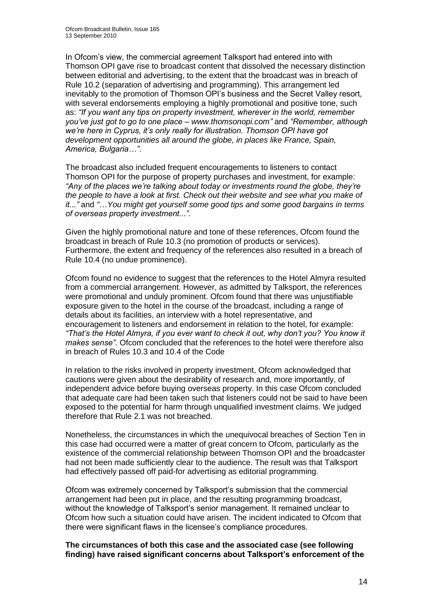In Ofcom"s view, the commercial agreement Talksport had entered into with Thomson OPI gave rise to broadcast content that dissolved the necessary distinction between editorial and advertising, to the extent that the broadcast was in breach of Rule 10.2 (separation of advertising and programming). This arrangement led inevitably to the promotion of Thomson OPI"s business and the Secret Valley resort, with several endorsements employing a highly promotional and positive tone, such as: *"If you want any tips on property investment, wherever in the world, remember you"ve just got to go to one place – www.thomsonopi.com"* and *"Remember, although we"re here in Cyprus, it"s only really for illustration. Thomson OPI have got development opportunities all around the globe, in places like France, Spain, America, Bulgaria…"*.

The broadcast also included frequent encouragements to listeners to contact Thomson OPI for the purpose of property purchases and investment, for example: *"Any of the places we"re talking about today or investments round the globe, they"re the people to have a look at first. Check out their website and see what you make of it..."* and *"*…*You might get yourself some good tips and some good bargains in terms of overseas property investment..."*.

Given the highly promotional nature and tone of these references, Ofcom found the broadcast in breach of Rule 10.3 (no promotion of products or services). Furthermore, the extent and frequency of the references also resulted in a breach of Rule 10.4 (no undue prominence).

Ofcom found no evidence to suggest that the references to the Hotel Almyra resulted from a commercial arrangement. However, as admitted by Talksport, the references were promotional and unduly prominent. Ofcom found that there was unjustifiable exposure given to the hotel in the course of the broadcast, including a range of details about its facilities, an interview with a hotel representative, and encouragement to listeners and endorsement in relation to the hotel, for example: *"That"s the Hotel Almyra, if you ever want to check it out, why don"t you? You know it makes sense"*. Ofcom concluded that the references to the hotel were therefore also in breach of Rules 10.3 and 10.4 of the Code

In relation to the risks involved in property investment, Ofcom acknowledged that cautions were given about the desirability of research and, more importantly, of independent advice before buying overseas property. In this case Ofcom concluded that adequate care had been taken such that listeners could not be said to have been exposed to the potential for harm through unqualified investment claims. We judged therefore that Rule 2.1 was not breached.

Nonetheless, the circumstances in which the unequivocal breaches of Section Ten in this case had occurred were a matter of great concern to Ofcom, particularly as the existence of the commercial relationship between Thomson OPI and the broadcaster had not been made sufficiently clear to the audience. The result was that Talksport had effectively passed off paid-for advertising as editorial programming.

Ofcom was extremely concerned by Talksport"s submission that the commercial arrangement had been put in place, and the resulting programming broadcast, without the knowledge of Talksport"s senior management. It remained unclear to Ofcom how such a situation could have arisen. The incident indicated to Ofcom that there were significant flaws in the licensee's compliance procedures.

**The circumstances of both this case and the associated case (see following finding) have raised significant concerns about Talksport's enforcement of the**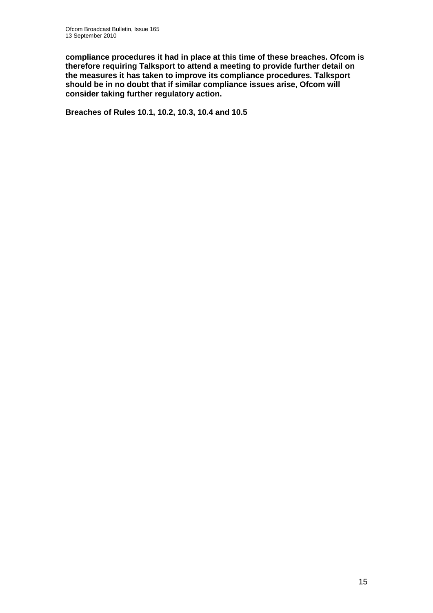**compliance procedures it had in place at this time of these breaches. Ofcom is therefore requiring Talksport to attend a meeting to provide further detail on the measures it has taken to improve its compliance procedures. Talksport should be in no doubt that if similar compliance issues arise, Ofcom will consider taking further regulatory action.**

**Breaches of Rules 10.1, 10.2, 10.3, 10.4 and 10.5**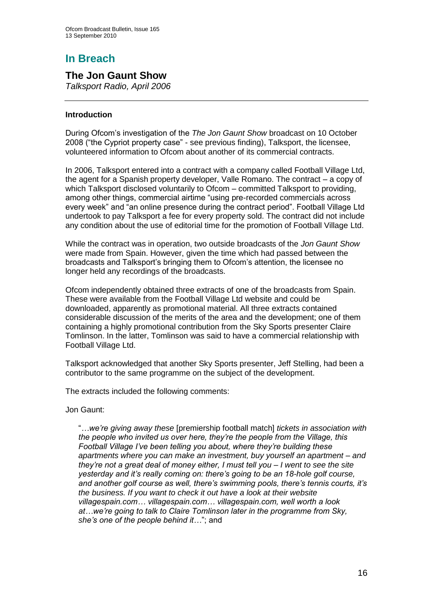# **In Breach**

## **The Jon Gaunt Show**

*Talksport Radio, April 2006*

#### **Introduction**

During Ofcom"s investigation of the *The Jon Gaunt Show* broadcast on 10 October 2008 ("the Cypriot property case" - see previous finding), Talksport, the licensee, volunteered information to Ofcom about another of its commercial contracts.

In 2006, Talksport entered into a contract with a company called Football Village Ltd, the agent for a Spanish property developer, Valle Romano. The contract – a copy of which Talksport disclosed voluntarily to Ofcom – committed Talksport to providing, among other things, commercial airtime "using pre-recorded commercials across every week" and "an online presence during the contract period". Football Village Ltd undertook to pay Talksport a fee for every property sold. The contract did not include any condition about the use of editorial time for the promotion of Football Village Ltd.

While the contract was in operation, two outside broadcasts of the *Jon Gaunt Show* were made from Spain. However, given the time which had passed between the broadcasts and Talksport"s bringing them to Ofcom"s attention, the licensee no longer held any recordings of the broadcasts.

Ofcom independently obtained three extracts of one of the broadcasts from Spain. These were available from the Football Village Ltd website and could be downloaded, apparently as promotional material. All three extracts contained considerable discussion of the merits of the area and the development; one of them containing a highly promotional contribution from the Sky Sports presenter Claire Tomlinson. In the latter, Tomlinson was said to have a commercial relationship with Football Village Ltd.

Talksport acknowledged that another Sky Sports presenter, Jeff Stelling, had been a contributor to the same programme on the subject of the development.

The extracts included the following comments:

Jon Gaunt:

"*…we"re giving away these* [premiership football match] *tickets in association with the people who invited us over here, they"re the people from the Village, this Football Village I"ve been telling you about, where they"re building these apartments where you can make an investment, buy yourself an apartment – and they"re not a great deal of money either, I must tell you – I went to see the site yesterday and it"s really coming on: there"s going to be an 18-hole golf course, and another golf course as well, there"s swimming pools, there"s tennis courts, it"s the business. If you want to check it out have a look at their website villagespain.com… villagespain.com… villagespain.com, well worth a look at…we"re going to talk to Claire Tomlinson later in the programme from Sky, she"s one of the people behind it…*"; and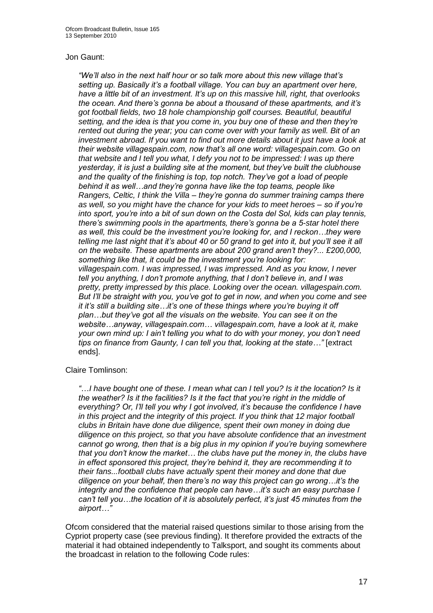#### Jon Gaunt:

*"We"ll also in the next half hour or so talk more about this new village that"s setting up. Basically it"s a football village. You can buy an apartment over here, have a little bit of an investment. It"s up on this massive hill, right, that overlooks the ocean. And there"s gonna be about a thousand of these apartments, and it"s got football fields, two 18 hole championship golf courses. Beautiful, beautiful setting, and the idea is that you come in, you buy one of these and then they"re rented out during the year; you can come over with your family as well. Bit of an investment abroad. If you want to find out more details about it just have a look at their website villagespain.com, now that"s all one word: villagespain.com. Go on that website and I tell you what, I defy you not to be impressed: I was up there yesterday, it is just a building site at the moment, but they"ve built the clubhouse and the quality of the finishing is top, top notch. They"ve got a load of people behind it as well…and they"re gonna have like the top teams, people like Rangers, Celtic, I think the Villa – they"re gonna do summer training camps there as well, so you might have the chance for your kids to meet heroes – so if you"re into sport, you"re into a bit of sun down on the Costa del Sol, kids can play tennis, there"s swimming pools in the apartments, there"s gonna be a 5-star hotel there as well, this could be the investment you"re looking for, and I reckon…they were telling me last night that it's about 40 or 50 grand to get into it, but you'll see it all on the website. These apartments are about 200 grand aren"t they?... £200,000, something like that, it could be the investment you"re looking for: villagespain.com. I was impressed, I was impressed. And as you know, I never tell you anything, I don"t promote anything, that I don"t believe in, and I was pretty, pretty impressed by this place. Looking over the ocean. villagespain.com. But I"ll be straight with you, you"ve got to get in now, and when you come and see it it"s still a building site…it"s one of these things where you"re buying it off plan…but they"ve got all the visuals on the website. You can see it on the website…anyway, villagespain.com… villagespain.com, have a look at it, make your own mind up: I ain"t telling you what to do with your money, you don"t need tips on finance from Gaunty, I can tell you that, looking at the state…"* [extract ends].

#### Claire Tomlinson:

*"*…*I have bought one of these. I mean what can I tell you? Is it the location? Is it the weather? Is it the facilities? Is it the fact that you"re right in the middle of everything? Or, I"ll tell you why I got involved, it"s because the confidence I have in this project and the integrity of this project. If you think that 12 major football clubs in Britain have done due diligence, spent their own money in doing due diligence on this project, so that you have absolute confidence that an investment cannot go wrong, then that is a big plus in my opinion if you"re buying somewhere that you don"t know the market… the clubs have put the money in, the clubs have in effect sponsored this project, they"re behind it, they are recommending it to their fans...football clubs have actually spent their money and done that due diligence on your behalf, then there"s no way this project can go wrong…it"s the integrity and the confidence that people can have…it"s such an easy purchase I can"t tell you…the location of it is absolutely perfect, it"s just 45 minutes from the airport…"*

Ofcom considered that the material raised questions similar to those arising from the Cypriot property case (see previous finding). It therefore provided the extracts of the material it had obtained independently to Talksport, and sought its comments about the broadcast in relation to the following Code rules: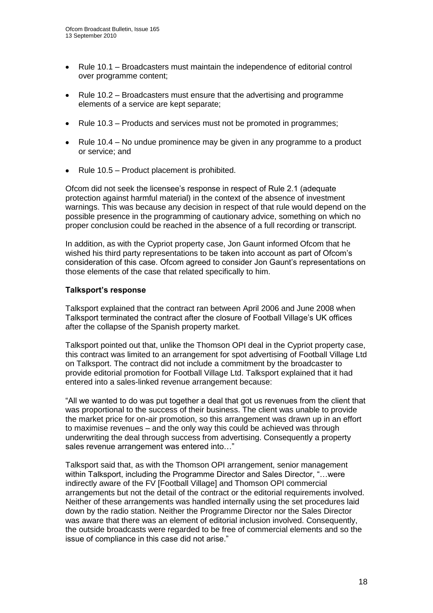- Rule 10.1 Broadcasters must maintain the independence of editorial control  $\bullet$ over programme content;
- $\bullet$ Rule 10.2 – Broadcasters must ensure that the advertising and programme elements of a service are kept separate;
- Rule 10.3 Products and services must not be promoted in programmes;  $\bullet$
- Rule 10.4 No undue prominence may be given in any programme to a product or service; and
- Rule 10.5 Product placement is prohibited.

Ofcom did not seek the licensee"s response in respect of Rule 2.1 (adequate protection against harmful material) in the context of the absence of investment warnings. This was because any decision in respect of that rule would depend on the possible presence in the programming of cautionary advice, something on which no proper conclusion could be reached in the absence of a full recording or transcript.

In addition, as with the Cypriot property case, Jon Gaunt informed Ofcom that he wished his third party representations to be taken into account as part of Ofcom"s consideration of this case. Ofcom agreed to consider Jon Gaunt"s representations on those elements of the case that related specifically to him.

#### **Talksport's response**

Talksport explained that the contract ran between April 2006 and June 2008 when Talksport terminated the contract after the closure of Football Village"s UK offices after the collapse of the Spanish property market.

Talksport pointed out that, unlike the Thomson OPI deal in the Cypriot property case, this contract was limited to an arrangement for spot advertising of Football Village Ltd on Talksport. The contract did not include a commitment by the broadcaster to provide editorial promotion for Football Village Ltd. Talksport explained that it had entered into a sales-linked revenue arrangement because:

"All we wanted to do was put together a deal that got us revenues from the client that was proportional to the success of their business. The client was unable to provide the market price for on-air promotion, so this arrangement was drawn up in an effort to maximise revenues – and the only way this could be achieved was through underwriting the deal through success from advertising. Consequently a property sales revenue arrangement was entered into…"

Talksport said that, as with the Thomson OPI arrangement, senior management within Talksport, including the Programme Director and Sales Director, "…were indirectly aware of the FV [Football Village] and Thomson OPI commercial arrangements but not the detail of the contract or the editorial requirements involved. Neither of these arrangements was handled internally using the set procedures laid down by the radio station. Neither the Programme Director nor the Sales Director was aware that there was an element of editorial inclusion involved. Consequently, the outside broadcasts were regarded to be free of commercial elements and so the issue of compliance in this case did not arise."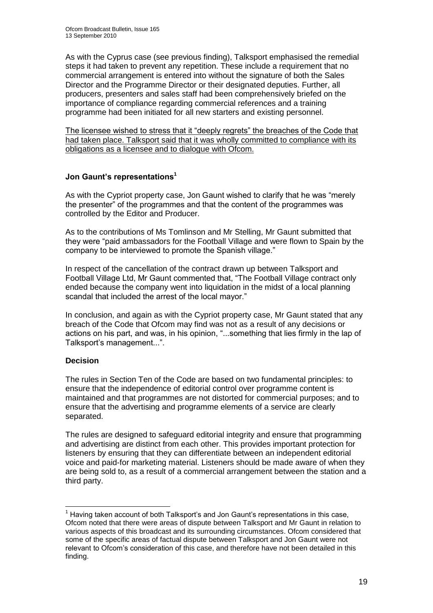As with the Cyprus case (see previous finding), Talksport emphasised the remedial steps it had taken to prevent any repetition. These include a requirement that no commercial arrangement is entered into without the signature of both the Sales Director and the Programme Director or their designated deputies. Further, all producers, presenters and sales staff had been comprehensively briefed on the importance of compliance regarding commercial references and a training programme had been initiated for all new starters and existing personnel.

The licensee wished to stress that it "deeply regrets" the breaches of the Code that had taken place. Talksport said that it was wholly committed to compliance with its obligations as a licensee and to dialogue with Ofcom.

#### **Jon Gaunt's representations<sup>1</sup>**

As with the Cypriot property case, Jon Gaunt wished to clarify that he was "merely the presenter" of the programmes and that the content of the programmes was controlled by the Editor and Producer.

As to the contributions of Ms Tomlinson and Mr Stelling, Mr Gaunt submitted that they were "paid ambassadors for the Football Village and were flown to Spain by the company to be interviewed to promote the Spanish village."

In respect of the cancellation of the contract drawn up between Talksport and Football Village Ltd, Mr Gaunt commented that, "The Football Village contract only ended because the company went into liquidation in the midst of a local planning scandal that included the arrest of the local mayor."

In conclusion, and again as with the Cypriot property case, Mr Gaunt stated that any breach of the Code that Ofcom may find was not as a result of any decisions or actions on his part, and was, in his opinion, "...something that lies firmly in the lap of Talksport"s management...".

#### **Decision**

The rules in Section Ten of the Code are based on two fundamental principles: to ensure that the independence of editorial control over programme content is maintained and that programmes are not distorted for commercial purposes; and to ensure that the advertising and programme elements of a service are clearly separated.

The rules are designed to safeguard editorial integrity and ensure that programming and advertising are distinct from each other. This provides important protection for listeners by ensuring that they can differentiate between an independent editorial voice and paid-for marketing material. Listeners should be made aware of when they are being sold to, as a result of a commercial arrangement between the station and a third party.

<sup>1</sup>  $<sup>1</sup>$  Having taken account of both Talksport's and Jon Gaunt's representations in this case.</sup> Ofcom noted that there were areas of dispute between Talksport and Mr Gaunt in relation to various aspects of this broadcast and its surrounding circumstances. Ofcom considered that some of the specific areas of factual dispute between Talksport and Jon Gaunt were not relevant to Ofcom"s consideration of this case, and therefore have not been detailed in this finding.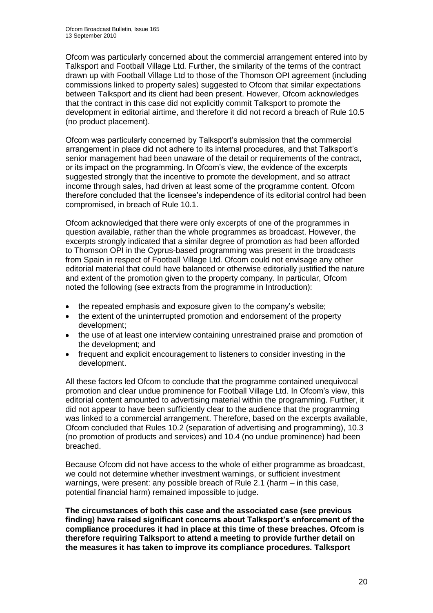Ofcom was particularly concerned about the commercial arrangement entered into by Talksport and Football Village Ltd. Further, the similarity of the terms of the contract drawn up with Football Village Ltd to those of the Thomson OPI agreement (including commissions linked to property sales) suggested to Ofcom that similar expectations between Talksport and its client had been present. However, Ofcom acknowledges that the contract in this case did not explicitly commit Talksport to promote the development in editorial airtime, and therefore it did not record a breach of Rule 10.5 (no product placement).

Ofcom was particularly concerned by Talksport"s submission that the commercial arrangement in place did not adhere to its internal procedures, and that Talksport"s senior management had been unaware of the detail or requirements of the contract, or its impact on the programming. In Ofcom"s view, the evidence of the excerpts suggested strongly that the incentive to promote the development, and so attract income through sales, had driven at least some of the programme content. Ofcom therefore concluded that the licensee"s independence of its editorial control had been compromised, in breach of Rule 10.1.

Ofcom acknowledged that there were only excerpts of one of the programmes in question available, rather than the whole programmes as broadcast. However, the excerpts strongly indicated that a similar degree of promotion as had been afforded to Thomson OPI in the Cyprus-based programming was present in the broadcasts from Spain in respect of Football Village Ltd. Ofcom could not envisage any other editorial material that could have balanced or otherwise editorially justified the nature and extent of the promotion given to the property company. In particular, Ofcom noted the following (see extracts from the programme in Introduction):

- the repeated emphasis and exposure given to the company's website;
- the extent of the uninterrupted promotion and endorsement of the property development;
- the use of at least one interview containing unrestrained praise and promotion of the development; and
- $\bullet$ frequent and explicit encouragement to listeners to consider investing in the development.

All these factors led Ofcom to conclude that the programme contained unequivocal promotion and clear undue prominence for Football Village Ltd. In Ofcom"s view, this editorial content amounted to advertising material within the programming. Further, it did not appear to have been sufficiently clear to the audience that the programming was linked to a commercial arrangement. Therefore, based on the excerpts available, Ofcom concluded that Rules 10.2 (separation of advertising and programming), 10.3 (no promotion of products and services) and 10.4 (no undue prominence) had been breached.

Because Ofcom did not have access to the whole of either programme as broadcast, we could not determine whether investment warnings, or sufficient investment warnings, were present: any possible breach of Rule 2.1 (harm – in this case, potential financial harm) remained impossible to judge.

**The circumstances of both this case and the associated case (see previous finding) have raised significant concerns about Talksport's enforcement of the compliance procedures it had in place at this time of these breaches. Ofcom is therefore requiring Talksport to attend a meeting to provide further detail on the measures it has taken to improve its compliance procedures. Talksport**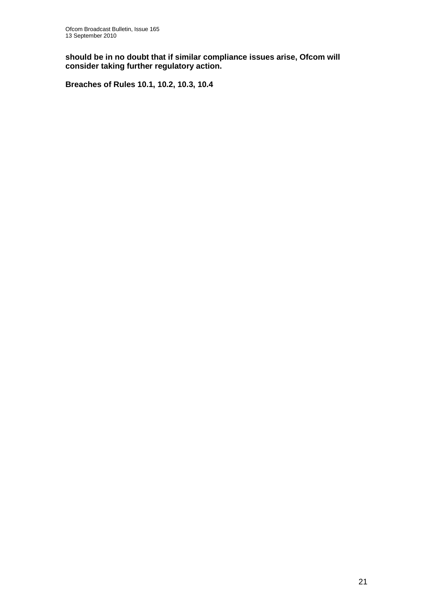**should be in no doubt that if similar compliance issues arise, Ofcom will consider taking further regulatory action.**

**Breaches of Rules 10.1, 10.2, 10.3, 10.4**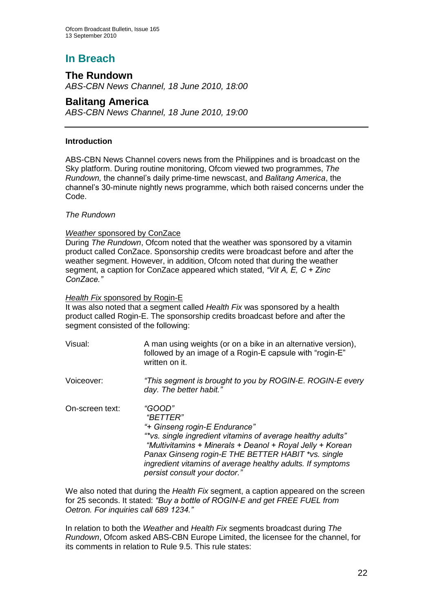# **In Breach**

## **The Rundown**

*ABS-CBN News Channel, 18 June 2010, 18:00*

## **Balitang America**

*ABS-CBN News Channel, 18 June 2010, 19:00*

#### **Introduction**

ABS-CBN News Channel covers news from the Philippines and is broadcast on the Sky platform. During routine monitoring, Ofcom viewed two programmes, *The Rundown,* the channel"s daily prime-time newscast, and *Balitang America*, the channel"s 30-minute nightly news programme, which both raised concerns under the Code.

#### *The Rundown*

#### *Weather* sponsored by ConZace

During *The Rundown*, Ofcom noted that the weather was sponsored by a vitamin product called ConZace. Sponsorship credits were broadcast before and after the weather segment. However, in addition, Ofcom noted that during the weather segment, a caption for ConZace appeared which stated, *"Vit A, E, C + Zinc ConZace."*

#### *Health Fix* sponsored by Rogin-E

It was also noted that a segment called *Health Fix* was sponsored by a health product called Rogin-E. The sponsorship credits broadcast before and after the segment consisted of the following:

| Visual:         | A man using weights (or on a bike in an alternative version),<br>followed by an image of a Rogin-E capsule with "rogin-E"<br>written on it.                                                                                                                                                                                          |
|-----------------|--------------------------------------------------------------------------------------------------------------------------------------------------------------------------------------------------------------------------------------------------------------------------------------------------------------------------------------|
| Voiceover:      | "This segment is brought to you by ROGIN-E. ROGIN-E every<br>day. The better habit."                                                                                                                                                                                                                                                 |
| On-screen text: | "GOOD"<br>"BETTER"<br>"+ Ginseng rogin-E Endurance"<br>"*vs. single ingredient vitamins of average healthy adults"<br>"Multivitamins + Minerals + Deanol + Royal Jelly + Korean<br>Panax Ginseng rogin-E THE BETTER HABIT *vs. single<br>ingredient vitamins of average healthy adults. If symptoms<br>persist consult your doctor." |

We also noted that during the *Health Fix* segment, a caption appeared on the screen for 25 seconds. It stated: *"Buy a bottle of ROGIN-E and get FREE FUEL from Oetron. For inquiries call 689 1234."* 

In relation to both the *Weather* and *Health Fix* segments broadcast during *The Rundown*, Ofcom asked ABS-CBN Europe Limited, the licensee for the channel, for its comments in relation to Rule 9.5. This rule states: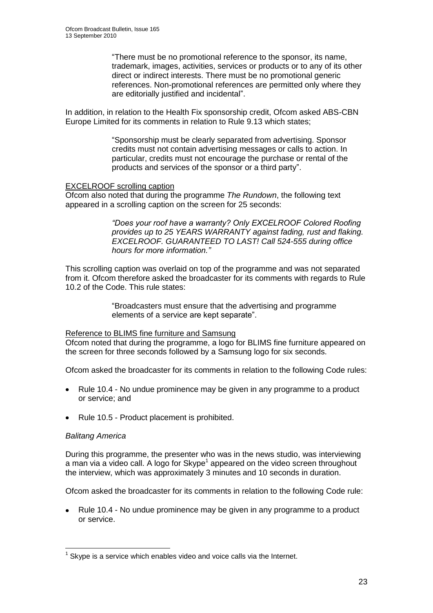"There must be no promotional reference to the sponsor, its name, trademark, images, activities, services or products or to any of its other direct or indirect interests. There must be no promotional generic references. Non-promotional references are permitted only where they are editorially justified and incidental".

In addition, in relation to the Health Fix sponsorship credit, Ofcom asked ABS-CBN Europe Limited for its comments in relation to Rule 9.13 which states;

> "Sponsorship must be clearly separated from advertising. Sponsor credits must not contain advertising messages or calls to action. In particular, credits must not encourage the purchase or rental of the products and services of the sponsor or a third party".

#### EXCELROOF scrolling caption

Ofcom also noted that during the programme *The Rundown*, the following text appeared in a scrolling caption on the screen for 25 seconds:

> *"Does your roof have a warranty? Only EXCELROOF Colored Roofing provides up to 25 YEARS WARRANTY against fading, rust and flaking. EXCELROOF. GUARANTEED TO LAST! Call 524-555 during office hours for more information."*

This scrolling caption was overlaid on top of the programme and was not separated from it. Ofcom therefore asked the broadcaster for its comments with regards to Rule 10.2 of the Code. This rule states:

> "Broadcasters must ensure that the advertising and programme elements of a service are kept separate".

#### Reference to BLIMS fine furniture and Samsung

Ofcom noted that during the programme, a logo for BLIMS fine furniture appeared on the screen for three seconds followed by a Samsung logo for six seconds.

Ofcom asked the broadcaster for its comments in relation to the following Code rules:

- Rule 10.4 No undue prominence may be given in any programme to a product  $\bullet$ or service; and
- Rule 10.5 Product placement is prohibited.

#### *Balitang America*

During this programme, the presenter who was in the news studio, was interviewing a man via a video call. A logo for Skype<sup>1</sup> appeared on the video screen throughout the interview, which was approximately 3 minutes and 10 seconds in duration.

Ofcom asked the broadcaster for its comments in relation to the following Code rule:

Rule 10.4 - No undue prominence may be given in any programme to a product or service.

<sup>1</sup>  $1$  Skype is a service which enables video and voice calls via the Internet.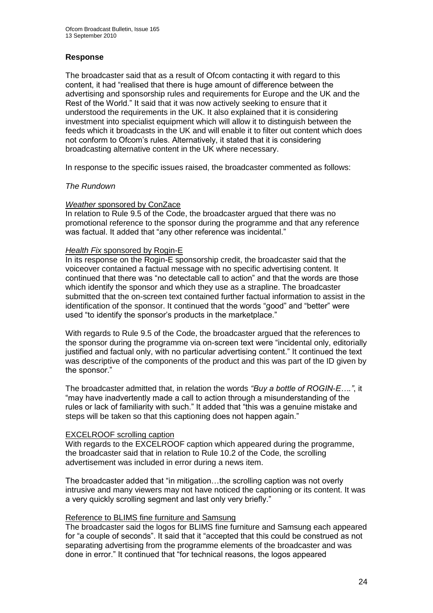#### **Response**

The broadcaster said that as a result of Ofcom contacting it with regard to this content, it had "realised that there is huge amount of difference between the advertising and sponsorship rules and requirements for Europe and the UK and the Rest of the World." It said that it was now actively seeking to ensure that it understood the requirements in the UK. It also explained that it is considering investment into specialist equipment which will allow it to distinguish between the feeds which it broadcasts in the UK and will enable it to filter out content which does not conform to Ofcom"s rules. Alternatively, it stated that it is considering broadcasting alternative content in the UK where necessary.

In response to the specific issues raised, the broadcaster commented as follows:

#### *The Rundown*

#### *Weather* sponsored by ConZace

In relation to Rule 9.5 of the Code, the broadcaster argued that there was no promotional reference to the sponsor during the programme and that any reference was factual. It added that "any other reference was incidental."

#### *Health Fix* sponsored by Rogin-E

In its response on the Rogin-E sponsorship credit, the broadcaster said that the voiceover contained a factual message with no specific advertising content. It continued that there was "no detectable call to action" and that the words are those which identify the sponsor and which they use as a strapline. The broadcaster submitted that the on-screen text contained further factual information to assist in the identification of the sponsor. It continued that the words "good" and "better" were used "to identify the sponsor's products in the marketplace."

With regards to Rule 9.5 of the Code, the broadcaster argued that the references to the sponsor during the programme via on-screen text were "incidental only, editorially justified and factual only, with no particular advertising content." It continued the text was descriptive of the components of the product and this was part of the ID given by the sponsor."

The broadcaster admitted that, in relation the words *"Buy a bottle of ROGIN-E…."*, it "may have inadvertently made a call to action through a misunderstanding of the rules or lack of familiarity with such." It added that "this was a genuine mistake and steps will be taken so that this captioning does not happen again."

#### EXCELROOF scrolling caption

With regards to the EXCELROOF caption which appeared during the programme. the broadcaster said that in relation to Rule 10.2 of the Code, the scrolling advertisement was included in error during a news item.

The broadcaster added that "in mitigation…the scrolling caption was not overly intrusive and many viewers may not have noticed the captioning or its content. It was a very quickly scrolling segment and last only very briefly."

#### Reference to BLIMS fine furniture and Samsung

The broadcaster said the logos for BLIMS fine furniture and Samsung each appeared for "a couple of seconds". It said that it "accepted that this could be construed as not separating advertising from the programme elements of the broadcaster and was done in error." It continued that "for technical reasons, the logos appeared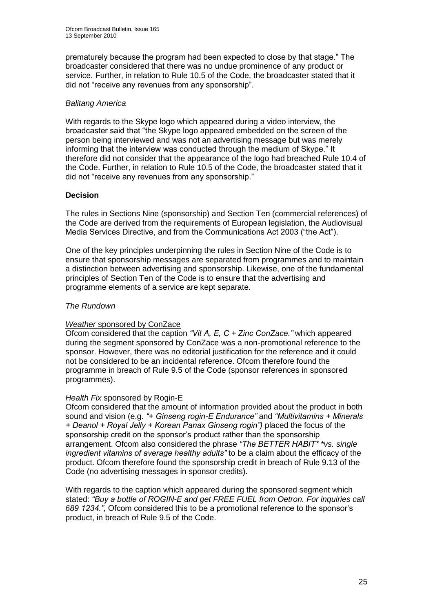prematurely because the program had been expected to close by that stage." The broadcaster considered that there was no undue prominence of any product or service. Further, in relation to Rule 10.5 of the Code, the broadcaster stated that it did not "receive any revenues from any sponsorship".

#### *Balitang America*

With regards to the Skype logo which appeared during a video interview, the broadcaster said that "the Skype logo appeared embedded on the screen of the person being interviewed and was not an advertising message but was merely informing that the interview was conducted through the medium of Skype." It therefore did not consider that the appearance of the logo had breached Rule 10.4 of the Code. Further, in relation to Rule 10.5 of the Code, the broadcaster stated that it did not "receive any revenues from any sponsorship."

#### **Decision**

The rules in Sections Nine (sponsorship) and Section Ten (commercial references) of the Code are derived from the requirements of European legislation, the Audiovisual Media Services Directive, and from the Communications Act 2003 ("the Act").

One of the key principles underpinning the rules in Section Nine of the Code is to ensure that sponsorship messages are separated from programmes and to maintain a distinction between advertising and sponsorship. Likewise, one of the fundamental principles of Section Ten of the Code is to ensure that the advertising and programme elements of a service are kept separate.

#### *The Rundown*

#### *Weather* sponsored by ConZace

Ofcom considered that the caption *"Vit A, E, C + Zinc ConZace."* which appeared during the segment sponsored by ConZace was a non-promotional reference to the sponsor. However, there was no editorial justification for the reference and it could not be considered to be an incidental reference. Ofcom therefore found the programme in breach of Rule 9.5 of the Code (sponsor references in sponsored programmes).

#### *Health Fix* sponsored by Rogin-E

Ofcom considered that the amount of information provided about the product in both sound and vision (e.g. *"+ Ginseng rogin-E Endurance"* and *"Multivitamins + Minerals + Deanol + Royal Jelly + Korean Panax Ginseng rogin")* placed the focus of the sponsorship credit on the sponsor"s product rather than the sponsorship arrangement. Ofcom also considered the phrase *"The BETTER HABIT\* \*vs. single ingredient vitamins of average healthy adults"* to be a claim about the efficacy of the product. Ofcom therefore found the sponsorship credit in breach of Rule 9.13 of the Code (no advertising messages in sponsor credits).

With regards to the caption which appeared during the sponsored segment which stated: *"Buy a bottle of ROGIN-E and get FREE FUEL from Oetron. For inquiries call 689 1234.",* Ofcom considered this to be a promotional reference to the sponsor"s product, in breach of Rule 9.5 of the Code.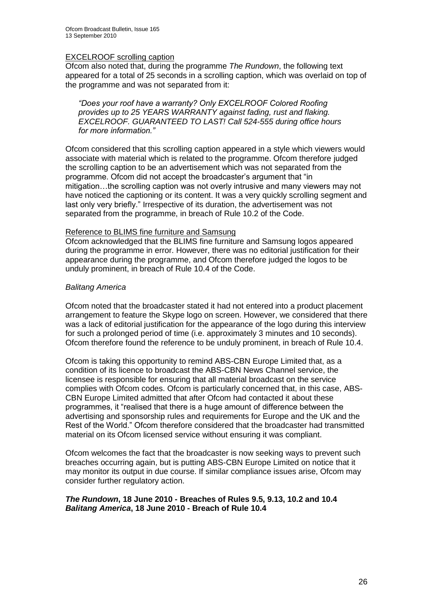#### EXCELROOF scrolling caption

Ofcom also noted that, during the programme *The Rundown*, the following text appeared for a total of 25 seconds in a scrolling caption, which was overlaid on top of the programme and was not separated from it:

*"Does your roof have a warranty? Only EXCELROOF Colored Roofing provides up to 25 YEARS WARRANTY against fading, rust and flaking. EXCELROOF. GUARANTEED TO LAST! Call 524-555 during office hours for more information."*

Ofcom considered that this scrolling caption appeared in a style which viewers would associate with material which is related to the programme. Ofcom therefore judged the scrolling caption to be an advertisement which was not separated from the programme. Ofcom did not accept the broadcaster"s argument that "in mitigation…the scrolling caption was not overly intrusive and many viewers may not have noticed the captioning or its content. It was a very quickly scrolling segment and last only very briefly." Irrespective of its duration, the advertisement was not separated from the programme, in breach of Rule 10.2 of the Code.

#### Reference to BLIMS fine furniture and Samsung

Ofcom acknowledged that the BLIMS fine furniture and Samsung logos appeared during the programme in error. However, there was no editorial justification for their appearance during the programme, and Ofcom therefore judged the logos to be unduly prominent, in breach of Rule 10.4 of the Code.

#### *Balitang America*

Ofcom noted that the broadcaster stated it had not entered into a product placement arrangement to feature the Skype logo on screen. However, we considered that there was a lack of editorial justification for the appearance of the logo during this interview for such a prolonged period of time (i.e. approximately 3 minutes and 10 seconds). Ofcom therefore found the reference to be unduly prominent, in breach of Rule 10.4.

Ofcom is taking this opportunity to remind ABS-CBN Europe Limited that, as a condition of its licence to broadcast the ABS-CBN News Channel service, the licensee is responsible for ensuring that all material broadcast on the service complies with Ofcom codes. Ofcom is particularly concerned that, in this case, ABS-CBN Europe Limited admitted that after Ofcom had contacted it about these programmes, it "realised that there is a huge amount of difference between the advertising and sponsorship rules and requirements for Europe and the UK and the Rest of the World." Ofcom therefore considered that the broadcaster had transmitted material on its Ofcom licensed service without ensuring it was compliant.

Ofcom welcomes the fact that the broadcaster is now seeking ways to prevent such breaches occurring again, but is putting ABS-CBN Europe Limited on notice that it may monitor its output in due course. If similar compliance issues arise, Ofcom may consider further regulatory action.

#### *The Rundown***, 18 June 2010 - Breaches of Rules 9.5, 9.13, 10.2 and 10.4** *Balitang America***, 18 June 2010 - Breach of Rule 10.4**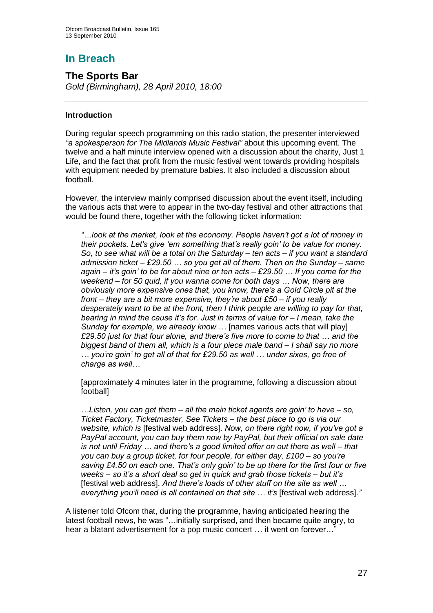# **In Breach**

**The Sports Bar** *Gold (Birmingham), 28 April 2010, 18:00*

#### **Introduction**

During regular speech programming on this radio station, the presenter interviewed *"a spokesperson for The Midlands Music Festival"* about this upcoming event. The twelve and a half minute interview opened with a discussion about the charity, Just 1 Life, and the fact that profit from the music festival went towards providing hospitals with equipment needed by premature babies. It also included a discussion about football.

However, the interview mainly comprised discussion about the event itself, including the various acts that were to appear in the two-day festival and other attractions that would be found there, together with the following ticket information:

*"…look at the market, look at the economy. People haven"t got a lot of money in their pockets. Let"s give "em something that"s really goin" to be value for money. So, to see what will be a total on the Saturday – ten acts – if you want a standard admission ticket – £29.50 … so you get all of them. Then on the Sunday – same again – it"s goin" to be for about nine or ten acts – £29.50 … If you come for the weekend – for 50 quid, if you wanna come for both days … Now, there are obviously more expensive ones that, you know, there"s a Gold Circle pit at the front – they are a bit more expensive, they"re about £50 – if you really desperately want to be at the front, then I think people are willing to pay for that, bearing in mind the cause it"s for. Just in terms of value for – I mean, take the Sunday for example, we already know …* [names various acts that will play] *£29.50 just for that four alone, and there"s five more to come to that … and the biggest band of them all, which is a four piece male band – I shall say no more … you"re goin" to get all of that for £29.50 as well … under sixes, go free of charge as well…*

[approximately 4 minutes later in the programme, following a discussion about football]

*…Listen, you can get them – all the main ticket agents are goin" to have – so, Ticket Factory, Ticketmaster, See Tickets – the best place to go is via our website, which is* [festival web address]. *Now, on there right now, if you"ve got a PayPal account, you can buy them now by PayPal, but their official on sale date is not until Friday … and there"s a good limited offer on out there as well – that you can buy a group ticket, for four people, for either day, £100 – so you"re saving £4.50 on each one. That"s only goin" to be up there for the first four or five weeks – so it"s a short deal so get in quick and grab those tickets – but it"s*  [festival web address]*. And there"s loads of other stuff on the site as well … everything you"ll need is all contained on that site … it"s* [festival web address]*."*

A listener told Ofcom that, during the programme, having anticipated hearing the latest football news, he was "…initially surprised, and then became quite angry, to hear a blatant advertisement for a pop music concert ... it went on forever..."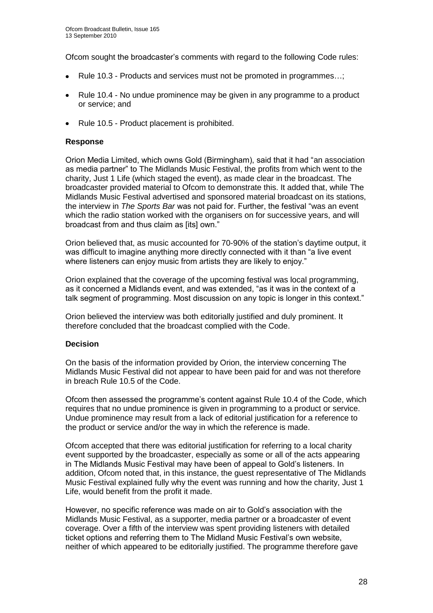Ofcom sought the broadcaster"s comments with regard to the following Code rules:

- Rule 10.3 Products and services must not be promoted in programmes…;
- Rule 10.4 No undue prominence may be given in any programme to a product  $\bullet$ or service; and
- Rule 10.5 Product placement is prohibited.

#### **Response**

Orion Media Limited, which owns Gold (Birmingham), said that it had "an association as media partner" to The Midlands Music Festival, the profits from which went to the charity, Just 1 Life (which staged the event), as made clear in the broadcast. The broadcaster provided material to Ofcom to demonstrate this. It added that, while The Midlands Music Festival advertised and sponsored material broadcast on its stations, the interview in *The Sports Bar* was not paid for. Further, the festival "was an event which the radio station worked with the organisers on for successive years, and will broadcast from and thus claim as [its] own."

Orion believed that, as music accounted for 70-90% of the station"s daytime output, it was difficult to imagine anything more directly connected with it than "a live event where listeners can enjoy music from artists they are likely to enjoy."

Orion explained that the coverage of the upcoming festival was local programming, as it concerned a Midlands event, and was extended, "as it was in the context of a talk segment of programming. Most discussion on any topic is longer in this context."

Orion believed the interview was both editorially justified and duly prominent. It therefore concluded that the broadcast complied with the Code.

#### **Decision**

On the basis of the information provided by Orion, the interview concerning The Midlands Music Festival did not appear to have been paid for and was not therefore in breach Rule 10.5 of the Code.

Ofcom then assessed the programme"s content against Rule 10.4 of the Code, which requires that no undue prominence is given in programming to a product or service. Undue prominence may result from a lack of editorial justification for a reference to the product or service and/or the way in which the reference is made.

Ofcom accepted that there was editorial justification for referring to a local charity event supported by the broadcaster, especially as some or all of the acts appearing in The Midlands Music Festival may have been of appeal to Gold"s listeners. In addition, Ofcom noted that, in this instance, the guest representative of The Midlands Music Festival explained fully why the event was running and how the charity, Just 1 Life, would benefit from the profit it made.

However, no specific reference was made on air to Gold"s association with the Midlands Music Festival, as a supporter, media partner or a broadcaster of event coverage. Over a fifth of the interview was spent providing listeners with detailed ticket options and referring them to The Midland Music Festival"s own website, neither of which appeared to be editorially justified. The programme therefore gave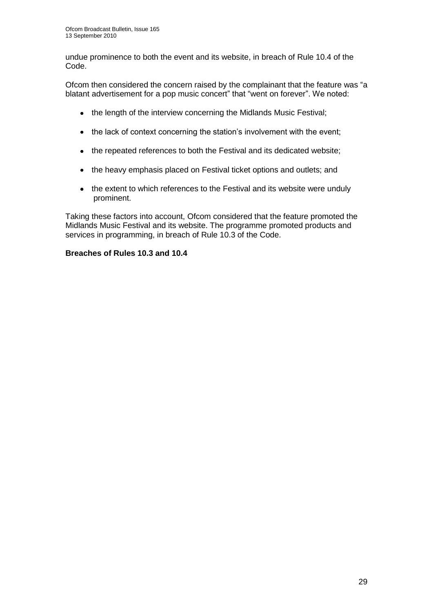undue prominence to both the event and its website, in breach of Rule 10.4 of the Code.

Ofcom then considered the concern raised by the complainant that the feature was "a blatant advertisement for a pop music concert" that "went on forever". We noted:

- the length of the interview concerning the Midlands Music Festival;
- the lack of context concerning the station's involvement with the event;
- the repeated references to both the Festival and its dedicated website:
- the heavy emphasis placed on Festival ticket options and outlets; and
- the extent to which references to the Festival and its website were unduly prominent.

Taking these factors into account, Ofcom considered that the feature promoted the Midlands Music Festival and its website. The programme promoted products and services in programming, in breach of Rule 10.3 of the Code.

#### **Breaches of Rules 10.3 and 10.4**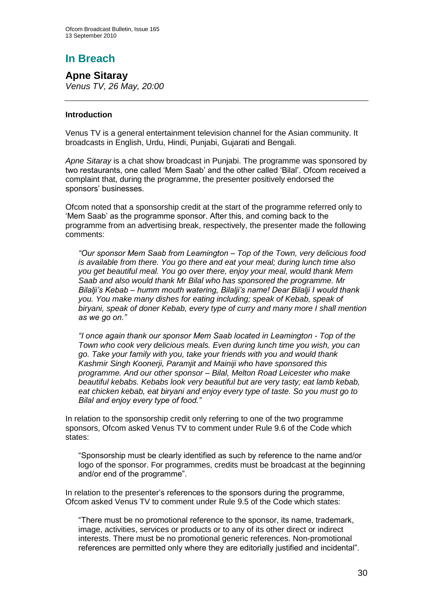# **In Breach**

**Apne Sitaray**  *Venus TV, 26 May, 20:00*

#### **Introduction**

Venus TV is a general entertainment television channel for the Asian community. It broadcasts in English, Urdu, Hindi, Punjabi, Gujarati and Bengali.

*Apne Sitaray* is a chat show broadcast in Punjabi. The programme was sponsored by two restaurants, one called "Mem Saab" and the other called "Bilal". Ofcom received a complaint that, during the programme, the presenter positively endorsed the sponsors" businesses.

Ofcom noted that a sponsorship credit at the start of the programme referred only to "Mem Saab" as the programme sponsor. After this, and coming back to the programme from an advertising break, respectively, the presenter made the following comments:

*"Our sponsor Mem Saab from Leamington – Top of the Town, very delicious food is available from there. You go there and eat your meal; during lunch time also you get beautiful meal. You go over there, enjoy your meal, would thank Mem Saab and also would thank Mr Bilal who has sponsored the programme. Mr Bilalji"s Kebab – humm mouth watering, Bilalji"s name! Dear Bilalji I would thank you. You make many dishes for eating including; speak of Kebab, speak of biryani, speak of doner Kebab, every type of curry and many more I shall mention as we go on."*

*"I once again thank our sponsor Mem Saab located in Leamington - Top of the Town who cook very delicious meals. Even during lunch time you wish, you can go. Take your family with you, take your friends with you and would thank Kashmir Singh Koonerji, Paramjit and Mainiji who have sponsored this programme. And our other sponsor – Bilal, Melton Road Leicester who make beautiful kebabs. Kebabs look very beautiful but are very tasty; eat lamb kebab, eat chicken kebab, eat biryani and enjoy every type of taste. So you must go to Bilal and enjoy every type of food."*

In relation to the sponsorship credit only referring to one of the two programme sponsors, Ofcom asked Venus TV to comment under Rule 9.6 of the Code which states:

"Sponsorship must be clearly identified as such by reference to the name and/or logo of the sponsor. For programmes, credits must be broadcast at the beginning and/or end of the programme".

In relation to the presenter"s references to the sponsors during the programme, Ofcom asked Venus TV to comment under Rule 9.5 of the Code which states:

"There must be no promotional reference to the sponsor, its name, trademark, image, activities, services or products or to any of its other direct or indirect interests. There must be no promotional generic references. Non-promotional references are permitted only where they are editorially justified and incidental".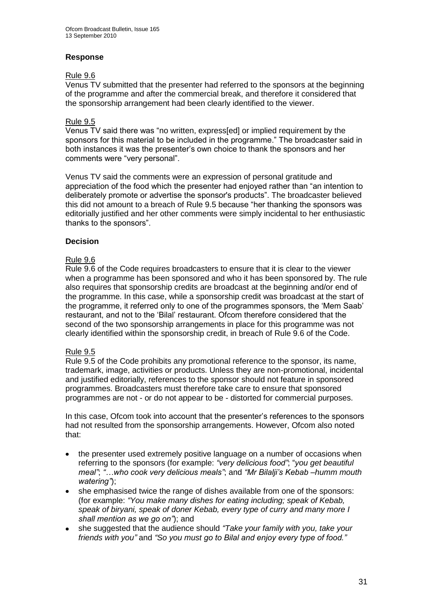#### **Response**

#### Rule 9.6

Venus TV submitted that the presenter had referred to the sponsors at the beginning of the programme and after the commercial break, and therefore it considered that the sponsorship arrangement had been clearly identified to the viewer.

#### Rule 9.5

Venus TV said there was "no written, express[ed] or implied requirement by the sponsors for this material to be included in the programme." The broadcaster said in both instances it was the presenter"s own choice to thank the sponsors and her comments were "very personal".

Venus TV said the comments were an expression of personal gratitude and appreciation of the food which the presenter had enjoyed rather than "an intention to deliberately promote or advertise the sponsor's products". The broadcaster believed this did not amount to a breach of Rule 9.5 because "her thanking the sponsors was editorially justified and her other comments were simply incidental to her enthusiastic thanks to the sponsors".

#### **Decision**

#### Rule 9.6

Rule 9.6 of the Code requires broadcasters to ensure that it is clear to the viewer when a programme has been sponsored and who it has been sponsored by. The rule also requires that sponsorship credits are broadcast at the beginning and/or end of the programme. In this case, while a sponsorship credit was broadcast at the start of the programme, it referred only to one of the programmes sponsors, the "Mem Saab" restaurant, and not to the "Bilal" restaurant. Ofcom therefore considered that the second of the two sponsorship arrangements in place for this programme was not clearly identified within the sponsorship credit, in breach of Rule 9.6 of the Code.

#### Rule 9.5

Rule 9.5 of the Code prohibits any promotional reference to the sponsor, its name, trademark, image, activities or products. Unless they are non-promotional, incidental and justified editorially, references to the sponsor should not feature in sponsored programmes. Broadcasters must therefore take care to ensure that sponsored programmes are not - or do not appear to be - distorted for commercial purposes.

In this case, Ofcom took into account that the presenter"s references to the sponsors had not resulted from the sponsorship arrangements. However, Ofcom also noted that:

- the presenter used extremely positive language on a number of occasions when  $\bullet$ referring to the sponsors (for example: *"very delicious food"*; "*you get beautiful meal"*; *"…who cook very delicious meals"*; and *"Mr Bilalji"s Kebab –humm mouth watering"*);
- she emphasised twice the range of dishes available from one of the sponsors:  $\bullet$ (for example: *"You make many dishes for eating including; speak of Kebab, speak of biryani, speak of doner Kebab, every type of curry and many more I shall mention as we go on"*); and
- she suggested that the audience should *"Take your family with you, take your*   $\bullet$ *friends with you"* and *"So you must go to Bilal and enjoy every type of food."*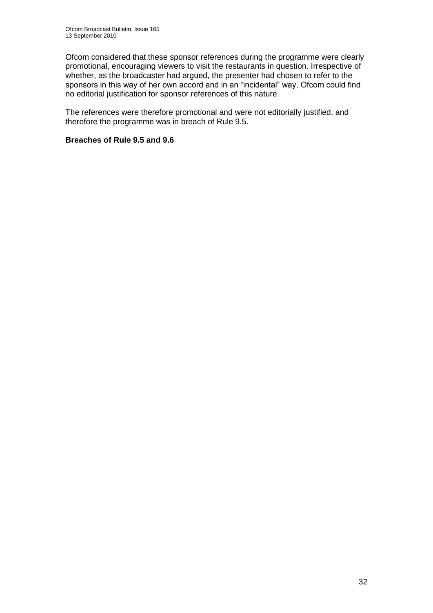Ofcom considered that these sponsor references during the programme were clearly promotional, encouraging viewers to visit the restaurants in question. Irrespective of whether, as the broadcaster had argued, the presenter had chosen to refer to the sponsors in this way of her own accord and in an "incidental" way, Ofcom could find no editorial justification for sponsor references of this nature.

The references were therefore promotional and were not editorially justified, and therefore the programme was in breach of Rule 9.5.

#### **Breaches of Rule 9.5 and 9.6**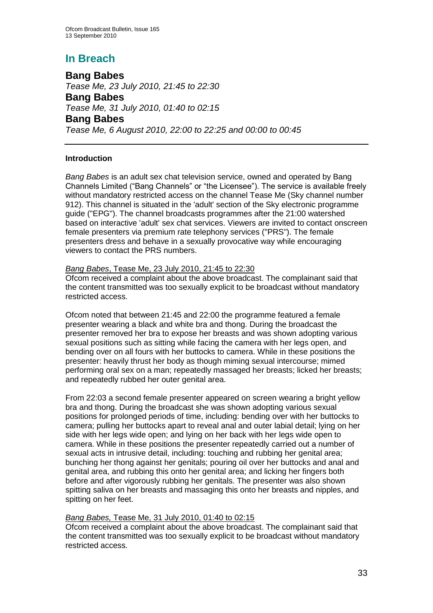## **In Breach**

**Bang Babes** *Tease Me, 23 July 2010, 21:45 to 22:30* **Bang Babes** *Tease Me, 31 July 2010, 01:40 to 02:15* **Bang Babes** *Tease Me, 6 August 2010, 22:00 to 22:25 and 00:00 to 00:45*

#### **Introduction**

*Bang Babes* is an adult sex chat television service, owned and operated by Bang Channels Limited ("Bang Channels" or "the Licensee"). The service is available freely without mandatory restricted access on the channel Tease Me (Sky channel number 912). This channel is situated in the 'adult' section of the Sky electronic programme guide ("EPG"). The channel broadcasts programmes after the 21:00 watershed based on interactive 'adult' sex chat services. Viewers are invited to contact onscreen female presenters via premium rate telephony services ("PRS"). The female presenters dress and behave in a sexually provocative way while encouraging viewers to contact the PRS numbers.

#### *Bang Babes*, Tease Me, 23 July 2010, 21:45 to 22:30

Ofcom received a complaint about the above broadcast. The complainant said that the content transmitted was too sexually explicit to be broadcast without mandatory restricted access.

Ofcom noted that between 21:45 and 22:00 the programme featured a female presenter wearing a black and white bra and thong. During the broadcast the presenter removed her bra to expose her breasts and was shown adopting various sexual positions such as sitting while facing the camera with her legs open, and bending over on all fours with her buttocks to camera. While in these positions the presenter: heavily thrust her body as though miming sexual intercourse; mimed performing oral sex on a man; repeatedly massaged her breasts; licked her breasts; and repeatedly rubbed her outer genital area.

From 22:03 a second female presenter appeared on screen wearing a bright yellow bra and thong. During the broadcast she was shown adopting various sexual positions for prolonged periods of time, including: bending over with her buttocks to camera; pulling her buttocks apart to reveal anal and outer labial detail; lying on her side with her legs wide open; and lying on her back with her legs wide open to camera. While in these positions the presenter repeatedly carried out a number of sexual acts in intrusive detail, including: touching and rubbing her genital area; bunching her thong against her genitals; pouring oil over her buttocks and anal and genital area, and rubbing this onto her genital area; and licking her fingers both before and after vigorously rubbing her genitals. The presenter was also shown spitting saliva on her breasts and massaging this onto her breasts and nipples, and spitting on her feet.

#### *Bang Babes,* Tease Me, 31 July 2010, 01:40 to 02:15

Ofcom received a complaint about the above broadcast. The complainant said that the content transmitted was too sexually explicit to be broadcast without mandatory restricted access.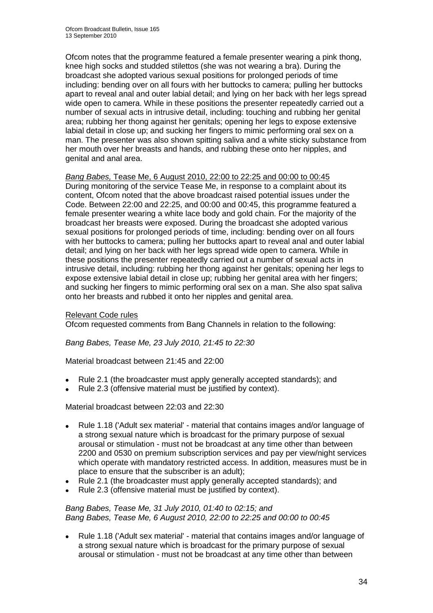Ofcom notes that the programme featured a female presenter wearing a pink thong, knee high socks and studded stilettos (she was not wearing a bra). During the broadcast she adopted various sexual positions for prolonged periods of time including: bending over on all fours with her buttocks to camera; pulling her buttocks apart to reveal anal and outer labial detail; and lying on her back with her legs spread wide open to camera. While in these positions the presenter repeatedly carried out a number of sexual acts in intrusive detail, including: touching and rubbing her genital area; rubbing her thong against her genitals; opening her legs to expose extensive labial detail in close up; and sucking her fingers to mimic performing oral sex on a man. The presenter was also shown spitting saliva and a white sticky substance from her mouth over her breasts and hands, and rubbing these onto her nipples, and genital and anal area.

#### *Bang Babes,* Tease Me, 6 August 2010, 22:00 to 22:25 and 00:00 to 00:45

During monitoring of the service Tease Me, in response to a complaint about its content, Ofcom noted that the above broadcast raised potential issues under the Code. Between 22:00 and 22:25, and 00:00 and 00:45, this programme featured a female presenter wearing a white lace body and gold chain. For the majority of the broadcast her breasts were exposed. During the broadcast she adopted various sexual positions for prolonged periods of time, including: bending over on all fours with her buttocks to camera; pulling her buttocks apart to reveal anal and outer labial detail; and lying on her back with her legs spread wide open to camera. While in these positions the presenter repeatedly carried out a number of sexual acts in intrusive detail, including: rubbing her thong against her genitals; opening her legs to expose extensive labial detail in close up; rubbing her genital area with her fingers; and sucking her fingers to mimic performing oral sex on a man. She also spat saliva onto her breasts and rubbed it onto her nipples and genital area.

#### Relevant Code rules

Ofcom requested comments from Bang Channels in relation to the following:

*Bang Babes, Tease Me, 23 July 2010, 21:45 to 22:30*

Material broadcast between 21:45 and 22:00

- Rule 2.1 (the broadcaster must apply generally accepted standards); and  $\bullet$
- Rule 2.3 (offensive material must be justified by context).  $\bullet$

Material broadcast between 22:03 and 22:30

- Rule 1.18 ('Adult sex material' material that contains images and/or language of  $\bullet$ a strong sexual nature which is broadcast for the primary purpose of sexual arousal or stimulation - must not be broadcast at any time other than between 2200 and 0530 on premium subscription services and pay per view/night services which operate with mandatory restricted access. In addition, measures must be in place to ensure that the subscriber is an adult);
- Rule 2.1 (the broadcaster must apply generally accepted standards); and
- Rule 2.3 (offensive material must be justified by context).

#### *Bang Babes, Tease Me, 31 July 2010, 01:40 to 02:15; and Bang Babes, Tease Me, 6 August 2010, 22:00 to 22:25 and 00:00 to 00:45*

 $\bullet$ Rule 1.18 ('Adult sex material' - material that contains images and/or language of a strong sexual nature which is broadcast for the primary purpose of sexual arousal or stimulation - must not be broadcast at any time other than between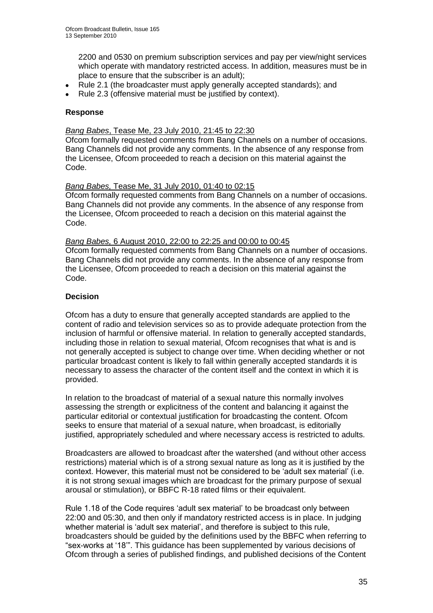2200 and 0530 on premium subscription services and pay per view/night services which operate with mandatory restricted access. In addition, measures must be in place to ensure that the subscriber is an adult);

- Rule 2.1 (the broadcaster must apply generally accepted standards); and  $\bullet$
- Rule 2.3 (offensive material must be justified by context).

#### **Response**

#### *Bang Babes*, Tease Me, 23 July 2010, 21:45 to 22:30

Ofcom formally requested comments from Bang Channels on a number of occasions. Bang Channels did not provide any comments. In the absence of any response from the Licensee, Ofcom proceeded to reach a decision on this material against the Code.

#### *Bang Babes,* Tease Me, 31 July 2010, 01:40 to 02:15

Ofcom formally requested comments from Bang Channels on a number of occasions. Bang Channels did not provide any comments. In the absence of any response from the Licensee, Ofcom proceeded to reach a decision on this material against the Code.

#### *Bang Babes,* 6 August 2010, 22:00 to 22:25 and 00:00 to 00:45

Ofcom formally requested comments from Bang Channels on a number of occasions. Bang Channels did not provide any comments. In the absence of any response from the Licensee, Ofcom proceeded to reach a decision on this material against the Code.

#### **Decision**

Ofcom has a duty to ensure that generally accepted standards are applied to the content of radio and television services so as to provide adequate protection from the inclusion of harmful or offensive material. In relation to generally accepted standards, including those in relation to sexual material, Ofcom recognises that what is and is not generally accepted is subject to change over time. When deciding whether or not particular broadcast content is likely to fall within generally accepted standards it is necessary to assess the character of the content itself and the context in which it is provided.

In relation to the broadcast of material of a sexual nature this normally involves assessing the strength or explicitness of the content and balancing it against the particular editorial or contextual justification for broadcasting the content. Ofcom seeks to ensure that material of a sexual nature, when broadcast, is editorially justified, appropriately scheduled and where necessary access is restricted to adults.

Broadcasters are allowed to broadcast after the watershed (and without other access restrictions) material which is of a strong sexual nature as long as it is justified by the context. However, this material must not be considered to be "adult sex material" (i.e. it is not strong sexual images which are broadcast for the primary purpose of sexual arousal or stimulation), or BBFC R-18 rated films or their equivalent.

Rule 1.18 of the Code requires "adult sex material" to be broadcast only between 22:00 and 05:30, and then only if mandatory restricted access is in place. In judging whether material is 'adult sex material', and therefore is subject to this rule. broadcasters should be guided by the definitions used by the BBFC when referring to "sex-works at "18"". This guidance has been supplemented by various decisions of Ofcom through a series of published findings, and published decisions of the Content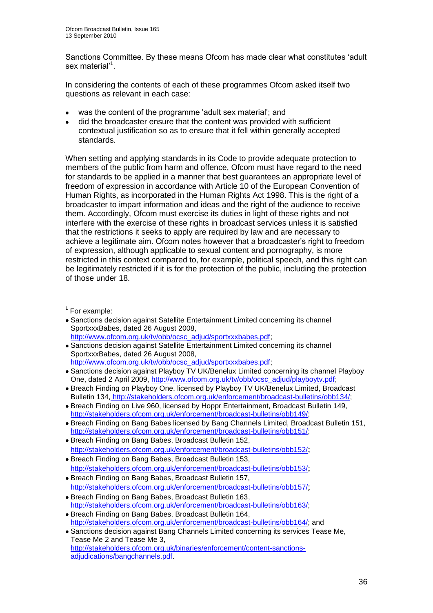Sanctions Committee. By these means Ofcom has made clear what constitutes "adult sex material'<sup>1</sup>.

In considering the contents of each of these programmes Ofcom asked itself two questions as relevant in each case:

- was the content of the programme 'adult sex material"; and
- did the broadcaster ensure that the content was provided with sufficient contextual justification so as to ensure that it fell within generally accepted standards.

When setting and applying standards in its Code to provide adequate protection to members of the public from harm and offence, Ofcom must have regard to the need for standards to be applied in a manner that best guarantees an appropriate level of freedom of expression in accordance with Article 10 of the European Convention of Human Rights, as incorporated in the Human Rights Act 1998. This is the right of a broadcaster to impart information and ideas and the right of the audience to receive them. Accordingly, Ofcom must exercise its duties in light of these rights and not interfere with the exercise of these rights in broadcast services unless it is satisfied that the restrictions it seeks to apply are required by law and are necessary to achieve a legitimate aim. Ofcom notes however that a broadcaster"s right to freedom of expression, although applicable to sexual content and pornography, is more restricted in this context compared to, for example, political speech, and this right can be legitimately restricted if it is for the protection of the public, including the protection of those under 18.

1

- Breach Finding on Bang Babes, Broadcast Bulletin 152, http://stakeholders.ofcom.org.uk/enforcement/broadcast-bulletins/obb152/;
- Breach Finding on Bang Babes, Broadcast Bulletin 153, http://stakeholders.ofcom.org.uk/enforcement/broadcast-bulletins/obb153/;
- Breach Finding on Bang Babes, Broadcast Bulletin 157, <http://stakeholders.ofcom.org.uk/enforcement/broadcast-bulletins/obb157/>;
- Breach Finding on Bang Babes, Broadcast Bulletin 163, http://stakeholders.ofcom.org.uk/enforcement/broadcast-bulletins/obb163/;
- Breach Finding on Bang Babes, Broadcast Bulletin 164, [http://stakeholders.ofcom.org.uk/enforcement/broadcast-bulletins/obb164/;](http://stakeholders.ofcom.org.uk/enforcement/broadcast-bulletins/obb164/) and
- Sanctions decision against Bang Channels Limited concerning its services Tease Me, Tease Me 2 and Tease Me 3, [http://stakeholders.ofcom.org.uk/binaries/enforcement/content-sanctions](http://stakeholders.ofcom.org.uk/binaries/enforcement/content-sanctions-adjudications/bangchannels.pdf)[adjudications/bangchannels.pdf.](http://stakeholders.ofcom.org.uk/binaries/enforcement/content-sanctions-adjudications/bangchannels.pdf)

<sup>&</sup>lt;sup>1</sup> For example:

Sanctions decision against Satellite Entertainment Limited concerning its channel SportxxxBabes, dated 26 August 2008, [http://www.ofcom.org.uk/tv/obb/ocsc\\_adjud/sportxxxbabes.pdf;](http://www.ofcom.org.uk/tv/obb/ocsc_adjud/sportxxxbabes.pdf)

Sanctions decision against Satellite Entertainment Limited concerning its channel SportxxxBabes, dated 26 August 2008,

[http://www.ofcom.org.uk/tv/obb/ocsc\\_adjud/sportxxxbabes.pdf;](http://www.ofcom.org.uk/tv/obb/ocsc_adjud/sportxxxbabes.pdf)

Sanctions decision against Playboy TV UK/Benelux Limited concerning its channel Playboy One, dated 2 April 2009, [http://www.ofcom.org.uk/tv/obb/ocsc\\_adjud/playboytv.pdf;](http://www.ofcom.org.uk/tv/obb/ocsc_adjud/playboytv.pdf)

Breach Finding on Playboy One, licensed by Playboy TV UK/Benelux Limited, Broadcast Bulletin 134, http://stakeholders.ofcom.org.uk/enforcement/broadcast-bulletins/obb134/;

Breach Finding on Live 960, licensed by Hoppr Entertainment, Broadcast Bulletin 149, http://stakeholders.ofcom.org.uk/enforcement/broadcast-bulletins/obb149/;

Breach Finding on Bang Babes licensed by Bang Channels Limited, Broadcast Bulletin 151, http://stakeholders.ofcom.org.uk/enforcement/broadcast-bulletins/obb151/;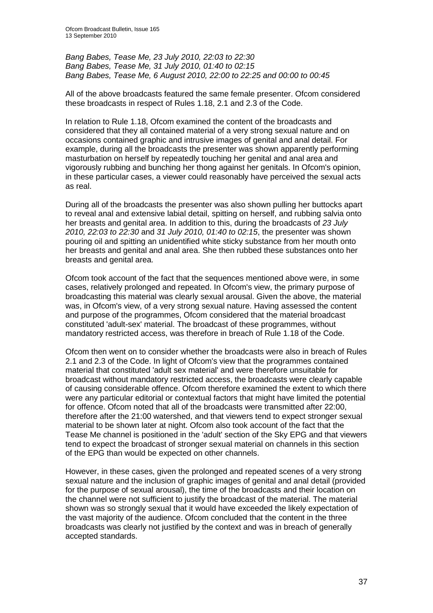*Bang Babes, Tease Me, 23 July 2010, 22:03 to 22:30 Bang Babes, Tease Me, 31 July 2010, 01:40 to 02:15 Bang Babes, Tease Me, 6 August 2010, 22:00 to 22:25 and 00:00 to 00:45*

All of the above broadcasts featured the same female presenter. Ofcom considered these broadcasts in respect of Rules 1.18, 2.1 and 2.3 of the Code.

In relation to Rule 1.18, Ofcom examined the content of the broadcasts and considered that they all contained material of a very strong sexual nature and on occasions contained graphic and intrusive images of genital and anal detail. For example, during all the broadcasts the presenter was shown apparently performing masturbation on herself by repeatedly touching her genital and anal area and vigorously rubbing and bunching her thong against her genitals. In Ofcom's opinion, in these particular cases, a viewer could reasonably have perceived the sexual acts as real.

During all of the broadcasts the presenter was also shown pulling her buttocks apart to reveal anal and extensive labial detail, spitting on herself, and rubbing salvia onto her breasts and genital area. In addition to this, during the broadcasts of *23 July 2010, 22:03 to 22:30* and *31 July 2010, 01:40 to 02:15*, the presenter was shown pouring oil and spitting an unidentified white sticky substance from her mouth onto her breasts and genital and anal area. She then rubbed these substances onto her breasts and genital area.

Ofcom took account of the fact that the sequences mentioned above were, in some cases, relatively prolonged and repeated. In Ofcom's view, the primary purpose of broadcasting this material was clearly sexual arousal. Given the above, the material was, in Ofcom's view, of a very strong sexual nature. Having assessed the content and purpose of the programmes, Ofcom considered that the material broadcast constituted 'adult-sex' material. The broadcast of these programmes, without mandatory restricted access, was therefore in breach of Rule 1.18 of the Code.

Ofcom then went on to consider whether the broadcasts were also in breach of Rules 2.1 and 2.3 of the Code. In light of Ofcom's view that the programmes contained material that constituted 'adult sex material' and were therefore unsuitable for broadcast without mandatory restricted access, the broadcasts were clearly capable of causing considerable offence. Ofcom therefore examined the extent to which there were any particular editorial or contextual factors that might have limited the potential for offence. Ofcom noted that all of the broadcasts were transmitted after 22:00, therefore after the 21:00 watershed, and that viewers tend to expect stronger sexual material to be shown later at night. Ofcom also took account of the fact that the Tease Me channel is positioned in the 'adult' section of the Sky EPG and that viewers tend to expect the broadcast of stronger sexual material on channels in this section of the EPG than would be expected on other channels.

However, in these cases, given the prolonged and repeated scenes of a very strong sexual nature and the inclusion of graphic images of genital and anal detail (provided for the purpose of sexual arousal), the time of the broadcasts and their location on the channel were not sufficient to justify the broadcast of the material. The material shown was so strongly sexual that it would have exceeded the likely expectation of the vast majority of the audience. Ofcom concluded that the content in the three broadcasts was clearly not justified by the context and was in breach of generally accepted standards.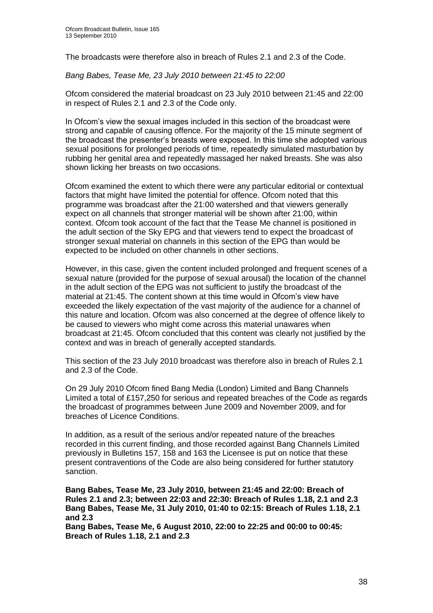The broadcasts were therefore also in breach of Rules 2.1 and 2.3 of the Code.

*Bang Babes, Tease Me, 23 July 2010 between 21:45 to 22:00*

Ofcom considered the material broadcast on 23 July 2010 between 21:45 and 22:00 in respect of Rules 2.1 and 2.3 of the Code only.

In Ofcom's view the sexual images included in this section of the broadcast were strong and capable of causing offence. For the majority of the 15 minute segment of the broadcast the presenter"s breasts were exposed. In this time she adopted various sexual positions for prolonged periods of time, repeatedly simulated masturbation by rubbing her genital area and repeatedly massaged her naked breasts. She was also shown licking her breasts on two occasions.

Ofcom examined the extent to which there were any particular editorial or contextual factors that might have limited the potential for offence. Ofcom noted that this programme was broadcast after the 21:00 watershed and that viewers generally expect on all channels that stronger material will be shown after 21:00, within context. Ofcom took account of the fact that the Tease Me channel is positioned in the adult section of the Sky EPG and that viewers tend to expect the broadcast of stronger sexual material on channels in this section of the EPG than would be expected to be included on other channels in other sections.

However, in this case, given the content included prolonged and frequent scenes of a sexual nature (provided for the purpose of sexual arousal) the location of the channel in the adult section of the EPG was not sufficient to justify the broadcast of the material at 21:45. The content shown at this time would in Ofcom"s view have exceeded the likely expectation of the vast majority of the audience for a channel of this nature and location. Ofcom was also concerned at the degree of offence likely to be caused to viewers who might come across this material unawares when broadcast at 21:45. Ofcom concluded that this content was clearly not justified by the context and was in breach of generally accepted standards.

This section of the 23 July 2010 broadcast was therefore also in breach of Rules 2.1 and 2.3 of the Code.

On 29 July 2010 Ofcom fined Bang Media (London) Limited and Bang Channels Limited a total of £157,250 for serious and repeated breaches of the Code as regards the broadcast of programmes between June 2009 and November 2009, and for breaches of Licence Conditions.

In addition, as a result of the serious and/or repeated nature of the breaches recorded in this current finding, and those recorded against Bang Channels Limited previously in Bulletins 157, 158 and 163 the Licensee is put on notice that these present contraventions of the Code are also being considered for further statutory sanction.

**Bang Babes, Tease Me, 23 July 2010, between 21:45 and 22:00: Breach of Rules 2.1 and 2.3; between 22:03 and 22:30: Breach of Rules 1.18, 2.1 and 2.3 Bang Babes, Tease Me, 31 July 2010, 01:40 to 02:15: Breach of Rules 1.18, 2.1 and 2.3**

**Bang Babes, Tease Me, 6 August 2010, 22:00 to 22:25 and 00:00 to 00:45: Breach of Rules 1.18, 2.1 and 2.3**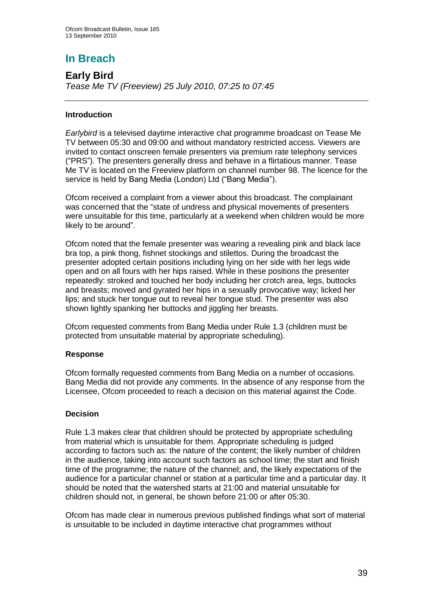# **In Breach**

## **Early Bird**

*Tease Me TV (Freeview) 25 July 2010, 07:25 to 07:45*

#### **Introduction**

*Earlybird* is a televised daytime interactive chat programme broadcast on Tease Me TV between 05:30 and 09:00 and without mandatory restricted access. Viewers are invited to contact onscreen female presenters via premium rate telephony services ("PRS"). The presenters generally dress and behave in a flirtatious manner. Tease Me TV is located on the Freeview platform on channel number 98. The licence for the service is held by Bang Media (London) Ltd ("Bang Media").

Ofcom received a complaint from a viewer about this broadcast. The complainant was concerned that the "state of undress and physical movements of presenters were unsuitable for this time, particularly at a weekend when children would be more likely to be around".

Ofcom noted that the female presenter was wearing a revealing pink and black lace bra top, a pink thong, fishnet stockings and stilettos. During the broadcast the presenter adopted certain positions including lying on her side with her legs wide open and on all fours with her hips raised. While in these positions the presenter repeatedly: stroked and touched her body including her crotch area, legs, buttocks and breasts; moved and gyrated her hips in a sexually provocative way; licked her lips; and stuck her tongue out to reveal her tongue stud. The presenter was also shown lightly spanking her buttocks and jiggling her breasts.

Ofcom requested comments from Bang Media under Rule 1.3 (children must be protected from unsuitable material by appropriate scheduling).

#### **Response**

Ofcom formally requested comments from Bang Media on a number of occasions. Bang Media did not provide any comments. In the absence of any response from the Licensee, Ofcom proceeded to reach a decision on this material against the Code.

#### **Decision**

Rule 1.3 makes clear that children should be protected by appropriate scheduling from material which is unsuitable for them. Appropriate scheduling is judged according to factors such as: the nature of the content; the likely number of children in the audience, taking into account such factors as school time; the start and finish time of the programme; the nature of the channel; and, the likely expectations of the audience for a particular channel or station at a particular time and a particular day. It should be noted that the watershed starts at 21:00 and material unsuitable for children should not, in general, be shown before 21:00 or after 05:30.

Ofcom has made clear in numerous previous published findings what sort of material is unsuitable to be included in daytime interactive chat programmes without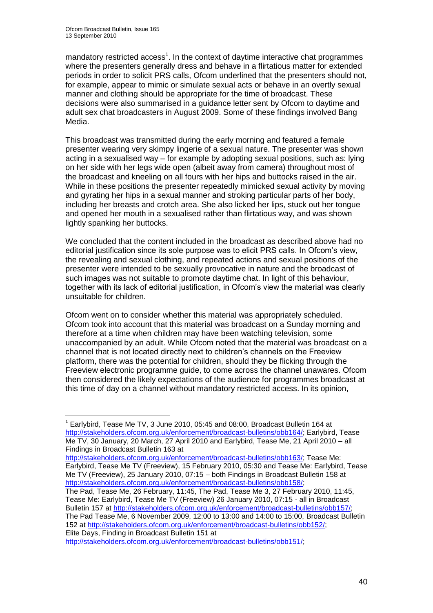1

mandatory restricted access<sup>1</sup>. In the context of daytime interactive chat programmes where the presenters generally dress and behave in a flirtatious matter for extended periods in order to solicit PRS calls, Ofcom underlined that the presenters should not, for example, appear to mimic or simulate sexual acts or behave in an overtly sexual manner and clothing should be appropriate for the time of broadcast. These decisions were also summarised in a guidance letter sent by Ofcom to daytime and adult sex chat broadcasters in August 2009. Some of these findings involved Bang Media.

This broadcast was transmitted during the early morning and featured a female presenter wearing very skimpy lingerie of a sexual nature. The presenter was shown acting in a sexualised way – for example by adopting sexual positions, such as: lying on her side with her legs wide open (albeit away from camera) throughout most of the broadcast and kneeling on all fours with her hips and buttocks raised in the air. While in these positions the presenter repeatedly mimicked sexual activity by moving and gyrating her hips in a sexual manner and stroking particular parts of her body, including her breasts and crotch area. She also licked her lips, stuck out her tongue and opened her mouth in a sexualised rather than flirtatious way, and was shown lightly spanking her buttocks.

We concluded that the content included in the broadcast as described above had no editorial justification since its sole purpose was to elicit PRS calls. In Ofcom"s view, the revealing and sexual clothing, and repeated actions and sexual positions of the presenter were intended to be sexually provocative in nature and the broadcast of such images was not suitable to promote daytime chat. In light of this behaviour, together with its lack of editorial justification, in Ofcom"s view the material was clearly unsuitable for children.

Ofcom went on to consider whether this material was appropriately scheduled. Ofcom took into account that this material was broadcast on a Sunday morning and therefore at a time when children may have been watching television, some unaccompanied by an adult. While Ofcom noted that the material was broadcast on a channel that is not located directly next to children"s channels on the Freeview platform, there was the potential for children, should they be flicking through the Freeview electronic programme guide, to come across the channel unawares. Ofcom then considered the likely expectations of the audience for programmes broadcast at this time of day on a channel without mandatory restricted access. In its opinion,

[http://stakeholders.ofcom.org.uk/enforcement/broadcast-bulletins/obb151/;](http://stakeholders.ofcom.org.uk/enforcement/broadcast-bulletins/obb151/)

<sup>1</sup> Earlybird, Tease Me TV, 3 June 2010, 05:45 and 08:00, Broadcast Bulletin 164 at http://stakeholders.ofcom.org.uk/enforcement/broadcast-bulletins/obb164/; Earlybird, Tease Me TV, 30 January, 20 March, 27 April 2010 and Earlybird, Tease Me, 21 April 2010 – all Findings in Broadcast Bulletin 163 at

[http://stakeholders.ofcom.org.uk/enforcement/broadcast-bulletins/obb163/;](http://stakeholders.ofcom.org.uk/enforcement/broadcast-bulletins/obb163/) Tease Me: Earlybird, Tease Me TV (Freeview), 15 February 2010, 05:30 and Tease Me: Earlybird, Tease Me TV (Freeview), 25 January 2010, 07:15 – both Findings in Broadcast Bulletin 158 at [http://stakeholders.ofcom.org.uk/enforcement/broadcast-bulletins/obb158/;](http://stakeholders.ofcom.org.uk/enforcement/broadcast-bulletins/obb158/)

The Pad, Tease Me, 26 February, 11:45, The Pad, Tease Me 3, 27 February 2010, 11:45, Tease Me: Earlybird, Tease Me TV (Freeview) 26 January 2010, 07:15 - all in Broadcast Bulletin 157 at [http://stakeholders.ofcom.org.uk/enforcement/broadcast-bulletins/obb157/;](http://stakeholders.ofcom.org.uk/enforcement/broadcast-bulletins/obb157/) The Pad Tease Me, 6 November 2009, 12:00 to 13:00 and 14:00 to 15:00, Broadcast Bulletin 152 at [http://stakeholders.ofcom.org.uk/enforcement/broadcast-bulletins/obb152/;](http://stakeholders.ofcom.org.uk/enforcement/broadcast-bulletins/obb152/) Elite Days, Finding in Broadcast Bulletin 151 at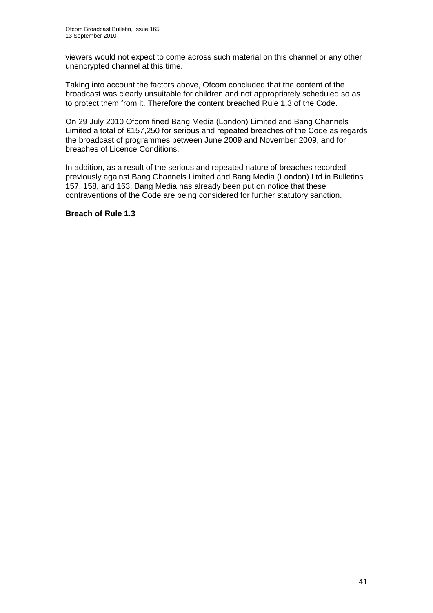viewers would not expect to come across such material on this channel or any other unencrypted channel at this time.

Taking into account the factors above, Ofcom concluded that the content of the broadcast was clearly unsuitable for children and not appropriately scheduled so as to protect them from it. Therefore the content breached Rule 1.3 of the Code.

On 29 July 2010 Ofcom fined Bang Media (London) Limited and Bang Channels Limited a total of £157,250 for serious and repeated breaches of the Code as regards the broadcast of programmes between June 2009 and November 2009, and for breaches of Licence Conditions.

In addition, as a result of the serious and repeated nature of breaches recorded previously against Bang Channels Limited and Bang Media (London) Ltd in Bulletins 157, 158, and 163, Bang Media has already been put on notice that these contraventions of the Code are being considered for further statutory sanction.

#### **Breach of Rule 1.3**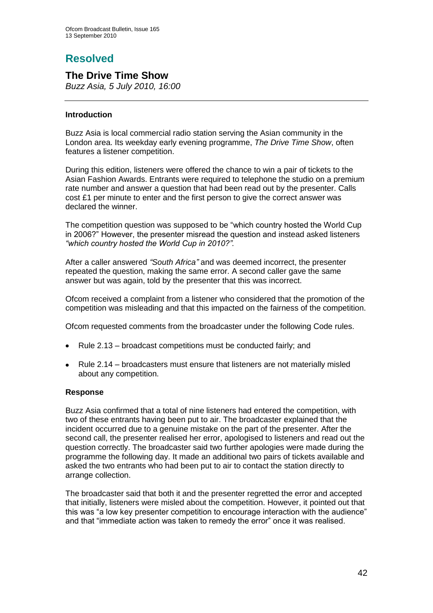# **Resolved**

## **The Drive Time Show**

*Buzz Asia, 5 July 2010, 16:00*

#### **Introduction**

Buzz Asia is local commercial radio station serving the Asian community in the London area. Its weekday early evening programme, *The Drive Time Show*, often features a listener competition.

During this edition, listeners were offered the chance to win a pair of tickets to the Asian Fashion Awards. Entrants were required to telephone the studio on a premium rate number and answer a question that had been read out by the presenter. Calls cost £1 per minute to enter and the first person to give the correct answer was declared the winner.

The competition question was supposed to be "which country hosted the World Cup in 2006?" However, the presenter misread the question and instead asked listeners *"which country hosted the World Cup in 2010?".*

After a caller answered *"South Africa"* and was deemed incorrect, the presenter repeated the question, making the same error. A second caller gave the same answer but was again, told by the presenter that this was incorrect.

Ofcom received a complaint from a listener who considered that the promotion of the competition was misleading and that this impacted on the fairness of the competition.

Ofcom requested comments from the broadcaster under the following Code rules.

- Rule 2.13 broadcast competitions must be conducted fairly; and  $\bullet$
- Rule 2.14 broadcasters must ensure that listeners are not materially misled  $\bullet$ about any competition.

#### **Response**

Buzz Asia confirmed that a total of nine listeners had entered the competition, with two of these entrants having been put to air. The broadcaster explained that the incident occurred due to a genuine mistake on the part of the presenter. After the second call, the presenter realised her error, apologised to listeners and read out the question correctly. The broadcaster said two further apologies were made during the programme the following day. It made an additional two pairs of tickets available and asked the two entrants who had been put to air to contact the station directly to arrange collection.

The broadcaster said that both it and the presenter regretted the error and accepted that initially, listeners were misled about the competition. However, it pointed out that this was "a low key presenter competition to encourage interaction with the audience" and that "immediate action was taken to remedy the error" once it was realised.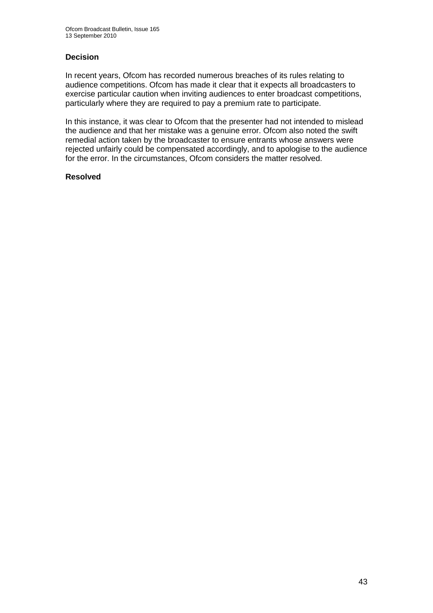#### **Decision**

In recent years, Ofcom has recorded numerous breaches of its rules relating to audience competitions. Ofcom has made it clear that it expects all broadcasters to exercise particular caution when inviting audiences to enter broadcast competitions, particularly where they are required to pay a premium rate to participate.

In this instance, it was clear to Ofcom that the presenter had not intended to mislead the audience and that her mistake was a genuine error. Ofcom also noted the swift remedial action taken by the broadcaster to ensure entrants whose answers were rejected unfairly could be compensated accordingly, and to apologise to the audience for the error. In the circumstances, Ofcom considers the matter resolved.

#### **Resolved**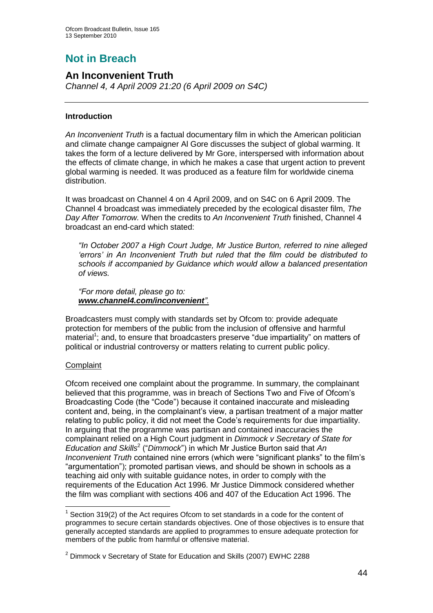# **Not in Breach**

## **An Inconvenient Truth**

*Channel 4, 4 April 2009 21:20 (6 April 2009 on S4C)*

#### **Introduction**

*An Inconvenient Truth* is a factual documentary film in which the American politician and climate change campaigner Al Gore discusses the subject of global warming. It takes the form of a lecture delivered by Mr Gore, interspersed with information about the effects of climate change, in which he makes a case that urgent action to prevent global warming is needed. It was produced as a feature film for worldwide cinema distribution.

It was broadcast on Channel 4 on 4 April 2009, and on S4C on 6 April 2009. The Channel 4 broadcast was immediately preceded by the ecological disaster film, *The Day After Tomorrow.* When the credits to *An Inconvenient Truth* finished, Channel 4 broadcast an end-card which stated:

*"In October 2007 a High Court Judge, Mr Justice Burton, referred to nine alleged "errors" in An Inconvenient Truth but ruled that the film could be distributed to schools if accompanied by Guidance which would allow a balanced presentation of views.*

*"For more detail, please go to: www.channel4.com/inconvenient".* 

Broadcasters must comply with standards set by Ofcom to: provide adequate protection for members of the public from the inclusion of offensive and harmful material<sup>1</sup>; and, to ensure that broadcasters preserve "due impartiality" on matters of political or industrial controversy or matters relating to current public policy.

#### **Complaint**

1

Ofcom received one complaint about the programme. In summary, the complainant believed that this programme, was in breach of Sections Two and Five of Ofcom"s Broadcasting Code (the "Code") because it contained inaccurate and misleading content and, being, in the complainant"s view, a partisan treatment of a major matter relating to public policy, it did not meet the Code"s requirements for due impartiality. In arguing that the programme was partisan and contained inaccuracies the complainant relied on a High Court judgment in *Dimmock v Secretary of State for Education and Skills*<sup>2</sup> ("*Dimmock*") in which Mr Justice Burton said that *An Inconvenient Truth* contained nine errors (which were "significant planks" to the film"s "argumentation"); promoted partisan views, and should be shown in schools as a teaching aid only with suitable guidance notes, in order to comply with the requirements of the Education Act 1996. Mr Justice Dimmock considered whether the film was compliant with sections 406 and 407 of the Education Act 1996. The

 $1$  Section 319(2) of the Act requires Ofcom to set standards in a code for the content of programmes to secure certain standards objectives. One of those objectives is to ensure that generally accepted standards are applied to programmes to ensure adequate protection for members of the public from harmful or offensive material.

 $2$  Dimmock v Secretary of State for Education and Skills (2007) EWHC 2288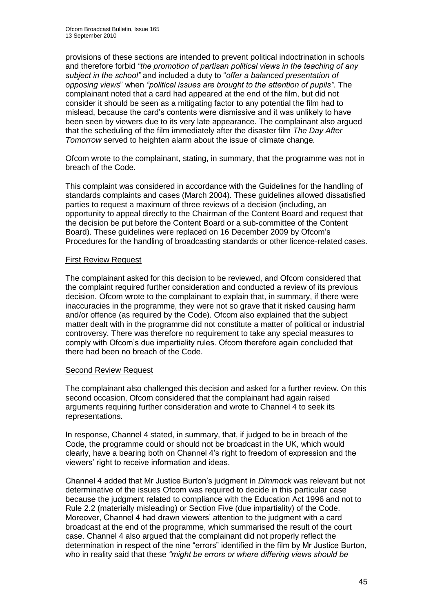provisions of these sections are intended to prevent political indoctrination in schools and therefore forbid *"the promotion of partisan political views in the teaching of any subject in the school"* and included a duty to "*offer a balanced presentation of opposing views*" when *"political issues are brought to the attention of pupils"*. The complainant noted that a card had appeared at the end of the film, but did not consider it should be seen as a mitigating factor to any potential the film had to mislead, because the card"s contents were dismissive and it was unlikely to have been seen by viewers due to its very late appearance. The complainant also argued that the scheduling of the film immediately after the disaster film *The Day After Tomorrow* served to heighten alarm about the issue of climate change*.*

Ofcom wrote to the complainant, stating, in summary, that the programme was not in breach of the Code.

This complaint was considered in accordance with the Guidelines for the handling of standards complaints and cases (March 2004). These guidelines allowed dissatisfied parties to request a maximum of three reviews of a decision (including, an opportunity to appeal directly to the Chairman of the Content Board and request that the decision be put before the Content Board or a sub-committee of the Content Board). These guidelines were replaced on 16 December 2009 by Ofcom"s Procedures for the handling of broadcasting standards or other licence-related cases.

#### First Review Request

The complainant asked for this decision to be reviewed, and Ofcom considered that the complaint required further consideration and conducted a review of its previous decision. Ofcom wrote to the complainant to explain that, in summary, if there were inaccuracies in the programme, they were not so grave that it risked causing harm and/or offence (as required by the Code). Ofcom also explained that the subject matter dealt with in the programme did not constitute a matter of political or industrial controversy. There was therefore no requirement to take any special measures to comply with Ofcom"s due impartiality rules. Ofcom therefore again concluded that there had been no breach of the Code.

#### Second Review Request

The complainant also challenged this decision and asked for a further review. On this second occasion, Ofcom considered that the complainant had again raised arguments requiring further consideration and wrote to Channel 4 to seek its representations.

In response, Channel 4 stated, in summary, that, if judged to be in breach of the Code, the programme could or should not be broadcast in the UK, which would clearly, have a bearing both on Channel 4"s right to freedom of expression and the viewers" right to receive information and ideas.

Channel 4 added that Mr Justice Burton"s judgment in *Dimmock* was relevant but not determinative of the issues Ofcom was required to decide in this particular case because the judgment related to compliance with the Education Act 1996 and not to Rule 2.2 (materially misleading) or Section Five (due impartiality) of the Code. Moreover, Channel 4 had drawn viewers" attention to the judgment with a card broadcast at the end of the programme, which summarised the result of the court case. Channel 4 also argued that the complainant did not properly reflect the determination in respect of the nine "errors" identified in the film by Mr Justice Burton, who in reality said that these *"might be errors or where differing views should be*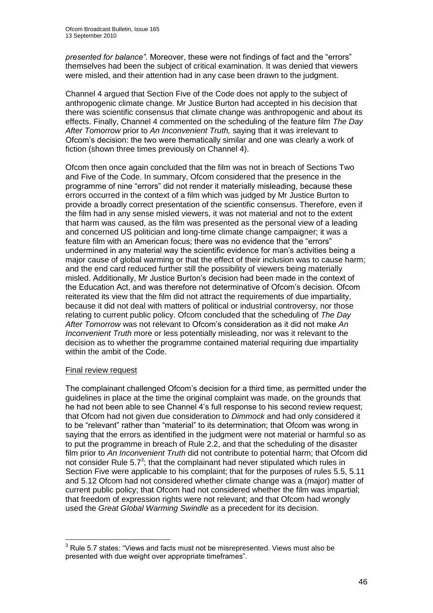*presented for balance"*. Moreover, these were not findings of fact and the "errors" themselves had been the subject of critical examination. It was denied that viewers were misled, and their attention had in any case been drawn to the judgment.

Channel 4 argued that Section Five of the Code does not apply to the subject of anthropogenic climate change. Mr Justice Burton had accepted in his decision that there was scientific consensus that climate change was anthropogenic and about its effects. Finally, Channel 4 commented on the scheduling of the feature film *The Day After Tomorrow* prior to *An Inconvenient Truth,* saying that it was irrelevant to Ofcom"s decision: the two were thematically similar and one was clearly a work of fiction (shown three times previously on Channel 4).

Ofcom then once again concluded that the film was not in breach of Sections Two and Five of the Code. In summary, Ofcom considered that the presence in the programme of nine "errors" did not render it materially misleading, because these errors occurred in the context of a film which was judged by Mr Justice Burton to provide a broadly correct presentation of the scientific consensus. Therefore, even if the film had in any sense misled viewers, it was not material and not to the extent that harm was caused, as the film was presented as the personal view of a leading and concerned US politician and long-time climate change campaigner; it was a feature film with an American focus; there was no evidence that the "errors" undermined in any material way the scientific evidence for man"s activities being a major cause of global warming or that the effect of their inclusion was to cause harm; and the end card reduced further still the possibility of viewers being materially misled. Additionally, Mr Justice Burton"s decision had been made in the context of the Education Act, and was therefore not determinative of Ofcom"s decision. Ofcom reiterated its view that the film did not attract the requirements of due impartiality, because it did not deal with matters of political or industrial controversy, nor those relating to current public policy. Ofcom concluded that the scheduling of *The Day After Tomorrow* was not relevant to Ofcom"s consideration as it did not make *An Inconvenient Truth* more or less potentially misleading, nor was it relevant to the decision as to whether the programme contained material requiring due impartiality within the ambit of the Code.

#### Final review request

1

The complainant challenged Ofcom"s decision for a third time, as permitted under the guidelines in place at the time the original complaint was made, on the grounds that he had not been able to see Channel 4's full response to his second review request; that Ofcom had not given due consideration to *Dimmock* and had only considered it to be "relevant" rather than "material" to its determination; that Ofcom was wrong in saying that the errors as identified in the judgment were not material or harmful so as to put the programme in breach of Rule 2.2, and that the scheduling of the disaster film prior to *An Inconvenient Truth* did not contribute to potential harm; that Ofcom did not consider Rule  $5.7<sup>3</sup>$ ; that the complainant had never stipulated which rules in Section Five were applicable to his complaint; that for the purposes of rules 5.5, 5.11 and 5.12 Ofcom had not considered whether climate change was a (major) matter of current public policy; that Ofcom had not considered whether the film was impartial; that freedom of expression rights were not relevant; and that Ofcom had wrongly used the *Great Global Warming Swindle* as a precedent for its decision.

 $3$  Rule 5.7 states: "Views and facts must not be misrepresented. Views must also be presented with due weight over appropriate timeframes".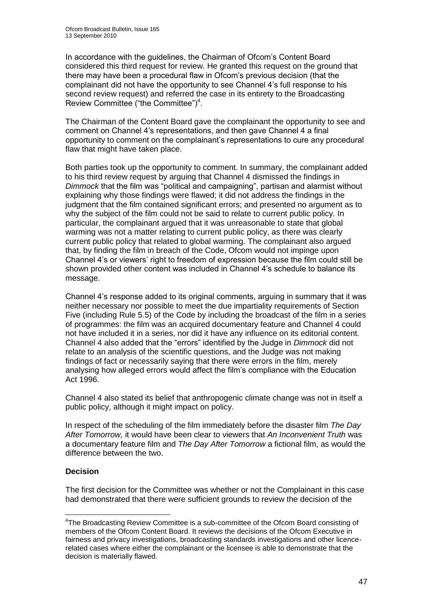In accordance with the guidelines, the Chairman of Ofcom"s Content Board considered this third request for review. He granted this request on the ground that there may have been a procedural flaw in Ofcom"s previous decision (that the complainant did not have the opportunity to see Channel 4"s full response to his second review request) and referred the case in its entirety to the Broadcasting Review Committee ("the Committee") $<sup>4</sup>$ .</sup>

The Chairman of the Content Board gave the complainant the opportunity to see and comment on Channel 4"s representations, and then gave Channel 4 a final opportunity to comment on the complainant"s representations to cure any procedural flaw that might have taken place.

Both parties took up the opportunity to comment. In summary, the complainant added to his third review request by arguing that Channel 4 dismissed the findings in *Dimmock* that the film was "political and campaigning", partisan and alarmist without explaining why those findings were flawed; it did not address the findings in the judgment that the film contained significant errors; and presented no argument as to why the subject of the film could not be said to relate to current public policy. In particular, the complainant argued that it was unreasonable to state that global warming was not a matter relating to current public policy, as there was clearly current public policy that related to global warming. The complainant also argued that, by finding the film in breach of the Code, Ofcom would not impinge upon Channel 4"s or viewers" right to freedom of expression because the film could still be shown provided other content was included in Channel 4"s schedule to balance its message.

Channel 4"s response added to its original comments, arguing in summary that it was neither necessary nor possible to meet the due impartiality requirements of Section Five (including Rule 5.5) of the Code by including the broadcast of the film in a series of programmes: the film was an acquired documentary feature and Channel 4 could not have included it in a series, nor did it have any influence on its editorial content. Channel 4 also added that the "errors" identified by the Judge in *Dimmock* did not relate to an analysis of the scientific questions, and the Judge was not making findings of fact or necessarily saying that there were errors in the film, merely analysing how alleged errors would affect the film"s compliance with the Education Act 1996.

Channel 4 also stated its belief that anthropogenic climate change was not in itself a public policy, although it might impact on policy.

In respect of the scheduling of the film immediately before the disaster film *The Day After Tomorrow,* it would have been clear to viewers that *An Inconvenient Truth* was a documentary feature film and *The Day After Tomorrow* a fictional film, as would the difference between the two.

#### **Decision**

1

The first decision for the Committee was whether or not the Complainant in this case had demonstrated that there were sufficient grounds to review the decision of the

<sup>&</sup>lt;sup>4</sup>The Broadcasting Review Committee is a sub-committee of the Ofcom Board consisting of members of the Ofcom Content Board. It reviews the decisions of the Ofcom Executive in fairness and privacy investigations, broadcasting standards investigations and other licencerelated cases where either the complainant or the licensee is able to demonstrate that the decision is materially flawed.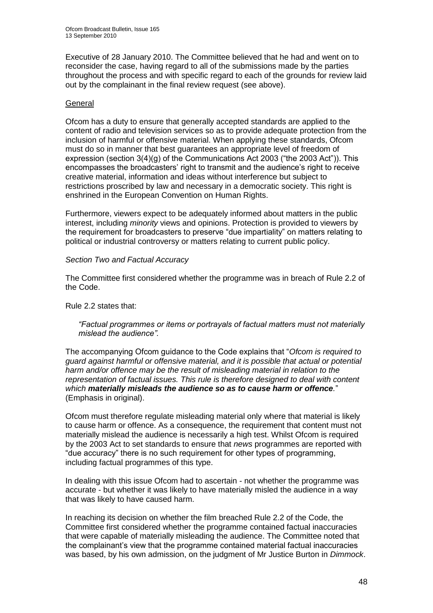Executive of 28 January 2010. The Committee believed that he had and went on to reconsider the case, having regard to all of the submissions made by the parties throughout the process and with specific regard to each of the grounds for review laid out by the complainant in the final review request (see above).

#### **General**

Ofcom has a duty to ensure that generally accepted standards are applied to the content of radio and television services so as to provide adequate protection from the inclusion of harmful or offensive material. When applying these standards, Ofcom must do so in manner that best guarantees an appropriate level of freedom of expression (section 3(4)(g) of the Communications Act 2003 ("the 2003 Act")). This encompasses the broadcasters' right to transmit and the audience's right to receive creative material, information and ideas without interference but subject to restrictions proscribed by law and necessary in a democratic society. This right is enshrined in the European Convention on Human Rights.

Furthermore, viewers expect to be adequately informed about matters in the public interest, including *minority* views and opinions. Protection is provided to viewers by the requirement for broadcasters to preserve "due impartiality" on matters relating to political or industrial controversy or matters relating to current public policy.

#### *Section Two and Factual Accuracy*

The Committee first considered whether the programme was in breach of Rule 2.2 of the Code.

Rule 2.2 states that:

*"Factual programmes or items or portrayals of factual matters must not materially mislead the audience".* 

The accompanying Ofcom guidance to the Code explains that "*Ofcom is required to guard against harmful or offensive material, and it is possible that actual or potential harm and/or offence may be the result of misleading material in relation to the representation of factual issues. This rule is therefore designed to deal with content which materially misleads the audience so as to cause harm or offence.*" (Emphasis in original).

Ofcom must therefore regulate misleading material only where that material is likely to cause harm or offence. As a consequence, the requirement that content must not materially mislead the audience is necessarily a high test. Whilst Ofcom is required by the 2003 Act to set standards to ensure that *news* programmes are reported with "due accuracy" there is no such requirement for other types of programming, including factual programmes of this type.

In dealing with this issue Ofcom had to ascertain - not whether the programme was accurate - but whether it was likely to have materially misled the audience in a way that was likely to have caused harm.

In reaching its decision on whether the film breached Rule 2.2 of the Code, the Committee first considered whether the programme contained factual inaccuracies that were capable of materially misleading the audience. The Committee noted that the complainant"s view that the programme contained material factual inaccuracies was based, by his own admission, on the judgment of Mr Justice Burton in *Dimmock*.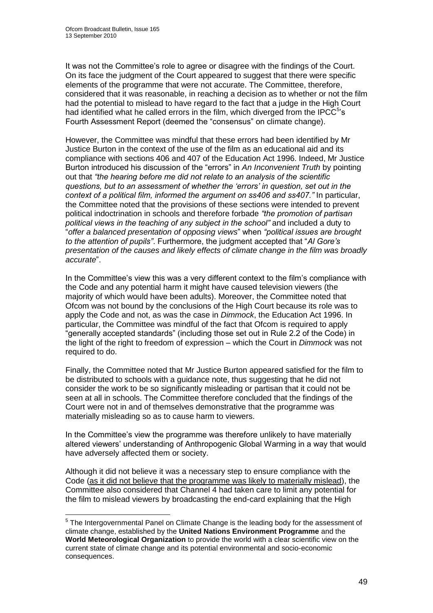1

It was not the Committee"s role to agree or disagree with the findings of the Court. On its face the judgment of the Court appeared to suggest that there were specific elements of the programme that were not accurate. The Committee, therefore, considered that it was reasonable, in reaching a decision as to whether or not the film had the potential to mislead to have regard to the fact that a judge in the High Court had identified what he called errors in the film, which diverged from the IPCC $5$ 's Fourth Assessment Report (deemed the "consensus" on climate change).

However, the Committee was mindful that these errors had been identified by Mr Justice Burton in the context of the use of the film as an educational aid and its compliance with sections 406 and 407 of the Education Act 1996. Indeed, Mr Justice Burton introduced his discussion of the "errors" in *An Inconvenient Truth* by pointing out that *"the hearing before me did not relate to an analysis of the scientific questions, but to an assessment of whether the "errors" in question, set out in the context of a political film, informed the argument on ss406 and ss407."* In particular, the Committee noted that the provisions of these sections were intended to prevent political indoctrination in schools and therefore forbade *"the promotion of partisan political views in the teaching of any subject in the school"* and included a duty to "*offer a balanced presentation of opposing views*" when *"political issues are brought to the attention of pupils"*. Furthermore, the judgment accepted that "*Al Gore"s presentation of the causes and likely effects of climate change in the film was broadly accurate*".

In the Committee's view this was a very different context to the film's compliance with the Code and any potential harm it might have caused television viewers (the majority of which would have been adults). Moreover, the Committee noted that Ofcom was not bound by the conclusions of the High Court because its role was to apply the Code and not, as was the case in *Dimmock*, the Education Act 1996. In particular, the Committee was mindful of the fact that Ofcom is required to apply "generally accepted standards" (including those set out in Rule 2.2 of the Code) in the light of the right to freedom of expression – which the Court in *Dimmock* was not required to do.

Finally, the Committee noted that Mr Justice Burton appeared satisfied for the film to be distributed to schools with a guidance note, thus suggesting that he did not consider the work to be so significantly misleading or partisan that it could not be seen at all in schools. The Committee therefore concluded that the findings of the Court were not in and of themselves demonstrative that the programme was materially misleading so as to cause harm to viewers.

In the Committee's view the programme was therefore unlikely to have materially altered viewers" understanding of Anthropogenic Global Warming in a way that would have adversely affected them or society.

Although it did not believe it was a necessary step to ensure compliance with the Code (as it did not believe that the programme was likely to materially mislead), the Committee also considered that Channel 4 had taken care to limit any potential for the film to mislead viewers by broadcasting the end-card explaining that the High

<sup>&</sup>lt;sup>5</sup> The Intergovernmental Panel on Climate Change is the leading body for the assessment of climate change, established by the **United Nations Environment Programme** and the **World Meteorological Organization** to provide the world with a clear scientific view on the current state of climate change and its potential environmental and socio-economic consequences.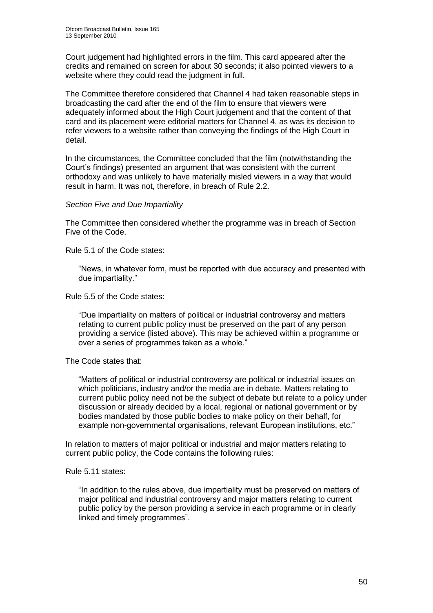Court judgement had highlighted errors in the film. This card appeared after the credits and remained on screen for about 30 seconds; it also pointed viewers to a website where they could read the judgment in full.

The Committee therefore considered that Channel 4 had taken reasonable steps in broadcasting the card after the end of the film to ensure that viewers were adequately informed about the High Court judgement and that the content of that card and its placement were editorial matters for Channel 4, as was its decision to refer viewers to a website rather than conveying the findings of the High Court in detail.

In the circumstances, the Committee concluded that the film (notwithstanding the Court"s findings) presented an argument that was consistent with the current orthodoxy and was unlikely to have materially misled viewers in a way that would result in harm. It was not, therefore, in breach of Rule 2.2.

#### *Section Five and Due Impartiality*

The Committee then considered whether the programme was in breach of Section Five of the Code.

Rule 5.1 of the Code states:

"News, in whatever form, must be reported with due accuracy and presented with due impartiality."

Rule 5.5 of the Code states:

"Due impartiality on matters of political or industrial controversy and matters relating to current public policy must be preserved on the part of any person providing a service (listed above). This may be achieved within a programme or over a series of programmes taken as a whole."

The Code states that:

"Matters of political or industrial controversy are political or industrial issues on which politicians, industry and/or the media are in debate. Matters relating to current public policy need not be the subject of debate but relate to a policy under discussion or already decided by a local, regional or national government or by bodies mandated by those public bodies to make policy on their behalf, for example non-governmental organisations, relevant European institutions, etc."

In relation to matters of major political or industrial and major matters relating to current public policy, the Code contains the following rules:

Rule 5.11 states:

"In addition to the rules above, due impartiality must be preserved on matters of major political and industrial controversy and major matters relating to current public policy by the person providing a service in each programme or in clearly linked and timely programmes".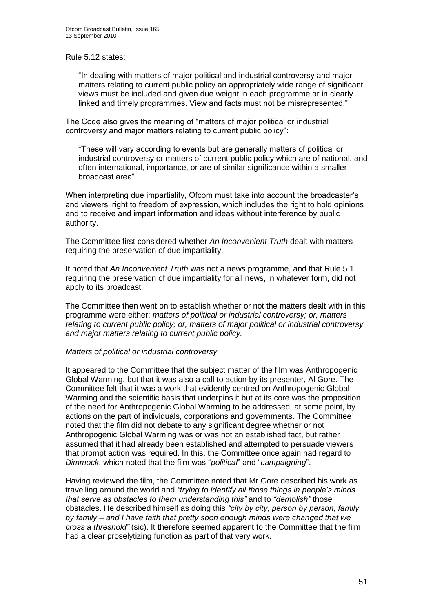Rule 5.12 states:

"In dealing with matters of major political and industrial controversy and major matters relating to current public policy an appropriately wide range of significant views must be included and given due weight in each programme or in clearly linked and timely programmes. View and facts must not be misrepresented."

The Code also gives the meaning of "matters of major political or industrial controversy and major matters relating to current public policy":

"These will vary according to events but are generally matters of political or industrial controversy or matters of current public policy which are of national, and often international, importance, or are of similar significance within a smaller broadcast area"

When interpreting due impartiality, Ofcom must take into account the broadcaster's and viewers" right to freedom of expression, which includes the right to hold opinions and to receive and impart information and ideas without interference by public authority.

The Committee first considered whether *An Inconvenient Truth* dealt with matters requiring the preservation of due impartiality.

It noted that *An Inconvenient Truth* was not a news programme, and that Rule 5.1 requiring the preservation of due impartiality for all news, in whatever form, did not apply to its broadcast.

The Committee then went on to establish whether or not the matters dealt with in this programme were either: *matters of political or industrial controversy; or, matters relating to current public policy; or, matters of major political or industrial controversy and major matters relating to current public policy.* 

#### *Matters of political or industrial controversy*

It appeared to the Committee that the subject matter of the film was Anthropogenic Global Warming, but that it was also a call to action by its presenter, Al Gore. The Committee felt that it was a work that evidently centred on Anthropogenic Global Warming and the scientific basis that underpins it but at its core was the proposition of the need for Anthropogenic Global Warming to be addressed, at some point, by actions on the part of individuals, corporations and governments. The Committee noted that the film did not debate to any significant degree whether or not Anthropogenic Global Warming was or was not an established fact, but rather assumed that it had already been established and attempted to persuade viewers that prompt action was required. In this, the Committee once again had regard to *Dimmock*, which noted that the film was "*political*" and "*campaigning*".

Having reviewed the film, the Committee noted that Mr Gore described his work as travelling around the world and *"trying to identify all those things in people"s minds that serve as obstacles to them understanding this"* and to *"demolish"* those obstacles. He described himself as doing this *"city by city, person by person, family by family – and I have faith that pretty soon enough minds were changed that we cross a threshold"* (sic). It therefore seemed apparent to the Committee that the film had a clear proselytizing function as part of that very work.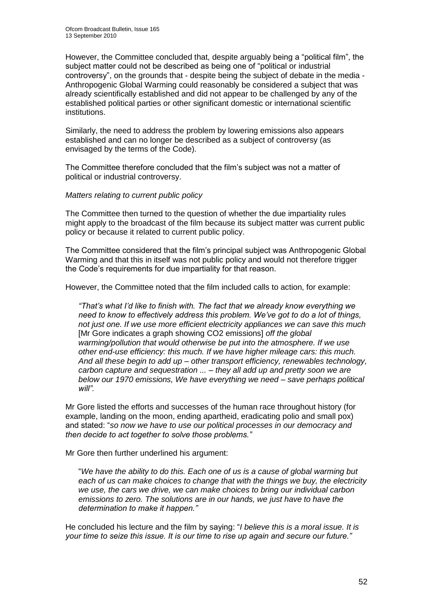However, the Committee concluded that, despite arguably being a "political film", the subject matter could not be described as being one of "political or industrial controversy", on the grounds that - despite being the subject of debate in the media - Anthropogenic Global Warming could reasonably be considered a subject that was already scientifically established and did not appear to be challenged by any of the established political parties or other significant domestic or international scientific institutions.

Similarly, the need to address the problem by lowering emissions also appears established and can no longer be described as a subject of controversy (as envisaged by the terms of the Code).

The Committee therefore concluded that the film"s subject was not a matter of political or industrial controversy.

#### *Matters relating to current public policy*

The Committee then turned to the question of whether the due impartiality rules might apply to the broadcast of the film because its subject matter was current public policy or because it related to current public policy.

The Committee considered that the film"s principal subject was Anthropogenic Global Warming and that this in itself was not public policy and would not therefore trigger the Code"s requirements for due impartiality for that reason.

However, the Committee noted that the film included calls to action, for example:

*"That"s what I"d like to finish with. The fact that we already know everything we need to know to effectively address this problem. We"ve got to do a lot of things, not just one. If we use more efficient electricity appliances we can save this much*  [Mr Gore indicates a graph showing CO2 emissions] *off the global warming/pollution that would otherwise be put into the atmosphere. If we use other end-use efficiency: this much. If we have higher mileage cars: this much. And all these begin to add up – other transport efficiency, renewables technology, carbon capture and sequestration ... – they all add up and pretty soon we are below our 1970 emissions, We have everything we need – save perhaps political will".*

Mr Gore listed the efforts and successes of the human race throughout history (for example, landing on the moon, ending apartheid, eradicating polio and small pox) and stated: "*so now we have to use our political processes in our democracy and then decide to act together to solve those problems."*

Mr Gore then further underlined his argument:

"*We have the ability to do this. Each one of us is a cause of global warming but each of us can make choices to change that with the things we buy, the electricity we use, the cars we drive, we can make choices to bring our individual carbon emissions to zero. The solutions are in our hands, we just have to have the determination to make it happen."* 

He concluded his lecture and the film by saying: "*I believe this is a moral issue. It is your time to seize this issue. It is our time to rise up again and secure our future."*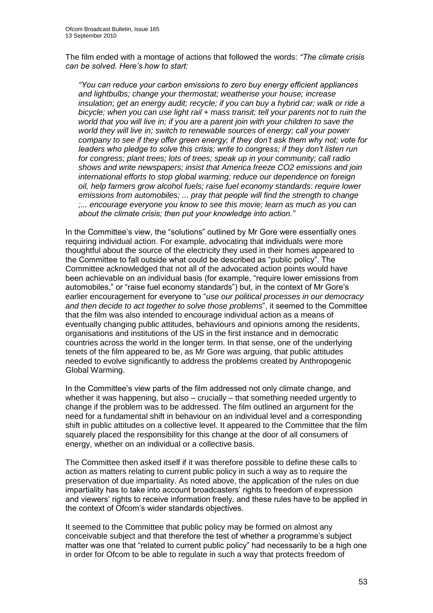The film ended with a montage of actions that followed the words: *"The climate crisis can be solved. Here"s how to start:*

*"You can reduce your carbon emissions to zero buy energy efficient appliances and lightbulbs; change your thermostat; weatherise your house; increase insulation; get an energy audit; recycle; if you can buy a hybrid car; walk or ride a bicycle; when you can use light rail + mass transit; tell your parents not to ruin the world that you will live in; if you are a parent join with your children to save the world they will live in; switch to renewable sources of energy; call your power company to see if they offer green energy; if they don"t ask them why not; vote for leaders who pledge to solve this crisis; write to congress; if they don"t listen run for congress; plant trees; lots of trees; speak up in your community; call radio shows and write newspapers; insist that America freeze CO2 emissions and join international efforts to stop global warming; reduce our dependence on foreign oil, help farmers grow alcohol fuels; raise fuel economy standards: require lower emissions from automobiles; ... pray that people will find the strength to change ;... encourage everyone you know to see this movie; learn as much as you can about the climate crisis; then put your knowledge into action."*

In the Committee"s view, the "solutions" outlined by Mr Gore were essentially ones requiring individual action. For example, advocating that individuals were more thoughtful about the source of the electricity they used in their homes appeared to the Committee to fall outside what could be described as "public policy". The Committee acknowledged that not all of the advocated action points would have been achievable on an individual basis (for example, "require lower emissions from automobiles," or "raise fuel economy standards") but, in the context of Mr Gore"s earlier encouragement for everyone to "*use our political processes in our democracy and then decide to act together to solve those problems*", it seemed to the Committee that the film was also intended to encourage individual action as a means of eventually changing public attitudes, behaviours and opinions among the residents, organisations and institutions of the US in the first instance and in democratic countries across the world in the longer term. In that sense, one of the underlying tenets of the film appeared to be, as Mr Gore was arguing, that public attitudes needed to evolve significantly to address the problems created by Anthropogenic Global Warming.

In the Committee"s view parts of the film addressed not only climate change, and whether it was happening, but also – crucially – that something needed urgently to change if the problem was to be addressed. The film outlined an argument for the need for a fundamental shift in behaviour on an individual level and a corresponding shift in public attitudes on a collective level. It appeared to the Committee that the film squarely placed the responsibility for this change at the door of all consumers of energy, whether on an individual or a collective basis.

The Committee then asked itself if it was therefore possible to define these calls to action as matters relating to current public policy in such a way as to require the preservation of due impartiality. As noted above, the application of the rules on due impartiality has to take into account broadcasters" rights to freedom of expression and viewers" rights to receive information freely, and these rules have to be applied in the context of Ofcom"s wider standards objectives.

It seemed to the Committee that public policy may be formed on almost any conceivable subject and that therefore the test of whether a programme"s subject matter was one that "related to current public policy" had necessarily to be a high one in order for Ofcom to be able to regulate in such a way that protects freedom of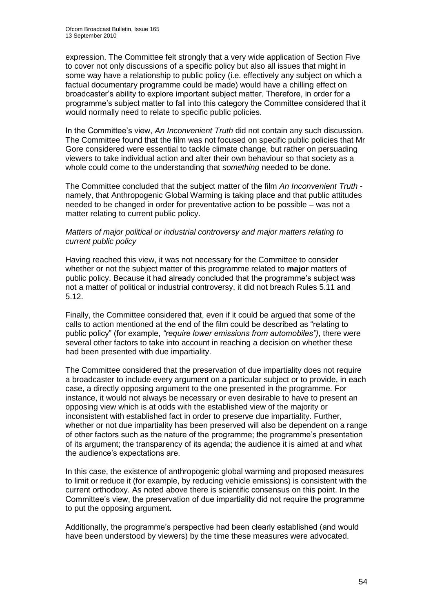expression. The Committee felt strongly that a very wide application of Section Five to cover not only discussions of a specific policy but also all issues that might in some way have a relationship to public policy (i.e. effectively any subject on which a factual documentary programme could be made) would have a chilling effect on broadcaster"s ability to explore important subject matter. Therefore, in order for a programme"s subject matter to fall into this category the Committee considered that it would normally need to relate to specific public policies.

In the Committee"s view, *An Inconvenient Truth* did not contain any such discussion. The Committee found that the film was not focused on specific public policies that Mr Gore considered were essential to tackle climate change, but rather on persuading viewers to take individual action and alter their own behaviour so that society as a whole could come to the understanding that *something* needed to be done.

The Committee concluded that the subject matter of the film *An Inconvenient Truth* namely, that Anthropogenic Global Warming is taking place and that public attitudes needed to be changed in order for preventative action to be possible – was not a matter relating to current public policy.

#### *Matters of major political or industrial controversy and major matters relating to current public policy*

Having reached this view, it was not necessary for the Committee to consider whether or not the subject matter of this programme related to **major** matters of public policy. Because it had already concluded that the programme"s subject was not a matter of political or industrial controversy, it did not breach Rules 5.11 and 5.12.

Finally, the Committee considered that, even if it could be argued that some of the calls to action mentioned at the end of the film could be described as "relating to public policy" (for example, *"require lower emissions from automobiles")*, there were several other factors to take into account in reaching a decision on whether these had been presented with due impartiality.

The Committee considered that the preservation of due impartiality does not require a broadcaster to include every argument on a particular subject or to provide, in each case, a directly opposing argument to the one presented in the programme. For instance, it would not always be necessary or even desirable to have to present an opposing view which is at odds with the established view of the majority or inconsistent with established fact in order to preserve due impartiality. Further, whether or not due impartiality has been preserved will also be dependent on a range of other factors such as the nature of the programme; the programme"s presentation of its argument; the transparency of its agenda; the audience it is aimed at and what the audience"s expectations are.

In this case, the existence of anthropogenic global warming and proposed measures to limit or reduce it (for example, by reducing vehicle emissions) is consistent with the current orthodoxy. As noted above there is scientific consensus on this point. In the Committee"s view, the preservation of due impartiality did not require the programme to put the opposing argument.

Additionally, the programme"s perspective had been clearly established (and would have been understood by viewers) by the time these measures were advocated.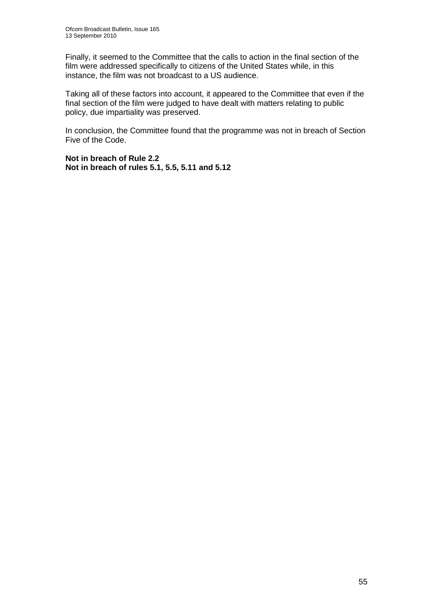Finally, it seemed to the Committee that the calls to action in the final section of the film were addressed specifically to citizens of the United States while, in this instance, the film was not broadcast to a US audience.

Taking all of these factors into account, it appeared to the Committee that even if the final section of the film were judged to have dealt with matters relating to public policy, due impartiality was preserved.

In conclusion, the Committee found that the programme was not in breach of Section Five of the Code.

**Not in breach of Rule 2.2 Not in breach of rules 5.1, 5.5, 5.11 and 5.12**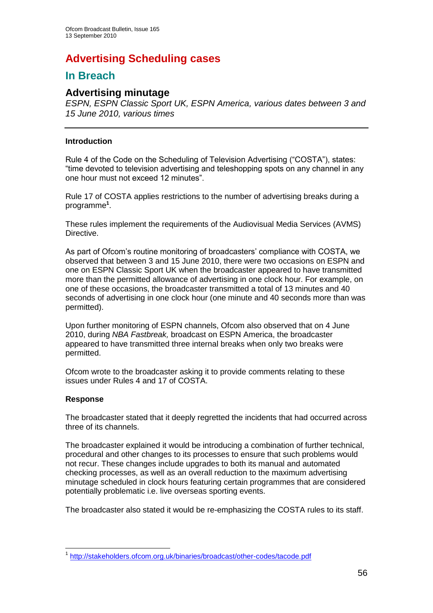# **Advertising Scheduling cases**

## **In Breach**

## **Advertising minutage**

*ESPN, ESPN Classic Sport UK, ESPN America, various dates between 3 and 15 June 2010, various times*

#### **Introduction**

Rule 4 of the Code on the Scheduling of Television Advertising ("COSTA"), states: "time devoted to television advertising and teleshopping spots on any channel in any one hour must not exceed 12 minutes".

Rule 17 of COSTA applies restrictions to the number of advertising breaks during a programme**<sup>1</sup>** .

These rules implement the requirements of the Audiovisual Media Services (AVMS) Directive.

As part of Ofcom's routine monitoring of broadcasters' compliance with COSTA, we observed that between 3 and 15 June 2010, there were two occasions on ESPN and one on ESPN Classic Sport UK when the broadcaster appeared to have transmitted more than the permitted allowance of advertising in one clock hour. For example, on one of these occasions, the broadcaster transmitted a total of 13 minutes and 40 seconds of advertising in one clock hour (one minute and 40 seconds more than was permitted).

Upon further monitoring of ESPN channels, Ofcom also observed that on 4 June 2010, during *NBA Fastbreak,* broadcast on ESPN America, the broadcaster appeared to have transmitted three internal breaks when only two breaks were permitted.

Ofcom wrote to the broadcaster asking it to provide comments relating to these issues under Rules 4 and 17 of COSTA.

#### **Response**

The broadcaster stated that it deeply regretted the incidents that had occurred across three of its channels.

The broadcaster explained it would be introducing a combination of further technical, procedural and other changes to its processes to ensure that such problems would not recur. These changes include upgrades to both its manual and automated checking processes, as well as an overall reduction to the maximum advertising minutage scheduled in clock hours featuring certain programmes that are considered potentially problematic i.e. live overseas sporting events.

The broadcaster also stated it would be re-emphasizing the COSTA rules to its staff.

<sup>1</sup> 1 <http://stakeholders.ofcom.org.uk/binaries/broadcast/other-codes/tacode.pdf>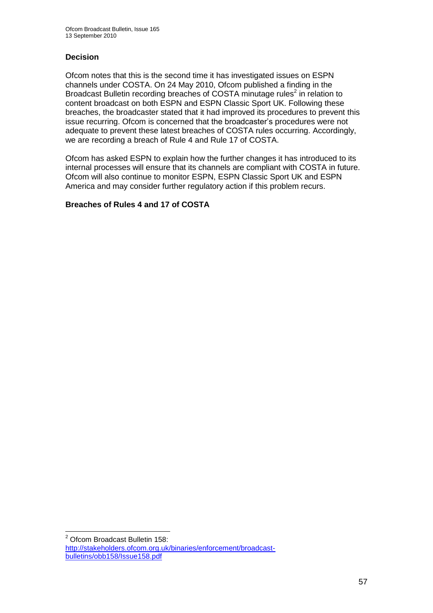#### **Decision**

Ofcom notes that this is the second time it has investigated issues on ESPN channels under COSTA. On 24 May 2010, Ofcom published a finding in the Broadcast Bulletin recording breaches of COSTA minutage rules<sup>2</sup> in relation to content broadcast on both ESPN and ESPN Classic Sport UK. Following these breaches, the broadcaster stated that it had improved its procedures to prevent this issue recurring. Ofcom is concerned that the broadcaster"s procedures were not adequate to prevent these latest breaches of COSTA rules occurring. Accordingly, we are recording a breach of Rule 4 and Rule 17 of COSTA.

Ofcom has asked ESPN to explain how the further changes it has introduced to its internal processes will ensure that its channels are compliant with COSTA in future. Ofcom will also continue to monitor ESPN, ESPN Classic Sport UK and ESPN America and may consider further regulatory action if this problem recurs.

#### **Breaches of Rules 4 and 17 of COSTA**

1

<sup>2</sup> Ofcom Broadcast Bulletin 158: [http://stakeholders.ofcom.org.uk/binaries/enforcement/broadcast](http://stakeholders.ofcom.org.uk/binaries/enforcement/broadcast-bulletins/obb158/Issue158.pdf)[bulletins/obb158/Issue158.pdf](http://stakeholders.ofcom.org.uk/binaries/enforcement/broadcast-bulletins/obb158/Issue158.pdf)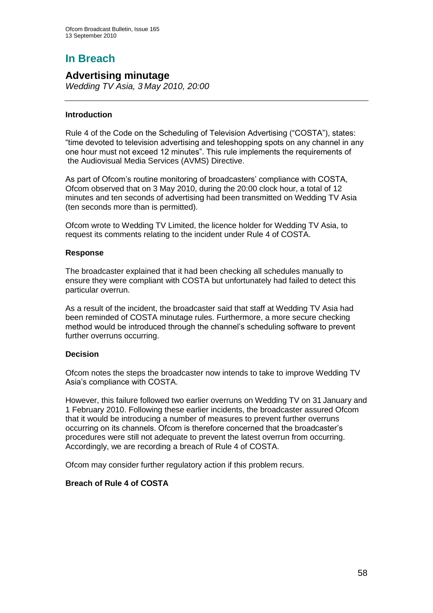# **In Breach**

## **Advertising minutage**

*Wedding TV Asia, 3 May 2010, 20:00*

#### **Introduction**

Rule 4 of the Code on the Scheduling of Television Advertising ("COSTA"), states: "time devoted to television advertising and teleshopping spots on any channel in any one hour must not exceed 12 minutes". This rule implements the requirements of the Audiovisual Media Services (AVMS) Directive.

As part of Ofcom's routine monitoring of broadcasters' compliance with COSTA, Ofcom observed that on 3 May 2010, during the 20:00 clock hour, a total of 12 minutes and ten seconds of advertising had been transmitted on Wedding TV Asia (ten seconds more than is permitted).

Ofcom wrote to Wedding TV Limited, the licence holder for Wedding TV Asia, to request its comments relating to the incident under Rule 4 of COSTA.

#### **Response**

The broadcaster explained that it had been checking all schedules manually to ensure they were compliant with COSTA but unfortunately had failed to detect this particular overrun.

As a result of the incident, the broadcaster said that staff at Wedding TV Asia had been reminded of COSTA minutage rules. Furthermore, a more secure checking method would be introduced through the channel"s scheduling software to prevent further overruns occurring.

#### **Decision**

Ofcom notes the steps the broadcaster now intends to take to improve Wedding TV Asia"s compliance with COSTA.

However, this failure followed two earlier overruns on Wedding TV on 31 January and 1 February 2010. Following these earlier incidents, the broadcaster assured Ofcom that it would be introducing a number of measures to prevent further overruns occurring on its channels. Ofcom is therefore concerned that the broadcaster"s procedures were still not adequate to prevent the latest overrun from occurring. Accordingly, we are recording a breach of Rule 4 of COSTA.

Ofcom may consider further regulatory action if this problem recurs.

#### **Breach of Rule 4 of COSTA**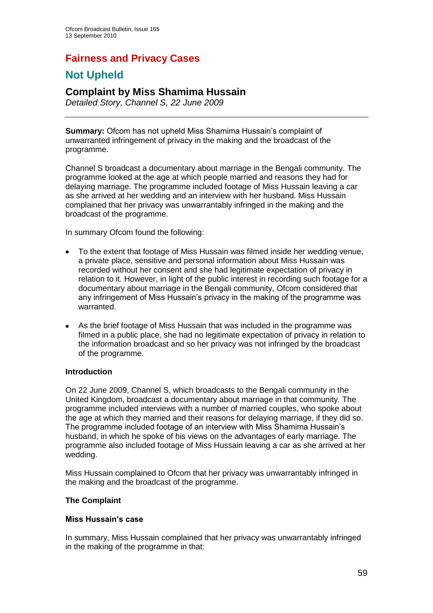## **Fairness and Privacy Cases**

## **Not Upheld**

## **Complaint by Miss Shamima Hussain**

*Detailed Story, Channel S, 22 June 2009*

**Summary:** Ofcom has not upheld Miss Shamima Hussain's complaint of unwarranted infringement of privacy in the making and the broadcast of the programme.

Channel S broadcast a documentary about marriage in the Bengali community. The programme looked at the age at which people married and reasons they had for delaying marriage. The programme included footage of Miss Hussain leaving a car as she arrived at her wedding and an interview with her husband. Miss Hussain complained that her privacy was unwarrantably infringed in the making and the broadcast of the programme.

In summary Ofcom found the following:

- To the extent that footage of Miss Hussain was filmed inside her wedding venue,  $\bullet$ a private place, sensitive and personal information about Miss Hussain was recorded without her consent and she had legitimate expectation of privacy in relation to it. However, in light of the public interest in recording such footage for a documentary about marriage in the Bengali community, Ofcom considered that any infringement of Miss Hussain"s privacy in the making of the programme was warranted.
- As the brief footage of Miss Hussain that was included in the programme was  $\bullet$ filmed in a public place, she had no legitimate expectation of privacy in relation to the information broadcast and so her privacy was not infringed by the broadcast of the programme.

#### **Introduction**

On 22 June 2009, Channel S, which broadcasts to the Bengali community in the United Kingdom, broadcast a documentary about marriage in that community. The programme included interviews with a number of married couples, who spoke about the age at which they married and their reasons for delaying marriage, if they did so. The programme included footage of an interview with Miss Shamima Hussain"s husband, in which he spoke of his views on the advantages of early marriage. The programme also included footage of Miss Hussain leaving a car as she arrived at her wedding.

Miss Hussain complained to Ofcom that her privacy was unwarrantably infringed in the making and the broadcast of the programme.

#### **The Complaint**

#### **Miss Hussain's case**

In summary, Miss Hussain complained that her privacy was unwarrantably infringed in the making of the programme in that: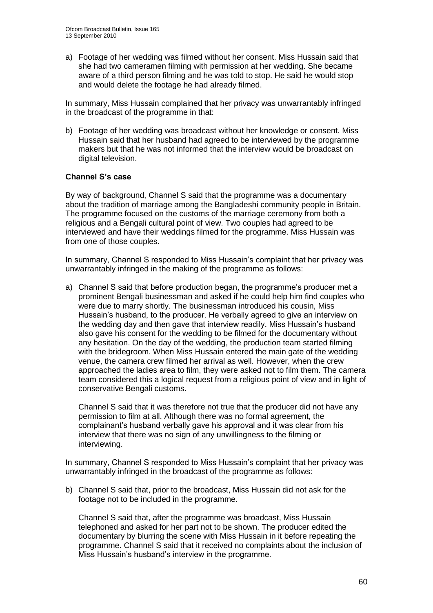a) Footage of her wedding was filmed without her consent. Miss Hussain said that she had two cameramen filming with permission at her wedding. She became aware of a third person filming and he was told to stop. He said he would stop and would delete the footage he had already filmed.

In summary, Miss Hussain complained that her privacy was unwarrantably infringed in the broadcast of the programme in that:

b) Footage of her wedding was broadcast without her knowledge or consent. Miss Hussain said that her husband had agreed to be interviewed by the programme makers but that he was not informed that the interview would be broadcast on digital television.

#### **Channel S's case**

By way of background, Channel S said that the programme was a documentary about the tradition of marriage among the Bangladeshi community people in Britain. The programme focused on the customs of the marriage ceremony from both a religious and a Bengali cultural point of view. Two couples had agreed to be interviewed and have their weddings filmed for the programme. Miss Hussain was from one of those couples.

In summary, Channel S responded to Miss Hussain"s complaint that her privacy was unwarrantably infringed in the making of the programme as follows:

a) Channel S said that before production began, the programme's producer met a prominent Bengali businessman and asked if he could help him find couples who were due to marry shortly. The businessman introduced his cousin, Miss Hussain"s husband, to the producer. He verbally agreed to give an interview on the wedding day and then gave that interview readily. Miss Hussain"s husband also gave his consent for the wedding to be filmed for the documentary without any hesitation. On the day of the wedding, the production team started filming with the bridegroom. When Miss Hussain entered the main gate of the wedding venue, the camera crew filmed her arrival as well. However, when the crew approached the ladies area to film, they were asked not to film them. The camera team considered this a logical request from a religious point of view and in light of conservative Bengali customs.

Channel S said that it was therefore not true that the producer did not have any permission to film at all. Although there was no formal agreement, the complainant"s husband verbally gave his approval and it was clear from his interview that there was no sign of any unwillingness to the filming or interviewing.

In summary, Channel S responded to Miss Hussain"s complaint that her privacy was unwarrantably infringed in the broadcast of the programme as follows:

b) Channel S said that, prior to the broadcast, Miss Hussain did not ask for the footage not to be included in the programme.

Channel S said that, after the programme was broadcast, Miss Hussain telephoned and asked for her part not to be shown. The producer edited the documentary by blurring the scene with Miss Hussain in it before repeating the programme. Channel S said that it received no complaints about the inclusion of Miss Hussain"s husband"s interview in the programme.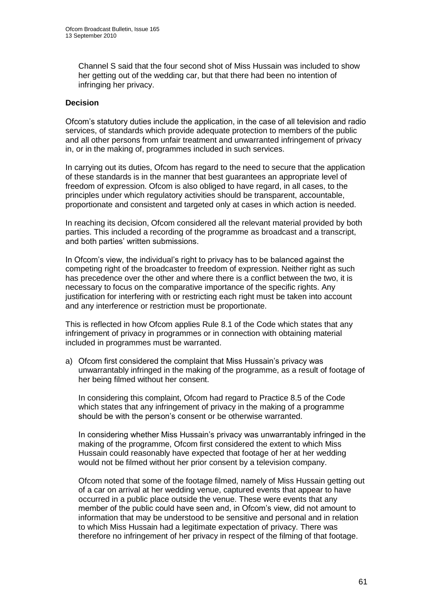Channel S said that the four second shot of Miss Hussain was included to show her getting out of the wedding car, but that there had been no intention of infringing her privacy.

#### **Decision**

Ofcom"s statutory duties include the application, in the case of all television and radio services, of standards which provide adequate protection to members of the public and all other persons from unfair treatment and unwarranted infringement of privacy in, or in the making of, programmes included in such services.

In carrying out its duties, Ofcom has regard to the need to secure that the application of these standards is in the manner that best guarantees an appropriate level of freedom of expression. Ofcom is also obliged to have regard, in all cases, to the principles under which regulatory activities should be transparent, accountable, proportionate and consistent and targeted only at cases in which action is needed.

In reaching its decision, Ofcom considered all the relevant material provided by both parties. This included a recording of the programme as broadcast and a transcript, and both parties" written submissions.

In Ofcom"s view, the individual"s right to privacy has to be balanced against the competing right of the broadcaster to freedom of expression. Neither right as such has precedence over the other and where there is a conflict between the two, it is necessary to focus on the comparative importance of the specific rights. Any justification for interfering with or restricting each right must be taken into account and any interference or restriction must be proportionate.

This is reflected in how Ofcom applies Rule 8.1 of the Code which states that any infringement of privacy in programmes or in connection with obtaining material included in programmes must be warranted.

a) Ofcom first considered the complaint that Miss Hussain"s privacy was unwarrantably infringed in the making of the programme, as a result of footage of her being filmed without her consent.

In considering this complaint, Ofcom had regard to Practice 8.5 of the Code which states that any infringement of privacy in the making of a programme should be with the person's consent or be otherwise warranted.

In considering whether Miss Hussain"s privacy was unwarrantably infringed in the making of the programme, Ofcom first considered the extent to which Miss Hussain could reasonably have expected that footage of her at her wedding would not be filmed without her prior consent by a television company.

Ofcom noted that some of the footage filmed, namely of Miss Hussain getting out of a car on arrival at her wedding venue, captured events that appear to have occurred in a public place outside the venue. These were events that any member of the public could have seen and, in Ofcom"s view, did not amount to information that may be understood to be sensitive and personal and in relation to which Miss Hussain had a legitimate expectation of privacy. There was therefore no infringement of her privacy in respect of the filming of that footage.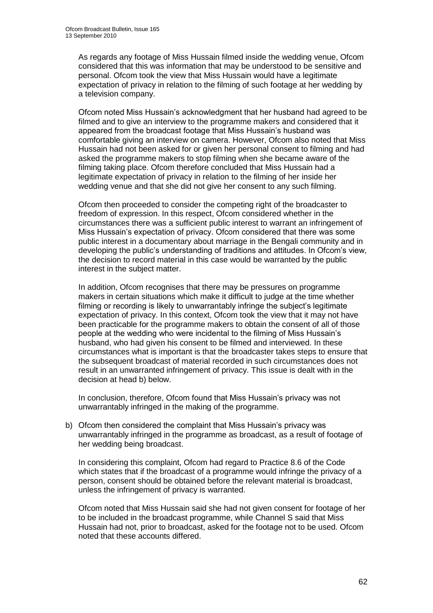As regards any footage of Miss Hussain filmed inside the wedding venue, Ofcom considered that this was information that may be understood to be sensitive and personal. Ofcom took the view that Miss Hussain would have a legitimate expectation of privacy in relation to the filming of such footage at her wedding by a television company.

Ofcom noted Miss Hussain"s acknowledgment that her husband had agreed to be filmed and to give an interview to the programme makers and considered that it appeared from the broadcast footage that Miss Hussain"s husband was comfortable giving an interview on camera. However, Ofcom also noted that Miss Hussain had not been asked for or given her personal consent to filming and had asked the programme makers to stop filming when she became aware of the filming taking place. Ofcom therefore concluded that Miss Hussain had a legitimate expectation of privacy in relation to the filming of her inside her wedding venue and that she did not give her consent to any such filming.

Ofcom then proceeded to consider the competing right of the broadcaster to freedom of expression. In this respect, Ofcom considered whether in the circumstances there was a sufficient public interest to warrant an infringement of Miss Hussain"s expectation of privacy. Ofcom considered that there was some public interest in a documentary about marriage in the Bengali community and in developing the public's understanding of traditions and attitudes. In Ofcom's view, the decision to record material in this case would be warranted by the public interest in the subject matter.

In addition, Ofcom recognises that there may be pressures on programme makers in certain situations which make it difficult to judge at the time whether filming or recording is likely to unwarrantably infringe the subject"s legitimate expectation of privacy. In this context, Ofcom took the view that it may not have been practicable for the programme makers to obtain the consent of all of those people at the wedding who were incidental to the filming of Miss Hussain"s husband, who had given his consent to be filmed and interviewed. In these circumstances what is important is that the broadcaster takes steps to ensure that the subsequent broadcast of material recorded in such circumstances does not result in an unwarranted infringement of privacy. This issue is dealt with in the decision at head b) below.

In conclusion, therefore, Ofcom found that Miss Hussain"s privacy was not unwarrantably infringed in the making of the programme.

b) Ofcom then considered the complaint that Miss Hussain"s privacy was unwarrantably infringed in the programme as broadcast, as a result of footage of her wedding being broadcast.

In considering this complaint, Ofcom had regard to Practice 8.6 of the Code which states that if the broadcast of a programme would infringe the privacy of a person, consent should be obtained before the relevant material is broadcast, unless the infringement of privacy is warranted.

Ofcom noted that Miss Hussain said she had not given consent for footage of her to be included in the broadcast programme, while Channel S said that Miss Hussain had not, prior to broadcast, asked for the footage not to be used. Ofcom noted that these accounts differed.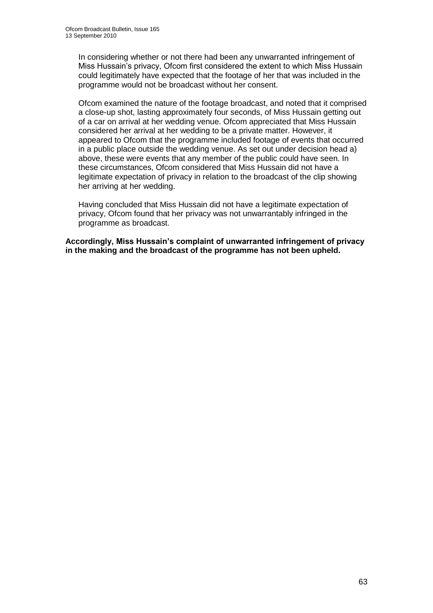In considering whether or not there had been any unwarranted infringement of Miss Hussain"s privacy, Ofcom first considered the extent to which Miss Hussain could legitimately have expected that the footage of her that was included in the programme would not be broadcast without her consent.

Ofcom examined the nature of the footage broadcast, and noted that it comprised a close-up shot, lasting approximately four seconds, of Miss Hussain getting out of a car on arrival at her wedding venue. Ofcom appreciated that Miss Hussain considered her arrival at her wedding to be a private matter. However, it appeared to Ofcom that the programme included footage of events that occurred in a public place outside the wedding venue. As set out under decision head a) above, these were events that any member of the public could have seen. In these circumstances, Ofcom considered that Miss Hussain did not have a legitimate expectation of privacy in relation to the broadcast of the clip showing her arriving at her wedding.

Having concluded that Miss Hussain did not have a legitimate expectation of privacy, Ofcom found that her privacy was not unwarrantably infringed in the programme as broadcast.

**Accordingly, Miss Hussain's complaint of unwarranted infringement of privacy in the making and the broadcast of the programme has not been upheld.**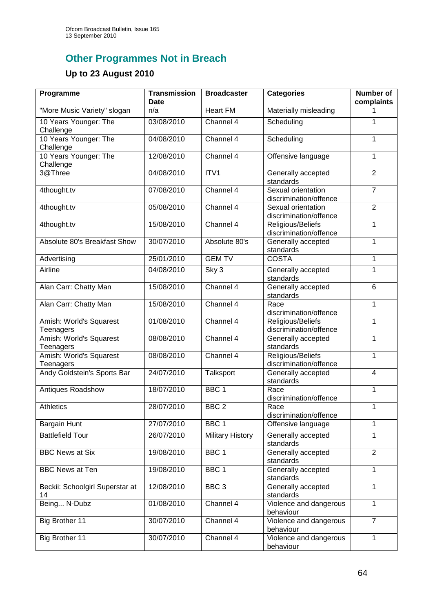# **Other Programmes Not in Breach**

## **Up to 23 August 2010**

| Programme                             | <b>Transmission</b><br><b>Date</b> | <b>Broadcaster</b>      | <b>Categories</b>                            | <b>Number of</b><br>complaints |
|---------------------------------------|------------------------------------|-------------------------|----------------------------------------------|--------------------------------|
| "More Music Variety" slogan           | n/a                                | <b>Heart FM</b>         | Materially misleading                        |                                |
| 10 Years Younger: The<br>Challenge    | 03/08/2010                         | Channel 4               | Scheduling                                   | 1                              |
| 10 Years Younger: The<br>Challenge    | 04/08/2010                         | Channel 4               | Scheduling                                   | 1                              |
| 10 Years Younger: The<br>Challenge    | 12/08/2010                         | Channel 4               | Offensive language                           | 1                              |
| 3@Three                               | 04/08/2010                         | ITV1                    | Generally accepted<br>standards              | $\overline{2}$                 |
| 4thought.tv                           | 07/08/2010                         | Channel 4               | Sexual orientation<br>discrimination/offence | $\overline{7}$                 |
| 4thought.tv                           | 05/08/2010                         | Channel 4               | Sexual orientation<br>discrimination/offence | $\overline{2}$                 |
| 4thought.tv                           | 15/08/2010                         | Channel 4               | Religious/Beliefs<br>discrimination/offence  | 1                              |
| Absolute 80's Breakfast Show          | 30/07/2010                         | Absolute 80's           | Generally accepted<br>standards              | 1                              |
| Advertising                           | 25/01/2010                         | <b>GEM TV</b>           | <b>COSTA</b>                                 | 1                              |
| Airline                               | 04/08/2010                         | Sky 3                   | Generally accepted<br>standards              | 1                              |
| Alan Carr: Chatty Man                 | 15/08/2010                         | Channel 4               | Generally accepted<br>standards              | $6\phantom{1}$                 |
| Alan Carr: Chatty Man                 | 15/08/2010                         | Channel 4               | Race<br>discrimination/offence               | 1                              |
| Amish: World's Squarest<br>Teenagers  | 01/08/2010                         | Channel 4               | Religious/Beliefs<br>discrimination/offence  | 1                              |
| Amish: World's Squarest<br>Teenagers  | 08/08/2010                         | Channel 4               | Generally accepted<br>standards              | 1                              |
| Amish: World's Squarest<br>Teenagers  | 08/08/2010                         | Channel 4               | Religious/Beliefs<br>discrimination/offence  | 1                              |
| Andy Goldstein's Sports Bar           | 24/07/2010                         | Talksport               | Generally accepted<br>standards              | $\overline{\mathbf{4}}$        |
| Antiques Roadshow                     | 18/07/2010                         | BBC <sub>1</sub>        | Race<br>discrimination/offence               | 1                              |
| Athletics                             | 28/07/2010                         | BBC <sub>2</sub>        | Race<br>discrimination/offence               | 1                              |
| Bargain Hunt                          | 27/07/2010                         | BBC <sub>1</sub>        | Offensive language                           | 1                              |
| <b>Battlefield Tour</b>               | 26/07/2010                         | <b>Military History</b> | Generally accepted<br>standards              | 1                              |
| <b>BBC News at Six</b>                | 19/08/2010                         | BBC <sub>1</sub>        | Generally accepted<br>standards              | $\overline{2}$                 |
| <b>BBC News at Ten</b>                | 19/08/2010                         | BBC1                    | Generally accepted<br>standards              | 1                              |
| Beckii: Schoolgirl Superstar at<br>14 | 12/08/2010                         | BBC <sub>3</sub>        | Generally accepted<br>standards              | $\overline{1}$                 |
| Being N-Dubz                          | 01/08/2010                         | Channel 4               | Violence and dangerous<br>behaviour          | 1                              |
| Big Brother 11                        | 30/07/2010                         | Channel 4               | Violence and dangerous<br>behaviour          | $\overline{7}$                 |
| Big Brother 11                        | 30/07/2010                         | Channel 4               | Violence and dangerous<br>behaviour          | $\mathbf{1}$                   |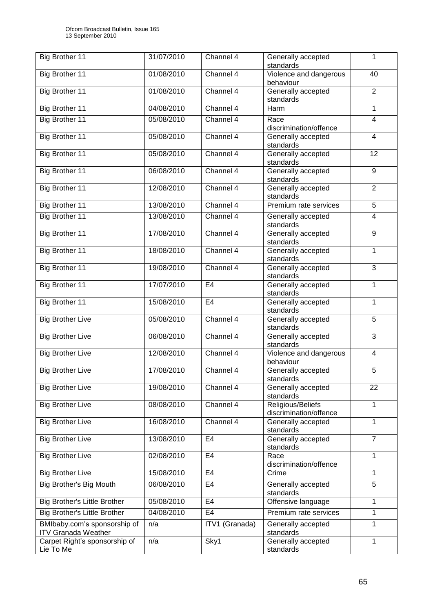| Big Brother 11                                             | 31/07/2010 | Channel 4      | Generally accepted<br>standards             | 1              |
|------------------------------------------------------------|------------|----------------|---------------------------------------------|----------------|
| Big Brother 11                                             | 01/08/2010 | Channel 4      | Violence and dangerous<br>behaviour         | 40             |
| Big Brother 11                                             | 01/08/2010 | Channel 4      | Generally accepted<br>standards             | $\overline{2}$ |
| <b>Big Brother 11</b>                                      | 04/08/2010 | Channel 4      | Harm                                        | 1              |
| Big Brother 11                                             | 05/08/2010 | Channel 4      | Race<br>discrimination/offence              | $\overline{4}$ |
| <b>Big Brother 11</b>                                      | 05/08/2010 | Channel 4      | Generally accepted<br>standards             | $\overline{4}$ |
| Big Brother 11                                             | 05/08/2010 | Channel 4      | Generally accepted<br>standards             | 12             |
| Big Brother 11                                             | 06/08/2010 | Channel 4      | Generally accepted<br>standards             | 9              |
| Big Brother 11                                             | 12/08/2010 | Channel 4      | Generally accepted<br>standards             | $\overline{2}$ |
| Big Brother 11                                             | 13/08/2010 | Channel 4      | Premium rate services                       | 5              |
| <b>Big Brother 11</b>                                      | 13/08/2010 | Channel 4      | Generally accepted<br>standards             | 4              |
| <b>Big Brother 11</b>                                      | 17/08/2010 | Channel 4      | Generally accepted<br>standards             | 9              |
| <b>Big Brother 11</b>                                      | 18/08/2010 | Channel 4      | Generally accepted<br>standards             | 1              |
| <b>Big Brother 11</b>                                      | 19/08/2010 | Channel 4      | Generally accepted<br>standards             | $\overline{3}$ |
| <b>Big Brother 11</b>                                      | 17/07/2010 | E <sub>4</sub> | Generally accepted<br>standards             | 1              |
| <b>Big Brother 11</b>                                      | 15/08/2010 | E4             | Generally accepted<br>standards             | 1              |
| <b>Big Brother Live</b>                                    | 05/08/2010 | Channel 4      | Generally accepted<br>standards             | 5              |
| <b>Big Brother Live</b>                                    | 06/08/2010 | Channel 4      | Generally accepted<br>standards             | 3              |
| <b>Big Brother Live</b>                                    | 12/08/2010 | Channel 4      | Violence and dangerous<br>behaviour         | 4              |
| <b>Big Brother Live</b>                                    | 17/08/2010 | Channel 4      | Generally accepted<br>standards             | 5              |
| <b>Big Brother Live</b>                                    | 19/08/2010 | Channel 4      | Generally accepted<br>standards             | 22             |
| <b>Big Brother Live</b>                                    | 08/08/2010 | Channel 4      | Religious/Beliefs<br>discrimination/offence | 1              |
| <b>Big Brother Live</b>                                    | 16/08/2010 | Channel 4      | Generally accepted<br>standards             | 1              |
| <b>Big Brother Live</b>                                    | 13/08/2010 | E <sub>4</sub> | Generally accepted<br>standards             | $\overline{7}$ |
| <b>Big Brother Live</b>                                    | 02/08/2010 | E <sub>4</sub> | Race<br>discrimination/offence              | 1              |
| <b>Big Brother Live</b>                                    | 15/08/2010 | E <sub>4</sub> | Crime                                       | 1              |
| Big Brother's Big Mouth                                    | 06/08/2010 | E4             | Generally accepted<br>standards             | 5              |
| <b>Big Brother's Little Brother</b>                        | 05/08/2010 | E4             | Offensive language                          | 1              |
| <b>Big Brother's Little Brother</b>                        | 04/08/2010 | E <sub>4</sub> | Premium rate services                       | 1              |
| BMIbaby.com's sponsorship of<br><b>ITV Granada Weather</b> | n/a        | ITV1 (Granada) | Generally accepted<br>standards             | 1              |
| Carpet Right's sponsorship of<br>Lie To Me                 | n/a        | Sky1           | Generally accepted<br>standards             | 1              |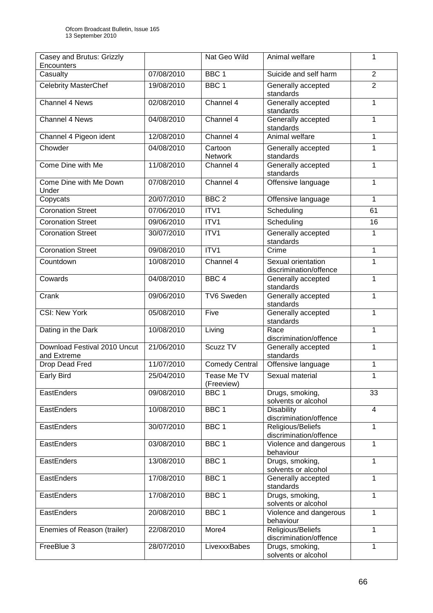| Casey and Brutus: Grizzly                   |            | Nat Geo Wild              | Animal welfare                               | 1              |
|---------------------------------------------|------------|---------------------------|----------------------------------------------|----------------|
| Encounters                                  |            |                           | Suicide and self harm                        |                |
| Casualty                                    | 07/08/2010 | BBC <sub>1</sub>          |                                              | $\overline{2}$ |
| <b>Celebrity MasterChef</b>                 | 19/08/2010 | BBC <sub>1</sub>          | Generally accepted<br>standards              | $\overline{2}$ |
| <b>Channel 4 News</b>                       | 02/08/2010 | Channel 4                 | Generally accepted<br>standards              | 1              |
| Channel 4 News                              | 04/08/2010 | Channel 4                 | Generally accepted<br>standards              | 1              |
| Channel 4 Pigeon ident                      | 12/08/2010 | Channel 4                 | Animal welfare                               | 1              |
| Chowder                                     | 04/08/2010 | Cartoon<br><b>Network</b> | Generally accepted<br>standards              | 1              |
| Come Dine with Me                           | 11/08/2010 | Channel 4                 | Generally accepted<br>standards              | 1              |
| Come Dine with Me Down<br>Under             | 07/08/2010 | Channel 4                 | Offensive language                           | 1              |
| Copycats                                    | 20/07/2010 | BBC <sub>2</sub>          | Offensive language                           | 1              |
| <b>Coronation Street</b>                    | 07/06/2010 | ITV1                      | Scheduling                                   | 61             |
| <b>Coronation Street</b>                    | 09/06/2010 | ITV1                      | Scheduling                                   | 16             |
| <b>Coronation Street</b>                    | 30/07/2010 | ITV1                      | Generally accepted<br>standards              | 1              |
| <b>Coronation Street</b>                    | 09/08/2010 | ITV1                      | Crime                                        | 1              |
| Countdown                                   | 10/08/2010 | Channel 4                 | Sexual orientation<br>discrimination/offence | 1              |
| Cowards                                     | 04/08/2010 | BBC <sub>4</sub>          | Generally accepted<br>standards              | 1              |
| Crank                                       | 09/06/2010 | <b>TV6 Sweden</b>         | Generally accepted<br>standards              | 1              |
| <b>CSI: New York</b>                        | 05/08/2010 | Five                      | Generally accepted<br>standards              | 1              |
| Dating in the Dark                          | 10/08/2010 | Living                    | Race<br>discrimination/offence               | 1              |
| Download Festival 2010 Uncut<br>and Extreme | 21/06/2010 | Scuzz <sub>TV</sub>       | Generally accepted<br>standards              | 1              |
| <b>Drop Dead Fred</b>                       | 11/07/2010 | <b>Comedy Central</b>     | Offensive language                           | 1              |
| <b>Early Bird</b>                           | 25/04/2010 | Tease Me TV<br>(Freeview) | Sexual material                              | 1              |
| EastEnders                                  | 09/08/2010 | BBC <sub>1</sub>          | Drugs, smoking,<br>solvents or alcohol       | 33             |
| EastEnders                                  | 10/08/2010 | BBC <sub>1</sub>          | <b>Disability</b><br>discrimination/offence  | $\overline{4}$ |
| EastEnders                                  | 30/07/2010 | BBC <sub>1</sub>          | Religious/Beliefs<br>discrimination/offence  | 1              |
| EastEnders                                  | 03/08/2010 | BBC <sub>1</sub>          | Violence and dangerous<br>behaviour          | 1              |
| EastEnders                                  | 13/08/2010 | BBC <sub>1</sub>          | Drugs, smoking,<br>solvents or alcohol       | 1              |
| EastEnders                                  | 17/08/2010 | BBC <sub>1</sub>          | Generally accepted<br>standards              | 1              |
| EastEnders                                  | 17/08/2010 | BBC <sub>1</sub>          | Drugs, smoking,<br>solvents or alcohol       | 1              |
| EastEnders                                  | 20/08/2010 | BBC <sub>1</sub>          | Violence and dangerous<br>behaviour          | 1              |
| Enemies of Reason (trailer)                 | 22/08/2010 | More4                     | Religious/Beliefs<br>discrimination/offence  | 1              |
| FreeBlue 3                                  | 28/07/2010 | LivexxxBabes              | Drugs, smoking,<br>solvents or alcohol       | 1              |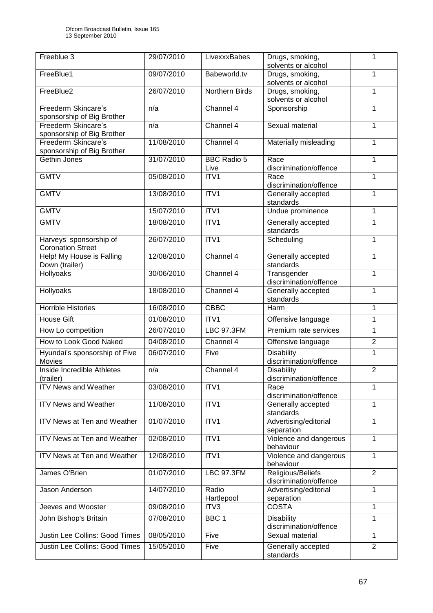| Freeblue 3                                          | 29/07/2010 | LivexxxBabes               | Drugs, smoking,<br>solvents or alcohol      | 1              |
|-----------------------------------------------------|------------|----------------------------|---------------------------------------------|----------------|
| FreeBlue1                                           | 09/07/2010 | Babeworld.tv               | Drugs, smoking,<br>solvents or alcohol      | 1              |
| FreeBlue2                                           | 26/07/2010 | Northern Birds             | Drugs, smoking,<br>solvents or alcohol      | 1              |
| Freederm Skincare's<br>sponsorship of Big Brother   | n/a        | Channel 4                  | Sponsorship                                 | 1              |
| Freederm Skincare's<br>sponsorship of Big Brother   | n/a        | Channel 4                  | Sexual material                             | 1              |
| Freederm Skincare's<br>sponsorship of Big Brother   | 11/08/2010 | Channel 4                  | Materially misleading                       | 1              |
| Gethin Jones                                        | 31/07/2010 | <b>BBC Radio 5</b><br>Live | Race<br>discrimination/offence              | 1              |
| <b>GMTV</b>                                         | 05/08/2010 | ITV1                       | Race<br>discrimination/offence              | 1              |
| <b>GMTV</b>                                         | 13/08/2010 | ITV1                       | Generally accepted<br>standards             | 1              |
| <b>GMTV</b>                                         | 15/07/2010 | ITV1                       | Undue prominence                            | 1              |
| <b>GMTV</b>                                         | 18/08/2010 | ITV1                       | Generally accepted<br>standards             | 1              |
| Harveys' sponsorship of<br><b>Coronation Street</b> | 26/07/2010 | ITV1                       | Scheduling                                  | 1              |
| Help! My House is Falling<br>Down (trailer)         | 12/08/2010 | Channel $4$                | Generally accepted<br>standards             | 1              |
| Hollyoaks                                           | 30/06/2010 | Channel 4                  | Transgender<br>discrimination/offence       | 1              |
| Hollyoaks                                           | 18/08/2010 | Channel 4                  | Generally accepted<br>standards             | 1              |
| <b>Horrible Histories</b>                           | 16/08/2010 | <b>CBBC</b>                | Harm                                        | 1              |
| <b>House Gift</b>                                   | 01/08/2010 | ITV1                       | Offensive language                          | 1              |
| How Lo competition                                  | 26/07/2010 | <b>LBC 97.3FM</b>          | Premium rate services                       | 1              |
| How to Look Good Naked                              | 04/08/2010 | Channel 4                  | Offensive language                          | $\overline{2}$ |
| Hyundai's sponsorship of Five<br><b>Movies</b>      | 06/07/2010 | Five                       | <b>Disability</b><br>discrimination/offence | 1              |
| Inside Incredible Athletes<br>(trailer)             | n/a        | Channel 4                  | <b>Disability</b><br>discrimination/offence | $\overline{2}$ |
| <b>ITV News and Weather</b>                         | 03/08/2010 | ITV1                       | Race<br>discrimination/offence              | 1              |
| <b>ITV News and Weather</b>                         | 11/08/2010 | ITV1                       | Generally accepted<br>standards             | 1              |
| ITV News at Ten and Weather                         | 01/07/2010 | ITV1                       | Advertising/editorial<br>separation         | 1              |
| <b>ITV News at Ten and Weather</b>                  | 02/08/2010 | ITV1                       | Violence and dangerous<br>behaviour         | 1              |
| ITV News at Ten and Weather                         | 12/08/2010 | ITV1                       | Violence and dangerous<br>behaviour         | 1              |
| James O'Brien                                       | 01/07/2010 | <b>LBC 97.3FM</b>          | Religious/Beliefs<br>discrimination/offence | $\overline{2}$ |
| Jason Anderson                                      | 14/07/2010 | Radio<br>Hartlepool        | Advertising/editorial<br>separation         | 1              |
| Jeeves and Wooster                                  | 09/08/2010 | ITV3                       | <b>COSTA</b>                                | 1              |
| John Bishop's Britain                               | 07/08/2010 | BBC <sub>1</sub>           | <b>Disability</b><br>discrimination/offence | 1              |
| Justin Lee Collins: Good Times                      | 08/05/2010 | Five                       | Sexual material                             | 1              |
| Justin Lee Collins: Good Times                      | 15/05/2010 | Five                       | Generally accepted<br>standards             | $\overline{2}$ |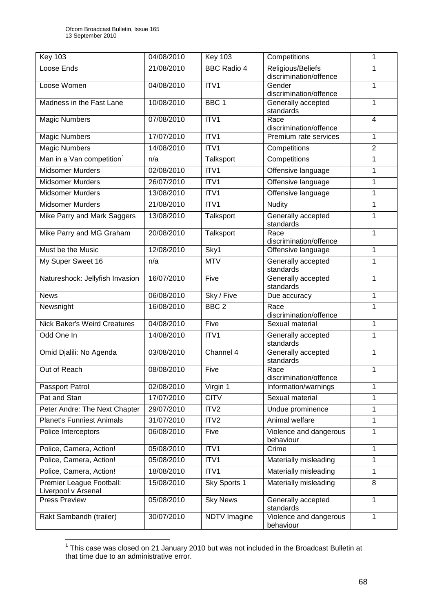| <b>Key 103</b>                        | 04/08/2010 | <b>Key 103</b>     | Competitions                        | 1              |
|---------------------------------------|------------|--------------------|-------------------------------------|----------------|
| Loose Ends                            | 21/08/2010 | <b>BBC Radio 4</b> | Religious/Beliefs                   |                |
| Loose Women                           | 04/08/2010 | ITV1               | discrimination/offence<br>Gender    | 1              |
|                                       |            |                    | discrimination/offence              |                |
| Madness in the Fast Lane              | 10/08/2010 | BBC <sub>1</sub>   | Generally accepted                  | 1              |
|                                       |            |                    | standards                           |                |
| <b>Magic Numbers</b>                  | 07/08/2010 | ITV1               | Race<br>discrimination/offence      | 4              |
| <b>Magic Numbers</b>                  | 17/07/2010 | ITV1               | Premium rate services               | 1              |
| <b>Magic Numbers</b>                  | 14/08/2010 | ITV1               | Competitions                        | $\overline{2}$ |
| Man in a Van competition <sup>1</sup> | n/a        | Talksport          | Competitions                        | $\mathbf{1}$   |
| <b>Midsomer Murders</b>               | 02/08/2010 | ITV1               | Offensive language                  | 1              |
| Midsomer Murders                      | 26/07/2010 | ITV1               | Offensive language                  | 1              |
| Midsomer Murders                      | 13/08/2010 | ITV1               | Offensive language                  | 1              |
| <b>Midsomer Murders</b>               | 21/08/2010 | ITV1               | <b>Nudity</b>                       | 1              |
| Mike Parry and Mark Saggers           | 13/08/2010 | <b>Talksport</b>   | Generally accepted<br>standards     | 1              |
| Mike Parry and MG Graham              | 20/08/2010 | Talksport          | Race                                | 1              |
|                                       |            |                    | discrimination/offence              |                |
| Must be the Music                     | 12/08/2010 | Sky1               | Offensive language                  | 1              |
| My Super Sweet 16                     | n/a        | <b>MTV</b>         | Generally accepted<br>standards     | 1              |
| Natureshock: Jellyfish Invasion       | 16/07/2010 | Five               | Generally accepted<br>standards     | 1              |
| <b>News</b>                           | 06/08/2010 | Sky / Five         | Due accuracy                        | 1              |
| Newsnight                             | 16/08/2010 | BBC <sub>2</sub>   | Race<br>discrimination/offence      | 1              |
| <b>Nick Baker's Weird Creatures</b>   | 04/08/2010 | Five               | Sexual material                     | 1              |
| Odd One In                            | 14/08/2010 | ITV1               | Generally accepted                  | 1              |
|                                       |            |                    | standards                           |                |
| Omid Djalili: No Agenda               | 03/08/2010 | Channel 4          | Generally accepted<br>standards     | 1              |
| Out of Reach                          | 08/08/2010 | Five               | Race<br>discrimination/offence      | 1              |
| Passport Patrol                       | 02/08/2010 | Virgin 1           | Information/warnings                | 1              |
| Pat and Stan                          | 17/07/2010 | <b>CITV</b>        | Sexual material                     | 1              |
| Peter Andre: The Next Chapter         | 29/07/2010 | ITV <sub>2</sub>   | Undue prominence                    | 1              |
| <b>Planet's Funniest Animals</b>      | 31/07/2010 | ITV <sub>2</sub>   | Animal welfare                      | 1              |
| Police Interceptors                   | 06/08/2010 | Five               | Violence and dangerous<br>behaviour | 1              |
| Police, Camera, Action!               | 05/08/2010 | ITV1               | Crime                               | 1              |
| Police, Camera, Action!               | 05/08/2010 | ITV1               | Materially misleading               | 1              |
| Police, Camera, Action!               | 18/08/2010 | ITV1               | Materially misleading               | 1              |
| Premier League Football:              | 15/08/2010 | Sky Sports 1       | Materially misleading               | 8              |
| Liverpool v Arsenal                   |            |                    |                                     |                |
| <b>Press Preview</b>                  | 05/08/2010 | <b>Sky News</b>    | Generally accepted<br>standards     | 1              |
| Rakt Sambandh (trailer)               | 30/07/2010 | NDTV Imagine       | Violence and dangerous<br>behaviour | 1              |

 1 This case was closed on 21 January 2010 but was not included in the Broadcast Bulletin at that time due to an administrative error.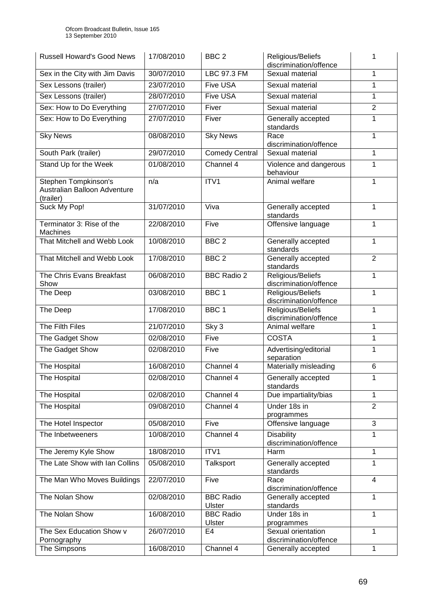| <b>Russell Howard's Good News</b>                                 | 17/08/2010 | BBC <sub>2</sub>           | Religious/Beliefs<br>discrimination/offence  | 1              |
|-------------------------------------------------------------------|------------|----------------------------|----------------------------------------------|----------------|
| Sex in the City with Jim Davis                                    | 30/07/2010 | LBC 97.3 FM                | Sexual material                              | 1              |
| Sex Lessons (trailer)                                             | 23/07/2010 | <b>Five USA</b>            | Sexual material                              | 1              |
| Sex Lessons (trailer)                                             | 28/07/2010 | <b>Five USA</b>            | Sexual material                              | 1              |
| Sex: How to Do Everything                                         | 27/07/2010 | Fiver                      | Sexual material                              | $\overline{2}$ |
| Sex: How to Do Everything                                         | 27/07/2010 | Fiver                      | Generally accepted<br>standards              | 1              |
| <b>Sky News</b>                                                   | 08/08/2010 | <b>Sky News</b>            | Race<br>discrimination/offence               | 1              |
| South Park (trailer)                                              | 29/07/2010 | <b>Comedy Central</b>      | Sexual material                              | 1              |
| Stand Up for the Week                                             | 01/08/2010 | Channel 4                  | Violence and dangerous<br>behaviour          | 1              |
| Stephen Tompkinson's<br>Australian Balloon Adventure<br>(trailer) | n/a        | ITV1                       | Animal welfare                               | 1              |
| Suck My Pop!                                                      | 31/07/2010 | Viva                       | Generally accepted<br>standards              | 1              |
| Terminator 3: Rise of the<br>Machines                             | 22/08/2010 | Five                       | Offensive language                           | 1              |
| That Mitchell and Webb Look                                       | 10/08/2010 | BBC <sub>2</sub>           | Generally accepted<br>standards              | 1              |
| That Mitchell and Webb Look                                       | 17/08/2010 | BBC <sub>2</sub>           | Generally accepted<br>standards              | $\overline{2}$ |
| The Chris Evans Breakfast<br>Show                                 | 06/08/2010 | <b>BBC Radio 2</b>         | Religious/Beliefs<br>discrimination/offence  | 1              |
| The Deep                                                          | 03/08/2010 | BBC <sub>1</sub>           | Religious/Beliefs<br>discrimination/offence  | 1              |
| The Deep                                                          | 17/08/2010 | BBC <sub>1</sub>           | Religious/Beliefs<br>discrimination/offence  | 1              |
| The Filth Files                                                   | 21/07/2010 | Sky 3                      | Animal welfare                               | 1              |
| The Gadget Show                                                   | 02/08/2010 | Five                       | <b>COSTA</b>                                 | 1              |
| The Gadget Show                                                   | 02/08/2010 | Five                       | Advertising/editorial<br>separation          | 1              |
| The Hospital                                                      | 16/08/2010 | Channel 4                  | Materially misleading                        | 6              |
| The Hospital                                                      | 02/08/2010 | Channel 4                  | Generally accepted<br>standards              | $\mathbf{1}$   |
| The Hospital                                                      | 02/08/2010 | Channel 4                  | Due impartiality/bias                        | 1              |
| The Hospital                                                      | 09/08/2010 | Channel $4$                | Under 18s in<br>programmes                   | $\overline{2}$ |
| The Hotel Inspector                                               | 05/08/2010 | Five                       | Offensive language                           | 3              |
| The Inbetweeners                                                  | 10/08/2010 | Channel 4                  | Disability<br>discrimination/offence         | 1              |
| The Jeremy Kyle Show                                              | 18/08/2010 | ITV1                       | Harm                                         | 1              |
| The Late Show with Ian Collins                                    | 05/08/2010 | Talksport                  | Generally accepted<br>standards              | $\mathbf{1}$   |
| The Man Who Moves Buildings                                       | 22/07/2010 | Five                       | Race<br>discrimination/offence               | 4              |
| The Nolan Show                                                    | 02/08/2010 | <b>BBC Radio</b><br>Ulster | Generally accepted<br>standards              | 1              |
| The Nolan Show                                                    | 16/08/2010 | <b>BBC Radio</b><br>Ulster | Under 18s in<br>programmes                   | 1              |
| The Sex Education Show v                                          | 26/07/2010 | E4                         | Sexual orientation                           | 1              |
| Pornography<br>The Simpsons                                       | 16/08/2010 | Channel 4                  | discrimination/offence<br>Generally accepted | 1              |
|                                                                   |            |                            |                                              |                |